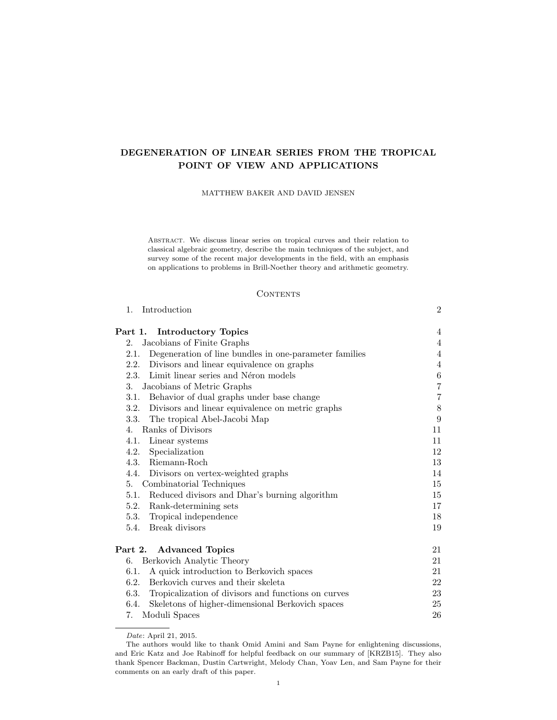# DEGENERATION OF LINEAR SERIES FROM THE TROPICAL POINT OF VIEW AND APPLICATIONS

MATTHEW BAKER AND DAVID JENSEN

Abstract. We discuss linear series on tropical curves and their relation to classical algebraic geometry, describe the main techniques of the subject, and survey some of the recent major developments in the field, with an emphasis on applications to problems in Brill-Noether theory and arithmetic geometry.

## **CONTENTS**

1. Introduction 2

| <b>Introductory Topics</b><br>Part 1.                          | 4                |
|----------------------------------------------------------------|------------------|
| Jacobians of Finite Graphs<br>2.                               | 4                |
| Degeneration of line bundles in one-parameter families<br>2.1. | 4                |
| 2.2.<br>Divisors and linear equivalence on graphs              | 4                |
| Limit linear series and Néron models<br>2.3.                   | $\,6\,$          |
| Jacobians of Metric Graphs<br>3.                               | $\overline{7}$   |
| Behavior of dual graphs under base change<br>3.1.              | $\overline{7}$   |
| 3.2.<br>Divisors and linear equivalence on metric graphs       | $8\,$            |
| 3.3. The tropical Abel-Jacobi Map                              | $\boldsymbol{9}$ |
| Ranks of Divisors<br>$\mathbf{4}$ .                            | 11               |
| 4.1.<br>Linear systems                                         | 11               |
| Specialization<br>4.2.                                         | 12               |
| 4.3.<br>Riemann-Roch                                           | 13               |
| 4.4. Divisors on vertex-weighted graphs                        | 14               |
| 5. Combinatorial Techniques                                    | 15               |
| 5.1.<br>Reduced divisors and Dhar's burning algorithm          | 15               |
| 5.2.<br>Rank-determining sets                                  | 17               |
| 5.3. Tropical independence                                     | 18               |
| Break divisors<br>5.4.                                         | 19               |
| Part 2. Advanced Topics                                        | 21               |
| Berkovich Analytic Theory<br>6.                                | 21               |
| A quick introduction to Berkovich spaces<br>6.1.               | 21               |
| Berkovich curves and their skeleta<br>6.2.                     | 22               |
| 6.3.<br>Tropicalization of divisors and functions on curves    | 23               |
| 6.4.<br>Skeletons of higher-dimensional Berkovich spaces       | 25               |
| Moduli Spaces<br>7.                                            | 26               |

Date: April 21, 2015.

The authors would like to thank Omid Amini and Sam Payne for enlightening discussions, and Eric Katz and Joe Rabinoff for helpful feedback on our summary of [KRZB15]. They also thank Spencer Backman, Dustin Cartwright, Melody Chan, Yoav Len, and Sam Payne for their comments on an early draft of this paper.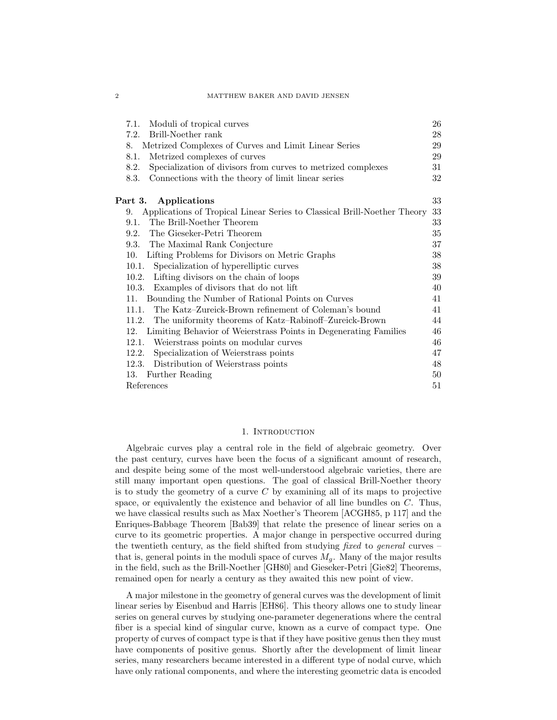#### 2 MATTHEW BAKER AND DAVID JENSEN

| Moduli of tropical curves<br>7.1.                                              | 26     |
|--------------------------------------------------------------------------------|--------|
| Brill-Noether rank<br>7.2.                                                     | 28     |
| Metrized Complexes of Curves and Limit Linear Series<br>8.                     | 29     |
| Metrized complexes of curves<br>8.1.                                           | 29     |
| Specialization of divisors from curves to metrized complexes<br>8.2.           | 31     |
| Connections with the theory of limit linear series<br>8.3.                     | 32     |
| Part 3. Applications                                                           | 33     |
| Applications of Tropical Linear Series to Classical Brill-Noether Theory<br>9. | 33     |
| The Brill-Noether Theorem<br>9.1.                                              | 33     |
| The Gieseker-Petri Theorem<br>9.2.                                             | $35\,$ |
| The Maximal Rank Conjecture<br>9.3.                                            | 37     |
| Lifting Problems for Divisors on Metric Graphs<br>10.                          | 38     |
| 10.1.<br>Specialization of hyperelliptic curves                                | 38     |
| Lifting divisors on the chain of loops<br>10.2.                                | 39     |
| 10.3.<br>Examples of divisors that do not lift                                 | 40     |
| Bounding the Number of Rational Points on Curves<br>11.                        | 41     |
| The Katz–Zureick-Brown refinement of Coleman's bound<br>11.1.                  | 41     |
| The uniformity theorems of Katz–Rabinoff–Zureick-Brown<br>11.2.                | 44     |
| Limiting Behavior of Weierstrass Points in Degenerating Families<br>12.        | 46     |
| Weierstrass points on modular curves<br>12.1.                                  | 46     |
| Specialization of Weierstrass points<br>12.2.                                  | 47     |
| Distribution of Weierstrass points<br>12.3.                                    | 48     |
| Further Reading<br>13.                                                         | 50     |
| References                                                                     | 51     |

### 1. INTRODUCTION

Algebraic curves play a central role in the field of algebraic geometry. Over the past century, curves have been the focus of a significant amount of research, and despite being some of the most well-understood algebraic varieties, there are still many important open questions. The goal of classical Brill-Noether theory is to study the geometry of a curve  $C$  by examining all of its maps to projective space, or equivalently the existence and behavior of all line bundles on  $C$ . Thus, we have classical results such as Max Noether's Theorem [ACGH85, p 117] and the Enriques-Babbage Theorem [Bab39] that relate the presence of linear series on a curve to its geometric properties. A major change in perspective occurred during the twentieth century, as the field shifted from studying fixed to general curves – that is, general points in the moduli space of curves  $M<sub>g</sub>$ . Many of the major results in the field, such as the Brill-Noether [GH80] and Gieseker-Petri [Gie82] Theorems, remained open for nearly a century as they awaited this new point of view.

A major milestone in the geometry of general curves was the development of limit linear series by Eisenbud and Harris [EH86]. This theory allows one to study linear series on general curves by studying one-parameter degenerations where the central fiber is a special kind of singular curve, known as a curve of compact type. One property of curves of compact type is that if they have positive genus then they must have components of positive genus. Shortly after the development of limit linear series, many researchers became interested in a different type of nodal curve, which have only rational components, and where the interesting geometric data is encoded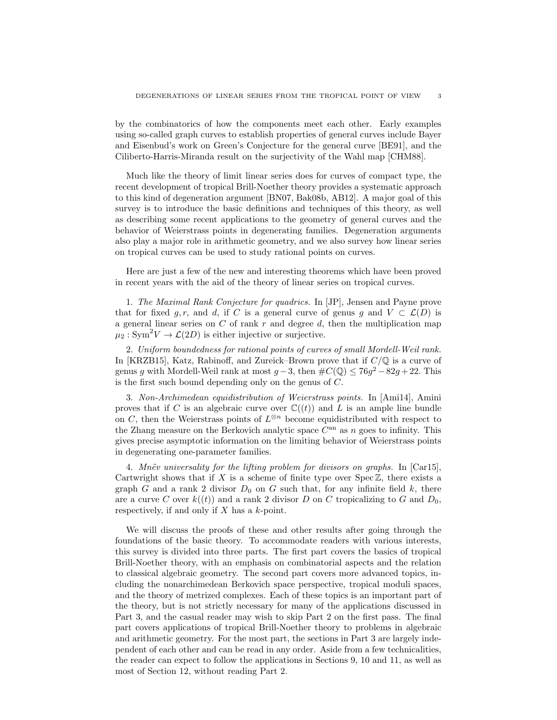by the combinatorics of how the components meet each other. Early examples using so-called graph curves to establish properties of general curves include Bayer and Eisenbud's work on Green's Conjecture for the general curve [BE91], and the Ciliberto-Harris-Miranda result on the surjectivity of the Wahl map [CHM88].

Much like the theory of limit linear series does for curves of compact type, the recent development of tropical Brill-Noether theory provides a systematic approach to this kind of degeneration argument [BN07, Bak08b, AB12]. A major goal of this survey is to introduce the basic definitions and techniques of this theory, as well as describing some recent applications to the geometry of general curves and the behavior of Weierstrass points in degenerating families. Degeneration arguments also play a major role in arithmetic geometry, and we also survey how linear series on tropical curves can be used to study rational points on curves.

Here are just a few of the new and interesting theorems which have been proved in recent years with the aid of the theory of linear series on tropical curves.

1. The Maximal Rank Conjecture for quadrics. In [JP], Jensen and Payne prove that for fixed g, r, and d, if C is a general curve of genus g and  $V \subset \mathcal{L}(D)$  is a general linear series on  $C$  of rank  $r$  and degree  $d$ , then the multiplication map  $\mu_2 : \text{Sym}^2 V \to \mathcal{L}(2D)$  is either injective or surjective.

2. Uniform boundedness for rational points of curves of small Mordell-Weil rank. In [KRZB15], Katz, Rabinoff, and Zureick–Brown prove that if  $C/\mathbb{Q}$  is a curve of genus g with Mordell-Weil rank at most  $g-3$ , then  $\#C(\mathbb{Q}) \leq 76g^2 - 82g + 22$ . This is the first such bound depending only on the genus of C.

3. Non-Archimedean equidistribution of Weierstrass points. In [Ami14], Amini proves that if C is an algebraic curve over  $\mathbb{C}((t))$  and L is an ample line bundle on C, then the Weierstrass points of  $L^{\otimes n}$  become equidistributed with respect to the Zhang measure on the Berkovich analytic space  $C^{an}$  as n goes to infinity. This gives precise asymptotic information on the limiting behavior of Weierstrass points in degenerating one-parameter families.

4. Mnëv universality for the lifting problem for divisors on graphs. In  $[Car15]$ , Cartwright shows that if X is a scheme of finite type over  $Spec\ Z$ , there exists a graph G and a rank 2 divisor  $D_0$  on G such that, for any infinite field k, there are a curve C over  $k((t))$  and a rank 2 divisor D on C tropicalizing to G and  $D_0$ , respectively, if and only if  $X$  has a  $k$ -point.

We will discuss the proofs of these and other results after going through the foundations of the basic theory. To accommodate readers with various interests, this survey is divided into three parts. The first part covers the basics of tropical Brill-Noether theory, with an emphasis on combinatorial aspects and the relation to classical algebraic geometry. The second part covers more advanced topics, including the nonarchimedean Berkovich space perspective, tropical moduli spaces, and the theory of metrized complexes. Each of these topics is an important part of the theory, but is not strictly necessary for many of the applications discussed in Part 3, and the casual reader may wish to skip Part 2 on the first pass. The final part covers applications of tropical Brill-Noether theory to problems in algebraic and arithmetic geometry. For the most part, the sections in Part 3 are largely independent of each other and can be read in any order. Aside from a few technicalities, the reader can expect to follow the applications in Sections 9, 10 and 11, as well as most of Section 12, without reading Part 2.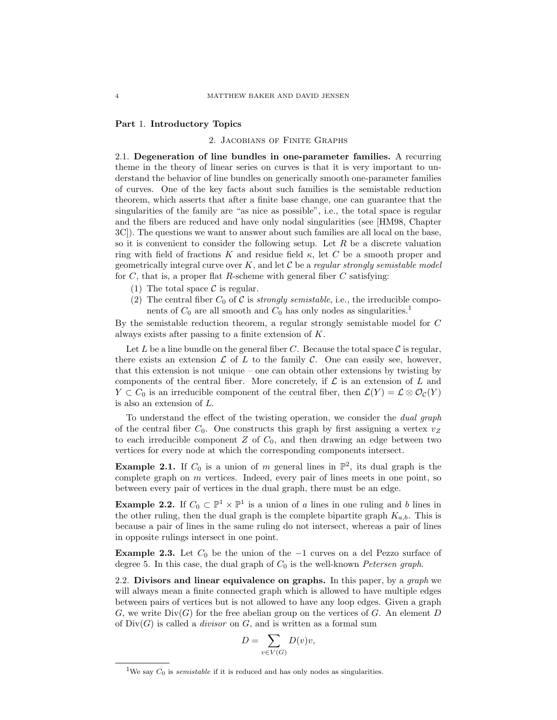### Part 1. Introductory Topics

#### 2. Jacobians of Finite Graphs

2.1. Degeneration of line bundles in one-parameter families. A recurring theme in the theory of linear series on curves is that it is very important to understand the behavior of line bundles on generically smooth one-parameter families of curves. One of the key facts about such families is the semistable reduction theorem, which asserts that after a finite base change, one can guarantee that the singularities of the family are "as nice as possible", i.e., the total space is regular and the fibers are reduced and have only nodal singularities (see [HM98, Chapter 3C]). The questions we want to answer about such families are all local on the base, so it is convenient to consider the following setup. Let  $R$  be a discrete valuation ring with field of fractions K and residue field  $\kappa$ , let C be a smooth proper and geometrically integral curve over  $K$ , and let  $\mathcal C$  be a *regular strongly semistable model* for  $C$ , that is, a proper flat R-scheme with general fiber  $C$  satisfying:

- (1) The total space  $\mathcal C$  is regular.
- (2) The central fiber  $C_0$  of C is *strongly semistable*, i.e., the irreducible components of  $C_0$  are all smooth and  $C_0$  has only nodes as singularities.<sup>1</sup>

By the semistable reduction theorem, a regular strongly semistable model for C always exists after passing to a finite extension of K.

Let L be a line bundle on the general fiber C. Because the total space  $\mathcal C$  is regular, there exists an extension  $\mathcal L$  of  $L$  to the family  $\mathcal C$ . One can easily see, however, that this extension is not unique – one can obtain other extensions by twisting by components of the central fiber. More concretely, if  $\mathcal L$  is an extension of  $L$  and  $Y \subset C_0$  is an irreducible component of the central fiber, then  $\mathcal{L}(Y) = \mathcal{L} \otimes \mathcal{O}_\mathcal{C}(Y)$ is also an extension of L.

To understand the effect of the twisting operation, we consider the dual graph of the central fiber  $C_0$ . One constructs this graph by first assigning a vertex  $v_Z$ to each irreducible component  $Z$  of  $C_0$ , and then drawing an edge between two vertices for every node at which the corresponding components intersect.

**Example 2.1.** If  $C_0$  is a union of m general lines in  $\mathbb{P}^2$ , its dual graph is the complete graph on m vertices. Indeed, every pair of lines meets in one point, so between every pair of vertices in the dual graph, there must be an edge.

**Example 2.2.** If  $C_0 \subset \mathbb{P}^1 \times \mathbb{P}^1$  is a union of a lines in one ruling and b lines in the other ruling, then the dual graph is the complete bipartite graph  $K_{a,b}$ . This is because a pair of lines in the same ruling do not intersect, whereas a pair of lines in opposite rulings intersect in one point.

**Example 2.3.** Let  $C_0$  be the union of the  $-1$  curves on a del Pezzo surface of degree 5. In this case, the dual graph of  $C_0$  is the well-known *Petersen graph*.

2.2. Divisors and linear equivalence on graphs. In this paper, by a graph we will always mean a finite connected graph which is allowed to have multiple edges between pairs of vertices but is not allowed to have any loop edges. Given a graph G, we write  $Div(G)$  for the free abelian group on the vertices of G. An element D of  $Div(G)$  is called a *divisor* on G, and is written as a formal sum

$$
D = \sum_{v \in V(G)} D(v)v,
$$

<sup>&</sup>lt;sup>1</sup>We say  $C_0$  is *semistable* if it is reduced and has only nodes as singularities.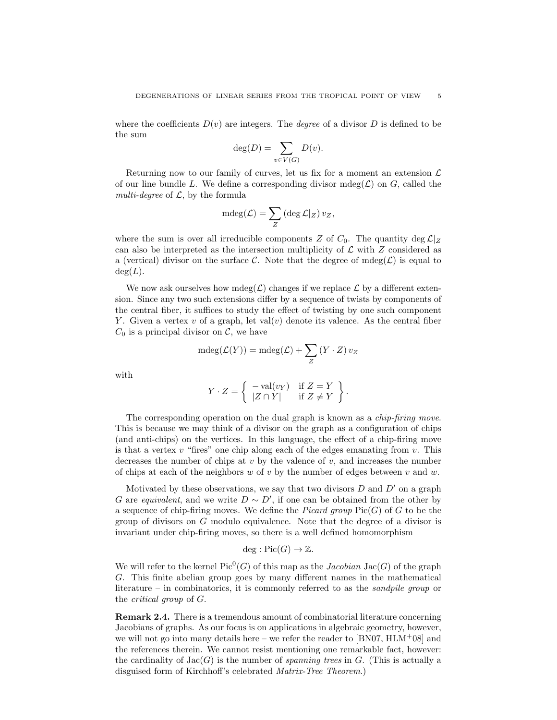where the coefficients  $D(v)$  are integers. The *degree* of a divisor D is defined to be the sum

$$
\deg(D) = \sum_{v \in V(G)} D(v).
$$

Returning now to our family of curves, let us fix for a moment an extension  $\mathcal L$ of our line bundle L. We define a corresponding divisor mdeg( $\mathcal{L}$ ) on G, called the multi-degree of  $\mathcal{L}$ , by the formula

$$
\operatorname{mdeg}(\mathcal{L}) = \sum_Z \left( \deg \mathcal{L}|_Z \right) v_Z,
$$

where the sum is over all irreducible components Z of  $C_0$ . The quantity deg  $\mathcal{L}|_Z$ can also be interpreted as the intersection multiplicity of  $\mathcal L$  with  $Z$  considered as a (vertical) divisor on the surface C. Note that the degree of  $mdeg(\mathcal{L})$  is equal to  $deg(L)$ .

We now ask ourselves how mdeg( $\mathcal{L}$ ) changes if we replace  $\mathcal{L}$  by a different extension. Since any two such extensions differ by a sequence of twists by components of the central fiber, it suffices to study the effect of twisting by one such component Y. Given a vertex v of a graph, let val(v) denote its valence. As the central fiber  $C_0$  is a principal divisor on C, we have

$$
\operatorname{mdeg}(\mathcal{L}(Y)) = \operatorname{mdeg}(\mathcal{L}) + \sum_{Z} (Y \cdot Z) v_Z
$$

with

$$
Y \cdot Z = \left\{ \begin{array}{ll} -\text{val}(v_Y) & \text{if } Z = Y \\ |Z \cap Y| & \text{if } Z \neq Y \end{array} \right\}.
$$

The corresponding operation on the dual graph is known as a *chip-firing move*. This is because we may think of a divisor on the graph as a configuration of chips (and anti-chips) on the vertices. In this language, the effect of a chip-firing move is that a vertex  $v$  "fires" one chip along each of the edges emanating from  $v$ . This decreases the number of chips at v by the valence of v, and increases the number of chips at each of the neighbors w of v by the number of edges between v and w.

Motivated by these observations, we say that two divisors  $D$  and  $D'$  on a graph G are equivalent, and we write  $D \sim D'$ , if one can be obtained from the other by a sequence of chip-firing moves. We define the *Picard group*  $Pic(G)$  of G to be the group of divisors on G modulo equivalence. Note that the degree of a divisor is invariant under chip-firing moves, so there is a well defined homomorphism

$$
\deg: \mathrm{Pic}(G) \to \mathbb{Z}.
$$

We will refer to the kernel  $Pic^0(G)$  of this map as the *Jacobian* Jac $(G)$  of the graph G. This finite abelian group goes by many different names in the mathematical literature – in combinatorics, it is commonly referred to as the *sandpile group* or the critical group of G.

Remark 2.4. There is a tremendous amount of combinatorial literature concerning Jacobians of graphs. As our focus is on applications in algebraic geometry, however, we will not go into many details here – we refer the reader to  $[BN07, HLM+08]$  and the references therein. We cannot resist mentioning one remarkable fact, however: the cardinality of  $Jac(G)$  is the number of spanning trees in G. (This is actually a disguised form of Kirchhoff's celebrated Matrix-Tree Theorem.)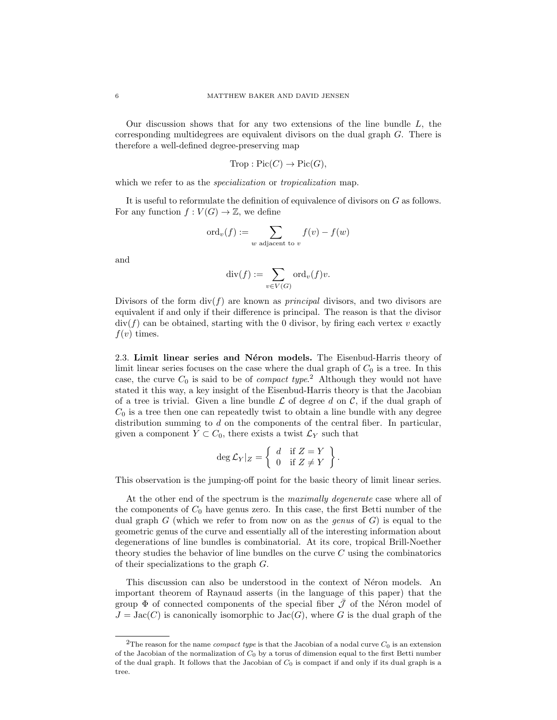Our discussion shows that for any two extensions of the line bundle  $L$ , the corresponding multidegrees are equivalent divisors on the dual graph G. There is therefore a well-defined degree-preserving map

$$
Trop: Pic(C) \to Pic(G),
$$

which we refer to as the *specialization* or *tropicalization* map.

It is useful to reformulate the definition of equivalence of divisors on G as follows. For any function  $f: V(G) \to \mathbb{Z}$ , we define

$$
ord_v(f) := \sum_{w \text{ adjacent to } v} f(v) - f(w)
$$

and

$$
\mathrm{div}(f) := \sum_{v \in V(G)} \mathrm{ord}_v(f)v.
$$

Divisors of the form  $div(f)$  are known as *principal* divisors, and two divisors are equivalent if and only if their difference is principal. The reason is that the divisor  $div(f)$  can be obtained, starting with the 0 divisor, by firing each vertex v exactly  $f(v)$  times.

2.3. Limit linear series and Néron models. The Eisenbud-Harris theory of limit linear series focuses on the case where the dual graph of  $C_0$  is a tree. In this case, the curve  $C_0$  is said to be of *compact type*.<sup>2</sup> Although they would not have stated it this way, a key insight of the Eisenbud-Harris theory is that the Jacobian of a tree is trivial. Given a line bundle  $\mathcal L$  of degree d on C, if the dual graph of  $C_0$  is a tree then one can repeatedly twist to obtain a line bundle with any degree distribution summing to d on the components of the central fiber. In particular, given a component  $Y \subset C_0$ , there exists a twist  $\mathcal{L}_Y$  such that

$$
\deg \mathcal{L}_Y|_Z = \left\{ \begin{array}{ll} d & \text{if } Z = Y \\ 0 & \text{if } Z \neq Y \end{array} \right\}.
$$

This observation is the jumping-off point for the basic theory of limit linear series.

At the other end of the spectrum is the *maximally degenerate* case where all of the components of  $C_0$  have genus zero. In this case, the first Betti number of the dual graph G (which we refer to from now on as the *genus* of  $G$ ) is equal to the geometric genus of the curve and essentially all of the interesting information about degenerations of line bundles is combinatorial. At its core, tropical Brill-Noether theory studies the behavior of line bundles on the curve  $C$  using the combinatorics of their specializations to the graph G.

This discussion can also be understood in the context of Néron models. An important theorem of Raynaud asserts (in the language of this paper) that the group  $\Phi$  of connected components of the special fiber  $\bar{\mathcal{J}}$  of the Néron model of  $J = \text{Jac}(C)$  is canonically isomorphic to  $\text{Jac}(G)$ , where G is the dual graph of the

<sup>&</sup>lt;sup>2</sup>The reason for the name *compact type* is that the Jacobian of a nodal curve  $C_0$  is an extension of the Jacobian of the normalization of  $C_0$  by a torus of dimension equal to the first Betti number of the dual graph. It follows that the Jacobian of  $C_0$  is compact if and only if its dual graph is a tree.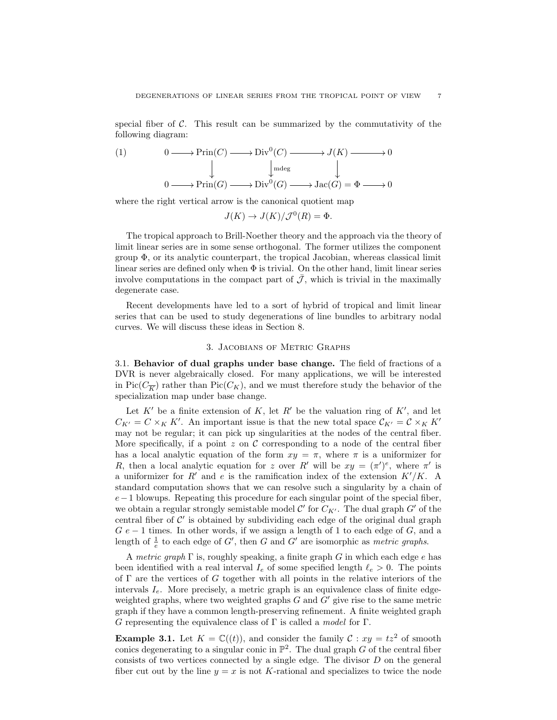special fiber of  $C$ . This result can be summarized by the commutativity of the following diagram:

(1) 
$$
0 \longrightarrow \text{Prim}(C) \longrightarrow \text{Div}^{0}(C) \longrightarrow J(K) \longrightarrow 0
$$

$$
\downarrow \qquad \qquad \downarrow \text{mdeg} \qquad \qquad \downarrow
$$

$$
0 \longrightarrow \text{Prim}(G) \longrightarrow \text{Div}^{0}(G) \longrightarrow \text{Jac}(G) = \Phi \longrightarrow 0
$$

where the right vertical arrow is the canonical quotient map

$$
J(K) \to J(K)/\mathcal{J}^0(R) = \Phi.
$$

The tropical approach to Brill-Noether theory and the approach via the theory of limit linear series are in some sense orthogonal. The former utilizes the component group  $\Phi$ , or its analytic counterpart, the tropical Jacobian, whereas classical limit linear series are defined only when  $\Phi$  is trivial. On the other hand, limit linear series involve computations in the compact part of  $\bar{\mathcal{J}}$ , which is trivial in the maximally degenerate case.

Recent developments have led to a sort of hybrid of tropical and limit linear series that can be used to study degenerations of line bundles to arbitrary nodal curves. We will discuss these ideas in Section 8.

### 3. Jacobians of Metric Graphs

3.1. Behavior of dual graphs under base change. The field of fractions of a DVR is never algebraically closed. For many applications, we will be interested in Pic( $C_{\overline{K}}$ ) rather than Pic( $C_K$ ), and we must therefore study the behavior of the specialization map under base change.

Let K' be a finite extension of K, let R' be the valuation ring of K', and let  $C_{K'} = C \times_K K'$ . An important issue is that the new total space  $C_{K'} = C \times_K K'$ may not be regular; it can pick up singularities at the nodes of the central fiber. More specifically, if a point z on  $\mathcal C$  corresponding to a node of the central fiber has a local analytic equation of the form  $xy = \pi$ , where  $\pi$  is a uniformizer for R, then a local analytic equation for z over R' will be  $xy = (\pi')^e$ , where  $\pi'$  is a uniformizer for R' and e is the ramification index of the extension  $K'/K$ . A standard computation shows that we can resolve such a singularity by a chain of  $e-1$  blowups. Repeating this procedure for each singular point of the special fiber, we obtain a regular strongly semistable model  $\mathcal{C}'$  for  $C_{K'}$ . The dual graph  $G'$  of the central fiber of  $\mathcal{C}'$  is obtained by subdividing each edge of the original dual graph  $G e - 1$  times. In other words, if we assign a length of 1 to each edge of  $G$ , and a length of  $\frac{1}{e}$  to each edge of G', then G and G' are isomorphic as *metric graphs*.

A metric graph  $\Gamma$  is, roughly speaking, a finite graph G in which each edge e has been identified with a real interval  $I_e$  of some specified length  $\ell_e > 0$ . The points of  $\Gamma$  are the vertices of G together with all points in the relative interiors of the intervals  $I_e$ . More precisely, a metric graph is an equivalence class of finite edgeweighted graphs, where two weighted graphs  $G$  and  $G'$  give rise to the same metric graph if they have a common length-preserving refinement. A finite weighted graph G representing the equivalence class of  $\Gamma$  is called a *model* for  $\Gamma$ .

**Example 3.1.** Let  $K = \mathbb{C}((t))$ , and consider the family  $\mathcal{C}: xy = tz^2$  of smooth conics degenerating to a singular conic in  $\mathbb{P}^2$ . The dual graph G of the central fiber consists of two vertices connected by a single edge. The divisor D on the general fiber cut out by the line  $y = x$  is not K-rational and specializes to twice the node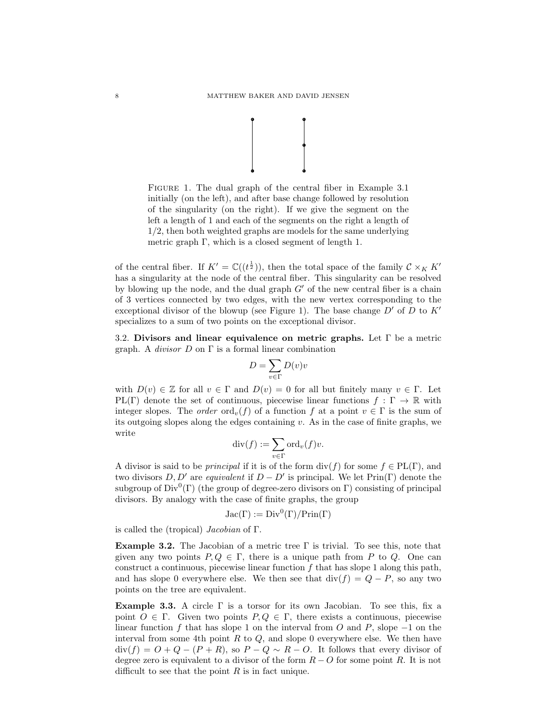

Figure 1. The dual graph of the central fiber in Example 3.1 initially (on the left), and after base change followed by resolution of the singularity (on the right). If we give the segment on the left a length of 1 and each of the segments on the right a length of 1/2, then both weighted graphs are models for the same underlying metric graph Γ, which is a closed segment of length 1.

of the central fiber. If  $K' = \mathbb{C}((t^{\frac{1}{2}}))$ , then the total space of the family  $\mathcal{C} \times_K K'$ has a singularity at the node of the central fiber. This singularity can be resolved by blowing up the node, and the dual graph  $G'$  of the new central fiber is a chain of 3 vertices connected by two edges, with the new vertex corresponding to the exceptional divisor of the blowup (see Figure 1). The base change  $D'$  of D to  $K'$ specializes to a sum of two points on the exceptional divisor.

3.2. Divisors and linear equivalence on metric graphs. Let  $\Gamma$  be a metric graph. A *divisor*  $D$  on  $\Gamma$  is a formal linear combination

$$
D=\sum_{v\in\Gamma}D(v)v
$$

with  $D(v) \in \mathbb{Z}$  for all  $v \in \Gamma$  and  $D(v) = 0$  for all but finitely many  $v \in \Gamma$ . Let PL(Γ) denote the set of continuous, piecewise linear functions  $f : \Gamma \to \mathbb{R}$  with integer slopes. The *order* ord<sub>v</sub>(f) of a function f at a point  $v \in \Gamma$  is the sum of its outgoing slopes along the edges containing  $v$ . As in the case of finite graphs, we write

$$
\mathrm{div}(f) := \sum_{v \in \Gamma} \mathrm{ord}_v(f) v.
$$

A divisor is said to be *principal* if it is of the form  $\text{div}(f)$  for some  $f \in PL(\Gamma)$ , and two divisors  $D, D'$  are equivalent if  $D - D'$  is principal. We let  $\text{Prin}(\Gamma)$  denote the subgroup of  $Div^0(\Gamma)$  (the group of degree-zero divisors on  $\Gamma$ ) consisting of principal divisors. By analogy with the case of finite graphs, the group

$$
Jac(\Gamma) := Div^0(\Gamma)/Prin(\Gamma)
$$

is called the (tropical) Jacobian of Γ.

**Example 3.2.** The Jacobian of a metric tree  $\Gamma$  is trivial. To see this, note that given any two points  $P, Q \in \Gamma$ , there is a unique path from P to Q. One can construct a continuous, piecewise linear function  $f$  that has slope 1 along this path, and has slope 0 everywhere else. We then see that  $\text{div}(f) = Q - P$ , so any two points on the tree are equivalent.

**Example 3.3.** A circle  $\Gamma$  is a torsor for its own Jacobian. To see this, fix a point  $O \in \Gamma$ . Given two points  $P, Q \in \Gamma$ , there exists a continuous, piecewise linear function f that has slope 1 on the interval from O and P, slope  $-1$  on the interval from some 4th point  $R$  to  $Q$ , and slope 0 everywhere else. We then have  $div(f) = O + Q - (P + R)$ , so  $P - Q \sim R - O$ . It follows that every divisor of degree zero is equivalent to a divisor of the form  $R - O$  for some point R. It is not difficult to see that the point  $R$  is in fact unique.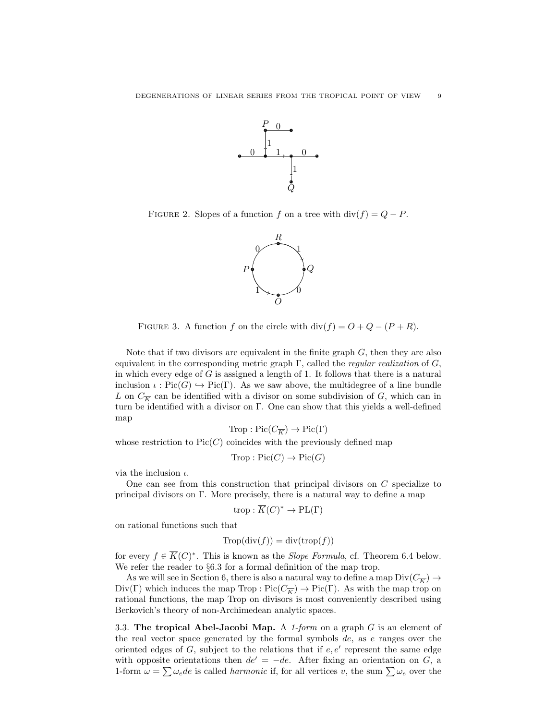

FIGURE 2. Slopes of a function f on a tree with  $div(f) = Q - P$ .



FIGURE 3. A function f on the circle with  $div(f) = O + Q - (P + R)$ .

Note that if two divisors are equivalent in the finite graph  $G$ , then they are also equivalent in the corresponding metric graph  $\Gamma$ , called the *regular realization* of  $G$ , in which every edge of  $G$  is assigned a length of 1. It follows that there is a natural inclusion  $\iota : Pic(G) \hookrightarrow Pic(\Gamma)$ . As we saw above, the multidegree of a line bundle L on  $C_{\overline{K}}$  can be identified with a divisor on some subdivision of G, which can in turn be identified with a divisor on Γ. One can show that this yields a well-defined map

$$
\text{Trop}: \text{Pic}(C_{\overline{K}}) \to \text{Pic}(\Gamma)
$$

whose restriction to  $Pic(C)$  coincides with the previously defined map

$$
Trop : Pic(C) \to Pic(G)
$$

via the inclusion  $\iota$ .

One can see from this construction that principal divisors on  $C$  specialize to principal divisors on Γ. More precisely, there is a natural way to define a map

$$
\operatorname{trop}: \overline{K}(C)^* \to \operatorname{PL}(\Gamma)
$$

on rational functions such that

$$
Trop(\operatorname{div}(f)) = \operatorname{div}(\operatorname{trop}(f))
$$

for every  $f \in \overline{K}(C)^*$ . This is known as the *Slope Formula*, cf. Theorem 6.4 below. We refer the reader to §6.3 for a formal definition of the map trop.

As we will see in Section 6, there is also a natural way to define a map  $\text{Div}(C_{\overline{K}}) \to$  $Div(\Gamma)$  which induces the map Trop :  $Pic(C_{\overline{K}}) \to Pic(\Gamma)$ . As with the map trop on rational functions, the map Trop on divisors is most conveniently described using Berkovich's theory of non-Archimedean analytic spaces.

3.3. The tropical Abel-Jacobi Map. A 1-form on a graph  $G$  is an element of the real vector space generated by the formal symbols  $de$ , as  $e$  ranges over the oriented edges of  $G$ , subject to the relations that if  $e, e'$  represent the same edge with opposite orientations then  $de' = -de$ . After fixing an orientation on G, a 1-form  $\omega = \sum \omega_e de$  is called *harmonic* if, for all vertices v, the sum  $\sum \omega_e$  over the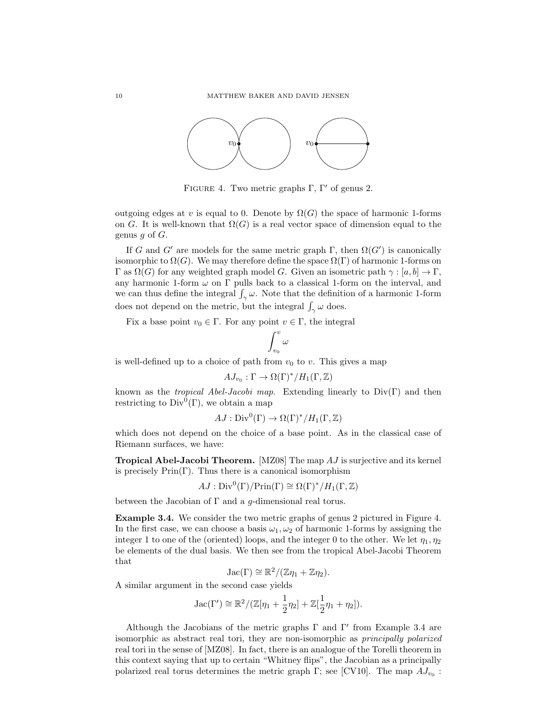

FIGURE 4. Two metric graphs  $\Gamma$ ,  $\Gamma'$  of genus 2.

outgoing edges at v is equal to 0. Denote by  $\Omega(G)$  the space of harmonic 1-forms on G. It is well-known that  $\Omega(G)$  is a real vector space of dimension equal to the genus  $g$  of  $G$ .

If G and G' are models for the same metric graph  $\Gamma$ , then  $\Omega(G')$  is canonically isomorphic to  $\Omega(G)$ . We may therefore define the space  $\Omega(\Gamma)$  of harmonic 1-forms on Γ as  $\Omega(G)$  for any weighted graph model G. Given an isometric path  $\gamma : [a, b] \to \Gamma$ , any harmonic 1-form  $\omega$  on  $\Gamma$  pulls back to a classical 1-form on the interval, and we can thus define the integral  $\int_{\gamma} \omega$ . Note that the definition of a harmonic 1-form does not depend on the metric, but the integral  $\int_{\gamma} \omega$  does.

Fix a base point  $v_0 \in \Gamma$ . For any point  $v \in \Gamma$ , the integral

$$
\int_{v_0}^v \omega
$$

is well-defined up to a choice of path from  $v_0$  to v. This gives a map

$$
AJ_{v_0} : \Gamma \to \Omega(\Gamma)^* / H_1(\Gamma, \mathbb{Z})
$$

known as the *tropical Abel-Jacobi map*. Extending linearly to  $Div(\Gamma)$  and then restricting to  $Div^0(\Gamma)$ , we obtain a map

$$
AJ: \text{Div}^0(\Gamma) \to \Omega(\Gamma)^*/H_1(\Gamma, \mathbb{Z})
$$

which does not depend on the choice of a base point. As in the classical case of Riemann surfaces, we have:

**Tropical Abel-Jacobi Theorem.** [MZ08] The map  $AJ$  is surjective and its kernel is precisely  $\text{Prin}(\Gamma)$ . Thus there is a canonical isomorphism

$$
AJ: \mathrm{Div}^{0}(\Gamma)/\mathrm{Prin}(\Gamma) \cong \Omega(\Gamma)^{*}/H_{1}(\Gamma, \mathbb{Z})
$$

between the Jacobian of  $\Gamma$  and a q-dimensional real torus.

Example 3.4. We consider the two metric graphs of genus 2 pictured in Figure 4. In the first case, we can choose a basis  $\omega_1, \omega_2$  of harmonic 1-forms by assigning the integer 1 to one of the (oriented) loops, and the integer 0 to the other. We let  $\eta_1, \eta_2$ be elements of the dual basis. We then see from the tropical Abel-Jacobi Theorem that

$$
Jac(\Gamma) \cong \mathbb{R}^2/(\mathbb{Z}\eta_1 + \mathbb{Z}\eta_2).
$$

A similar argument in the second case yields

Jac(
$$
\Gamma'
$$
)  $\cong \mathbb{R}^2/(\mathbb{Z}[\eta_1 + \frac{1}{2}\eta_2] + \mathbb{Z}[\frac{1}{2}\eta_1 + \eta_2]).$ 

Although the Jacobians of the metric graphs  $\Gamma$  and  $\Gamma'$  from Example 3.4 are isomorphic as abstract real tori, they are non-isomorphic as principally polarized real tori in the sense of [MZ08]. In fact, there is an analogue of the Torelli theorem in this context saying that up to certain "Whitney flips", the Jacobian as a principally polarized real torus determines the metric graph  $\Gamma$ ; see [CV10]. The map  $AJ_{v_0}$ :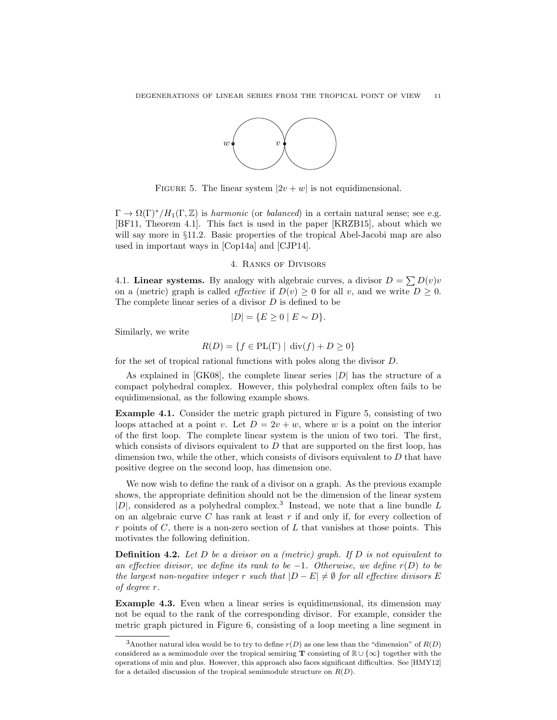

FIGURE 5. The linear system  $|2v + w|$  is not equidimensional.

 $\Gamma \to \Omega(\Gamma)^*/H_1(\Gamma, \mathbb{Z})$  is harmonic (or balanced) in a certain natural sense; see e.g. [BF11, Theorem 4.1]. This fact is used in the paper [KRZB15], about which we will say more in §11.2. Basic properties of the tropical Abel-Jacobi map are also used in important ways in [Cop14a] and [CJP14].

# 4. Ranks of Divisors

4.1. Linear systems. By analogy with algebraic curves, a divisor  $D = \sum D(v)v$ on a (metric) graph is called *effective* if  $D(v) \geq 0$  for all v, and we write  $D \geq 0$ . The complete linear series of a divisor D is defined to be

$$
|D| = \{ E \ge 0 \mid E \sim D \}.
$$

Similarly, we write

$$
R(D) = \{ f \in PL(\Gamma) \mid \text{div}(f) + D \ge 0 \}
$$

for the set of tropical rational functions with poles along the divisor D.

As explained in  $[GK08]$ , the complete linear series  $|D|$  has the structure of a compact polyhedral complex. However, this polyhedral complex often fails to be equidimensional, as the following example shows.

Example 4.1. Consider the metric graph pictured in Figure 5, consisting of two loops attached at a point v. Let  $D = 2v + w$ , where w is a point on the interior of the first loop. The complete linear system is the union of two tori. The first, which consists of divisors equivalent to  $D$  that are supported on the first loop, has dimension two, while the other, which consists of divisors equivalent to  $D$  that have positive degree on the second loop, has dimension one.

We now wish to define the rank of a divisor on a graph. As the previous example shows, the appropriate definition should not be the dimension of the linear system  $|D|$ , considered as a polyhedral complex.<sup>3</sup> Instead, we note that a line bundle L on an algebraic curve  $C$  has rank at least  $r$  if and only if, for every collection of r points of C, there is a non-zero section of L that vanishes at those points. This motivates the following definition.

**Definition 4.2.** Let  $D$  be a divisor on a (metric) graph. If  $D$  is not equivalent to an effective divisor, we define its rank to be  $-1$ . Otherwise, we define r(D) to be the largest non-negative integer r such that  $|D - E| \neq \emptyset$  for all effective divisors E of degree r.

Example 4.3. Even when a linear series is equidimensional, its dimension may not be equal to the rank of the corresponding divisor. For example, consider the metric graph pictured in Figure 6, consisting of a loop meeting a line segment in

<sup>&</sup>lt;sup>3</sup>Another natural idea would be to try to define  $r(D)$  as one less than the "dimension" of  $R(D)$ considered as a semimodule over the tropical semiring T consisting of  $\mathbb{R} \cup {\infty}$  together with the operations of min and plus. However, this approach also faces significant difficulties. See [HMY12] for a detailed discussion of the tropical semimodule structure on  $R(D)$ .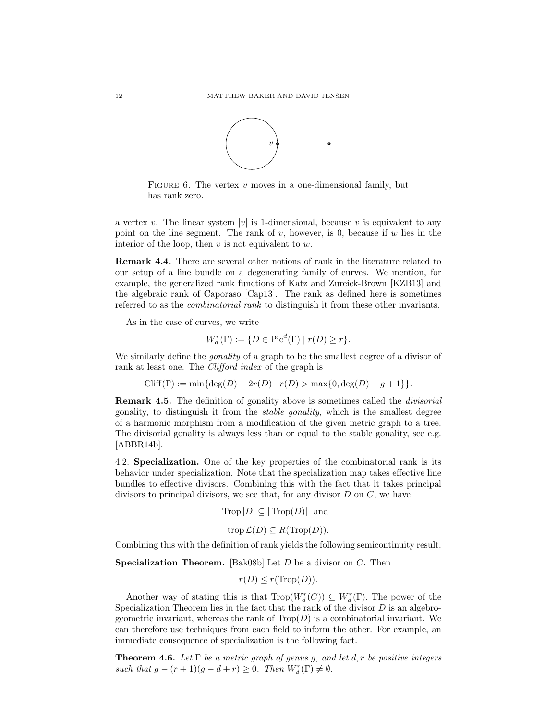

FIGURE 6. The vertex  $v$  moves in a one-dimensional family, but has rank zero.

a vertex v. The linear system |v| is 1-dimensional, because v is equivalent to any point on the line segment. The rank of v, however, is 0, because if w lies in the interior of the loop, then  $v$  is not equivalent to  $w$ .

Remark 4.4. There are several other notions of rank in the literature related to our setup of a line bundle on a degenerating family of curves. We mention, for example, the generalized rank functions of Katz and Zureick-Brown [KZB13] and the algebraic rank of Caporaso [Cap13]. The rank as defined here is sometimes referred to as the combinatorial rank to distinguish it from these other invariants.

As in the case of curves, we write

$$
W_d^r(\Gamma) := \{ D \in \text{Pic}^d(\Gamma) \mid r(D) \ge r \}.
$$

We similarly define the *gonality* of a graph to be the smallest degree of a divisor of rank at least one. The *Clifford index* of the graph is

 $Cliff(\Gamma) := \min\{\deg(D) - 2r(D) \mid r(D) > \max\{0, \deg(D) - q + 1\}\}.$ 

Remark 4.5. The definition of gonality above is sometimes called the *divisorial* gonality, to distinguish it from the stable gonality, which is the smallest degree of a harmonic morphism from a modification of the given metric graph to a tree. The divisorial gonality is always less than or equal to the stable gonality, see e.g. [ABBR14b].

4.2. Specialization. One of the key properties of the combinatorial rank is its behavior under specialization. Note that the specialization map takes effective line bundles to effective divisors. Combining this with the fact that it takes principal divisors to principal divisors, we see that, for any divisor  $D$  on  $C$ , we have

$$
Trop |D| \subseteq |\text{Trop}(D)| \text{ and }
$$

$$
\operatorname{trop} \mathcal{L}(D) \subseteq R(\operatorname{Trop} (D)).
$$

Combining this with the definition of rank yields the following semicontinuity result.

**Specialization Theorem.** [Bak08b] Let  $D$  be a divisor on  $C$ . Then

$$
r(D) \le r(\text{Trop}(D)).
$$

Another way of stating this is that  $\text{Trop}(W_d^r(C)) \subseteq W_d^r(\Gamma)$ . The power of the Specialization Theorem lies in the fact that the rank of the divisor  $D$  is an algebrogeometric invariant, whereas the rank of  $Trop(D)$  is a combinatorial invariant. We can therefore use techniques from each field to inform the other. For example, an immediate consequence of specialization is the following fact.

**Theorem 4.6.** Let  $\Gamma$  be a metric graph of genus g, and let d, r be positive integers such that  $g - (r + 1)(g - d + r) \ge 0$ . Then  $W_d^r(\Gamma) \neq \emptyset$ .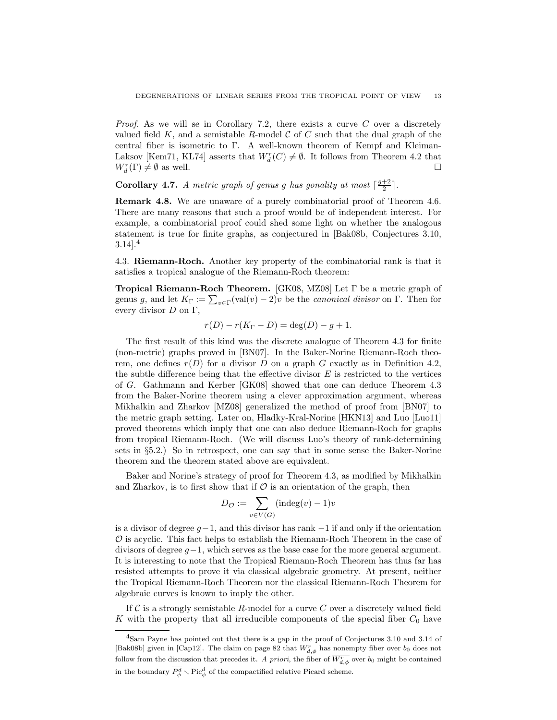*Proof.* As we will se in Corollary 7.2, there exists a curve  $C$  over a discretely valued field K, and a semistable R-model C of C such that the dual graph of the central fiber is isometric to Γ. A well-known theorem of Kempf and Kleiman-Laksov [Kem71, KL74] asserts that  $W_d^r(C) \neq \emptyset$ . It follows from Theorem 4.2 that  $W_d^r(\Gamma) \neq \emptyset$  as well.

**Corollary 4.7.** A metric graph of genus g has gonality at most  $\lceil \frac{g+2}{2} \rceil$ .

Remark 4.8. We are unaware of a purely combinatorial proof of Theorem 4.6. There are many reasons that such a proof would be of independent interest. For example, a combinatorial proof could shed some light on whether the analogous statement is true for finite graphs, as conjectured in [Bak08b, Conjectures 3.10,  $3.14$ <sup>4</sup>

4.3. Riemann-Roch. Another key property of the combinatorial rank is that it satisfies a tropical analogue of the Riemann-Roch theorem:

Tropical Riemann-Roch Theorem. [GK08, MZ08] Let Γ be a metric graph of genus g, and let  $K_{\Gamma} := \sum_{v \in \Gamma} (val(v) - 2)v$  be the *canonical divisor* on  $\Gamma$ . Then for every divisor  $D$  on  $\Gamma$ ,

 $r(D) - r(K_{\Gamma} - D) = \deg(D) - g + 1.$ 

The first result of this kind was the discrete analogue of Theorem 4.3 for finite (non-metric) graphs proved in [BN07]. In the Baker-Norine Riemann-Roch theorem, one defines  $r(D)$  for a divisor D on a graph G exactly as in Definition 4.2, the subtle difference being that the effective divisor  $E$  is restricted to the vertices of G. Gathmann and Kerber [GK08] showed that one can deduce Theorem 4.3 from the Baker-Norine theorem using a clever approximation argument, whereas Mikhalkin and Zharkov [MZ08] generalized the method of proof from [BN07] to the metric graph setting. Later on, Hladky-Kral-Norine [HKN13] and Luo [Luo11] proved theorems which imply that one can also deduce Riemann-Roch for graphs from tropical Riemann-Roch. (We will discuss Luo's theory of rank-determining sets in §5.2.) So in retrospect, one can say that in some sense the Baker-Norine theorem and the theorem stated above are equivalent.

Baker and Norine's strategy of proof for Theorem 4.3, as modified by Mikhalkin and Zharkov, is to first show that if  $\mathcal O$  is an orientation of the graph, then

$$
D_{\mathcal{O}} := \sum_{v \in V(G)} (\text{indeg}(v) - 1)v
$$

is a divisor of degree  $g-1$ , and this divisor has rank  $-1$  if and only if the orientation  $\mathcal O$  is acyclic. This fact helps to establish the Riemann-Roch Theorem in the case of divisors of degree  $g-1$ , which serves as the base case for the more general argument. It is interesting to note that the Tropical Riemann-Roch Theorem has thus far has resisted attempts to prove it via classical algebraic geometry. At present, neither the Tropical Riemann-Roch Theorem nor the classical Riemann-Roch Theorem for algebraic curves is known to imply the other.

If  $\mathcal C$  is a strongly semistable R-model for a curve  $C$  over a discretely valued field K with the property that all irreducible components of the special fiber  $C_0$  have

<sup>4</sup>Sam Payne has pointed out that there is a gap in the proof of Conjectures 3.10 and 3.14 of [Bak08b] given in [Cap12]. The claim on page 82 that  $W_{d,\phi}^r$  has nonempty fiber over  $b_0$  does not follow from the discussion that precedes it. A priori, the fiber of  $\overline{W^r_{d,\phi}}$  over  $b_0$  might be contained in the boundary  $\overline{P^d_{\phi}} \setminus \text{Pic}^d_{\phi}$  of the compactified relative Picard scheme.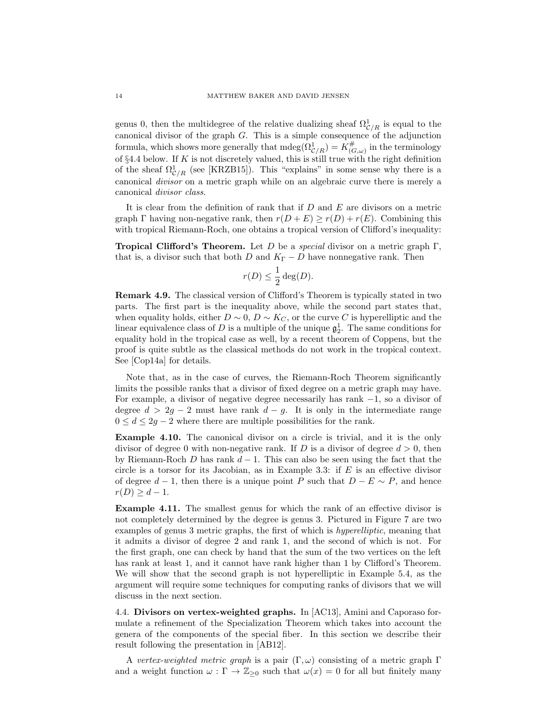genus 0, then the multidegree of the relative dualizing sheaf  $\Omega_{\mathcal{C}/R}^1$  is equal to the canonical divisor of the graph  $G$ . This is a simple consequence of the adjunction formula, which shows more generally that  $\text{mdeg}(\Omega^1_{\mathcal{C}/R}) = K^{\#}_{\mathcal{C}}$  $\mathcal{L}_{(G,\omega)}^{\#}$  in the terminology of §4.4 below. If  $K$  is not discretely valued, this is still true with the right definition of the sheaf  $\Omega^1_{\mathcal{C}/R}$  (see [KRZB15]). This "explains" in some sense why there is a canonical divisor on a metric graph while on an algebraic curve there is merely a canonical divisor class.

It is clear from the definition of rank that if D and E are divisors on a metric graph Γ having non-negative rank, then  $r(D+E) \geq r(D) + r(E)$ . Combining this with tropical Riemann-Roch, one obtains a tropical version of Clifford's inequality:

**Tropical Clifford's Theorem.** Let D be a special divisor on a metric graph  $\Gamma$ , that is, a divisor such that both D and  $K_{\Gamma} - D$  have nonnegative rank. Then

$$
r(D) \le \frac{1}{2} \deg(D).
$$

Remark 4.9. The classical version of Clifford's Theorem is typically stated in two parts. The first part is the inequality above, while the second part states that, when equality holds, either  $D \sim 0$ ,  $D \sim K_C$ , or the curve C is hyperelliptic and the linear equivalence class of D is a multiple of the unique  $\mathfrak{g}^1_2$ . The same conditions for equality hold in the tropical case as well, by a recent theorem of Coppens, but the proof is quite subtle as the classical methods do not work in the tropical context. See [Cop14a] for details.

Note that, as in the case of curves, the Riemann-Roch Theorem significantly limits the possible ranks that a divisor of fixed degree on a metric graph may have. For example, a divisor of negative degree necessarily has rank −1, so a divisor of degree  $d > 2g - 2$  must have rank  $d - g$ . It is only in the intermediate range  $0 \leq d \leq 2g - 2$  where there are multiple possibilities for the rank.

Example 4.10. The canonical divisor on a circle is trivial, and it is the only divisor of degree 0 with non-negative rank. If D is a divisor of degree  $d > 0$ , then by Riemann-Roch D has rank  $d-1$ . This can also be seen using the fact that the circle is a torsor for its Jacobian, as in Example 3.3: if  $E$  is an effective divisor of degree  $d-1$ , then there is a unique point P such that  $D - E \sim P$ , and hence  $r(D) > d-1.$ 

Example 4.11. The smallest genus for which the rank of an effective divisor is not completely determined by the degree is genus 3. Pictured in Figure 7 are two examples of genus 3 metric graphs, the first of which is hyperelliptic, meaning that it admits a divisor of degree 2 and rank 1, and the second of which is not. For the first graph, one can check by hand that the sum of the two vertices on the left has rank at least 1, and it cannot have rank higher than 1 by Clifford's Theorem. We will show that the second graph is not hyperelliptic in Example 5.4, as the argument will require some techniques for computing ranks of divisors that we will discuss in the next section.

4.4. Divisors on vertex-weighted graphs. In [AC13], Amini and Caporaso formulate a refinement of the Specialization Theorem which takes into account the genera of the components of the special fiber. In this section we describe their result following the presentation in [AB12].

A vertex-weighted metric graph is a pair  $(\Gamma, \omega)$  consisting of a metric graph  $\Gamma$ and a weight function  $\omega : \Gamma \to \mathbb{Z}_{\geq 0}$  such that  $\omega(x) = 0$  for all but finitely many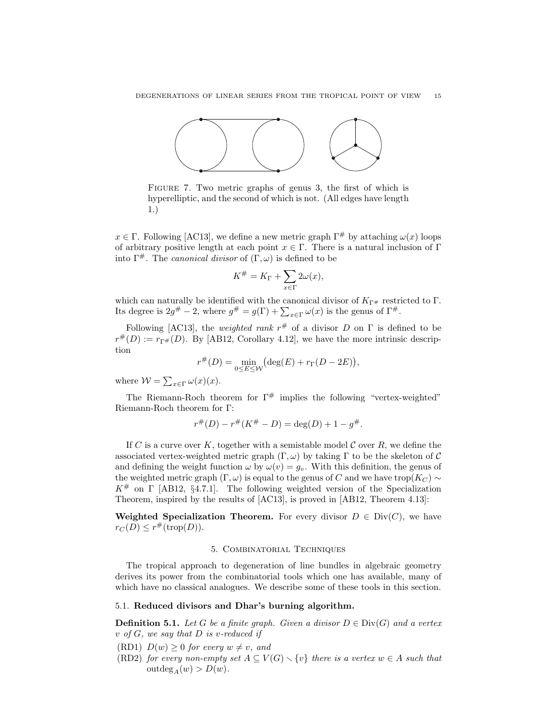

FIGURE 7. Two metric graphs of genus 3, the first of which is hyperelliptic, and the second of which is not. (All edges have length 1.)

 $x \in \Gamma$ . Following [AC13], we define a new metric graph  $\Gamma^{\#}$  by attaching  $\omega(x)$  loops of arbitrary positive length at each point  $x \in \Gamma$ . There is a natural inclusion of Γ into  $\Gamma^{\#}$ . The *canonical divisor* of  $(\Gamma, \omega)$  is defined to be

$$
K^{\#} = K_{\Gamma} + \sum_{x \in \Gamma} 2\omega(x),
$$

which can naturally be identified with the canonical divisor of  $K_{\Gamma^{\#}}$  restricted to  $\Gamma$ . Its degree is  $2g^{\#} - 2$ , where  $g^{\#} = g(\Gamma) + \sum_{x \in \Gamma} \omega(x)$  is the genus of  $\Gamma^{\#}$ .

Following [AC13], the *weighted rank*  $r^{\#}$  of a divisor D on  $\Gamma$  is defined to be  $r^{\#}(D) := r_{\Gamma^{\#}}(D)$ . By [AB12, Corollary 4.12], we have the more intrinsic description

$$
r^{\#}(D) = \min_{0 \le E \le W} \left( \deg(E) + r_{\Gamma}(D - 2E) \right),\,
$$

where  $W = \sum_{x \in \Gamma} \omega(x)(x)$ .

The Riemann-Roch theorem for  $\Gamma^{\#}$  implies the following "vertex-weighted" Riemann-Roch theorem for Γ:

$$
r^{\#}(D) - r^{\#}(K^{\#} - D) = \deg(D) + 1 - g^{\#}.
$$

If C is a curve over K, together with a semistable model C over R, we define the associated vertex-weighted metric graph  $(\Gamma, \omega)$  by taking  $\Gamma$  to be the skeleton of C and defining the weight function  $\omega$  by  $\omega(v) = g_v$ . With this definition, the genus of the weighted metric graph (Γ, ω) is equal to the genus of C and we have trop( $K_C$ ) ~  $K^{\#}$  on  $\Gamma$  [AB12, §4.7.1]. The following weighted version of the Specialization Theorem, inspired by the results of [AC13], is proved in [AB12, Theorem 4.13]:

Weighted Specialization Theorem. For every divisor  $D \in Div(C)$ , we have  $r_C(D) \leq r^{\#}(\text{trop}(D)).$ 

### 5. Combinatorial Techniques

The tropical approach to degeneration of line bundles in algebraic geometry derives its power from the combinatorial tools which one has available, many of which have no classical analogues. We describe some of these tools in this section.

# 5.1. Reduced divisors and Dhar's burning algorithm.

**Definition 5.1.** Let G be a finite graph. Given a divisor  $D \in Div(G)$  and a vertex  $v$  of  $G$ , we say that  $D$  is v-reduced if

- (RD1)  $D(w) \geq 0$  for every  $w \neq v$ , and
- (RD2) for every non-empty set  $A \subseteq V(G) \setminus \{v\}$  there is a vertex  $w \in A$  such that  $outdeg_A(w) > D(w).$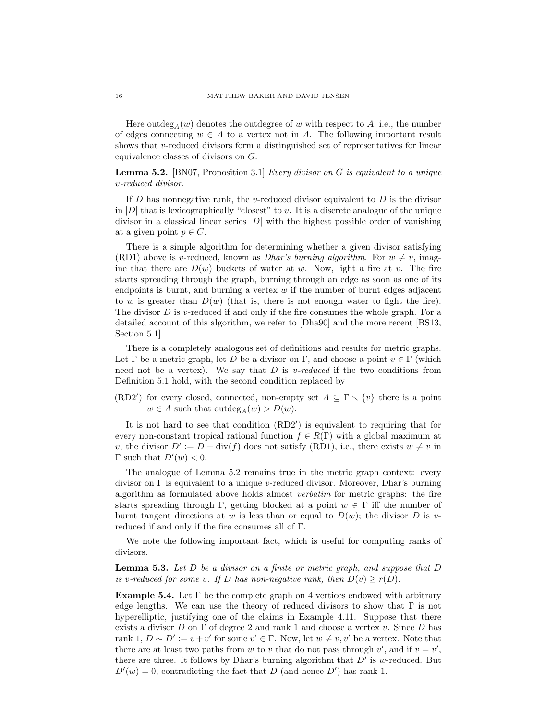Here outdeg<sub>A</sub> $(w)$  denotes the outdegree of w with respect to A, i.e., the number of edges connecting  $w \in A$  to a vertex not in A. The following important result shows that  $v$ -reduced divisors form a distinguished set of representatives for linear equivalence classes of divisors on G:

**Lemma 5.2.** [BN07, Proposition 3.1] Every divisor on G is equivalent to a unique v-reduced divisor.

If  $D$  has nonnegative rank, the v-reduced divisor equivalent to  $D$  is the divisor in  $|D|$  that is lexicographically "closest" to v. It is a discrete analogue of the unique divisor in a classical linear series  $|D|$  with the highest possible order of vanishing at a given point  $p \in C$ .

There is a simple algorithm for determining whether a given divisor satisfying (RD1) above is v-reduced, known as *Dhar's burning algorithm*. For  $w \neq v$ , imagine that there are  $D(w)$  buckets of water at w. Now, light a fire at v. The fire starts spreading through the graph, burning through an edge as soon as one of its endpoints is burnt, and burning a vertex  $w$  if the number of burnt edges adjacent to w is greater than  $D(w)$  (that is, there is not enough water to fight the fire). The divisor  $D$  is v-reduced if and only if the fire consumes the whole graph. For a detailed account of this algorithm, we refer to [Dha90] and the more recent [BS13, Section 5.1].

There is a completely analogous set of definitions and results for metric graphs. Let  $\Gamma$  be a metric graph, let D be a divisor on  $\Gamma$ , and choose a point  $v \in \Gamma$  (which need not be a vertex). We say that  $D$  is v-reduced if the two conditions from Definition 5.1 hold, with the second condition replaced by

(RD2') for every closed, connected, non-empty set  $A \subseteq \Gamma \setminus \{v\}$  there is a point  $w \in A$  such that outdeg<sub>A</sub> $(w) > D(w)$ .

It is not hard to see that condition (RD2') is equivalent to requiring that for every non-constant tropical rational function  $f \in R(\Gamma)$  with a global maximum at v, the divisor  $D' := D + \text{div}(f)$  does not satisfy (RD1), i.e., there exists  $w \neq v$  in  $\Gamma$  such that  $D'(w) < 0$ .

The analogue of Lemma 5.2 remains true in the metric graph context: every divisor on  $\Gamma$  is equivalent to a unique v-reduced divisor. Moreover, Dhar's burning algorithm as formulated above holds almost verbatim for metric graphs: the fire starts spreading through Γ, getting blocked at a point  $w \in \Gamma$  iff the number of burnt tangent directions at w is less than or equal to  $D(w)$ ; the divisor D is vreduced if and only if the fire consumes all of Γ.

We note the following important fact, which is useful for computing ranks of divisors.

**Lemma 5.3.** Let  $D$  be a divisor on a finite or metric graph, and suppose that  $D$ is v-reduced for some v. If D has non-negative rank, then  $D(v) \geq r(D)$ .

**Example 5.4.** Let  $\Gamma$  be the complete graph on 4 vertices endowed with arbitrary edge lengths. We can use the theory of reduced divisors to show that  $\Gamma$  is not hyperelliptic, justifying one of the claims in Example 4.11. Suppose that there exists a divisor D on  $\Gamma$  of degree 2 and rank 1 and choose a vertex v. Since D has rank 1,  $D \sim D' := v + v'$  for some  $v' \in \Gamma$ . Now, let  $w \neq v, v'$  be a vertex. Note that there are at least two paths from w to v that do not pass through  $v'$ , and if  $v = v'$ , there are three. It follows by Dhar's burning algorithm that  $D'$  is w-reduced. But  $D'(w) = 0$ , contradicting the fact that D (and hence D') has rank 1.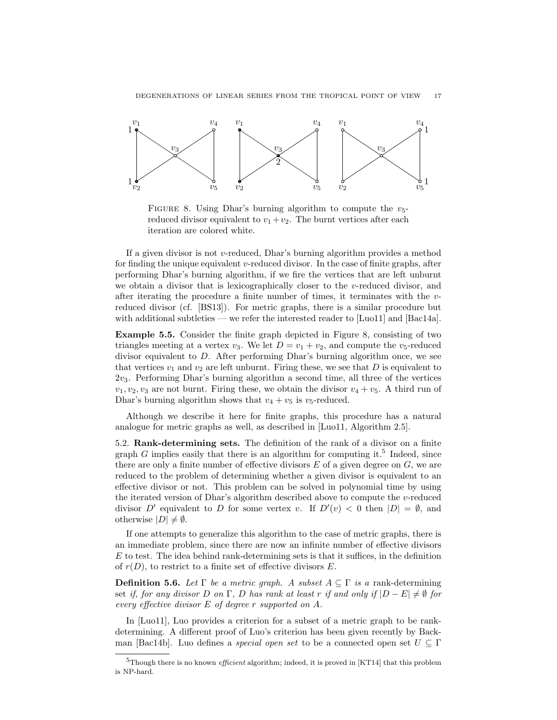

FIGURE 8. Using Dhar's burning algorithm to compute the  $v_5$ reduced divisor equivalent to  $v_1 + v_2$ . The burnt vertices after each iteration are colored white.

If a given divisor is not v-reduced, Dhar's burning algorithm provides a method for finding the unique equivalent  $v$ -reduced divisor. In the case of finite graphs, after performing Dhar's burning algorithm, if we fire the vertices that are left unburnt we obtain a divisor that is lexicographically closer to the v-reduced divisor, and after iterating the procedure a finite number of times, it terminates with the  $v$ reduced divisor (cf. [BS13]). For metric graphs, there is a similar procedure but with additional subtleties — we refer the interested reader to [Luo11] and [Bac14a].

Example 5.5. Consider the finite graph depicted in Figure 8, consisting of two triangles meeting at a vertex  $v_3$ . We let  $D = v_1 + v_2$ , and compute the  $v_5$ -reduced divisor equivalent to D. After performing Dhar's burning algorithm once, we see that vertices  $v_1$  and  $v_2$  are left unburnt. Firing these, we see that D is equivalent to 2v3. Performing Dhar's burning algorithm a second time, all three of the vertices  $v_1, v_2, v_3$  are not burnt. Firing these, we obtain the divisor  $v_4 + v_5$ . A third run of Dhar's burning algorithm shows that  $v_4 + v_5$  is  $v_5$ -reduced.

Although we describe it here for finite graphs, this procedure has a natural analogue for metric graphs as well, as described in [Luo11, Algorithm 2.5].

5.2. Rank-determining sets. The definition of the rank of a divisor on a finite graph G implies easily that there is an algorithm for computing it.<sup>5</sup> Indeed, since there are only a finite number of effective divisors  $E$  of a given degree on  $G$ , we are reduced to the problem of determining whether a given divisor is equivalent to an effective divisor or not. This problem can be solved in polynomial time by using the iterated version of Dhar's algorithm described above to compute the v-reduced divisor D' equivalent to D for some vertex v. If  $D'(v) < 0$  then  $|D| = \emptyset$ , and otherwise  $|D| \neq \emptyset$ .

If one attempts to generalize this algorithm to the case of metric graphs, there is an immediate problem, since there are now an infinite number of effective divisors  $E$  to test. The idea behind rank-determining sets is that it suffices, in the definition of  $r(D)$ , to restrict to a finite set of effective divisors E.

**Definition 5.6.** Let  $\Gamma$  be a metric graph. A subset  $A \subseteq \Gamma$  is a rank-determining set if, for any divisor D on Γ, D has rank at least r if and only if  $|D - E| \neq \emptyset$  for every effective divisor E of degree r supported on A.

In [Luo11], Luo provides a criterion for a subset of a metric graph to be rankdetermining. A different proof of Luo's criterion has been given recently by Backman [Bac14b]. Luo defines a *special open set* to be a connected open set  $U \subseteq \Gamma$ 

 $5$ Though there is no known *efficient* algorithm; indeed, it is proved in [KT14] that this problem is NP-hard.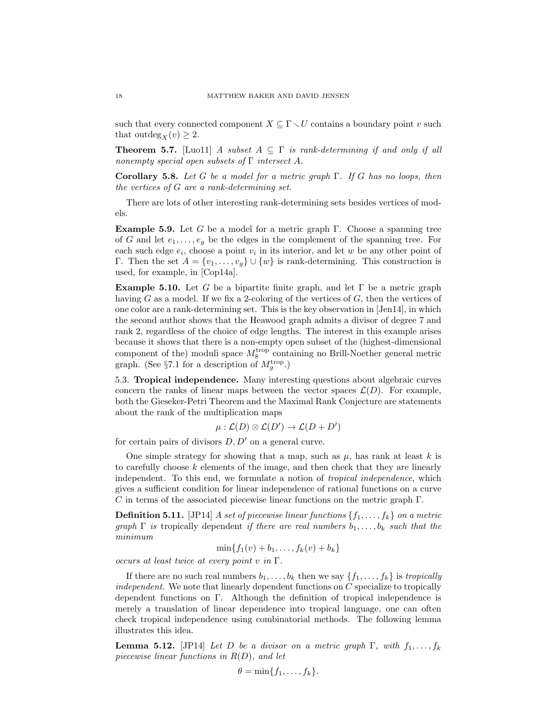such that every connected component  $X \subseteq \Gamma \setminus U$  contains a boundary point v such that outdeg<sub>X</sub> $(v) \geq 2$ .

**Theorem 5.7.** [Luo11] A subset  $A \subseteq \Gamma$  is rank-determining if and only if all nonempty special open subsets of  $\Gamma$  intersect A.

Corollary 5.8. Let G be a model for a metric graph  $\Gamma$ . If G has no loops, then the vertices of G are a rank-determining set.

There are lots of other interesting rank-determining sets besides vertices of models.

**Example 5.9.** Let G be a model for a metric graph  $\Gamma$ . Choose a spanning tree of G and let  $e_1, \ldots, e_g$  be the edges in the complement of the spanning tree. For each such edge  $e_i$ , choose a point  $v_i$  in its interior, and let w be any other point of Γ. Then the set  $A = \{v_1, \ldots, v_g\} \cup \{w\}$  is rank-determining. This construction is used, for example, in [Cop14a].

**Example 5.10.** Let G be a bipartite finite graph, and let  $\Gamma$  be a metric graph having  $G$  as a model. If we fix a 2-coloring of the vertices of  $G$ , then the vertices of one color are a rank-determining set. This is the key observation in [Jen14], in which the second author shows that the Heawood graph admits a divisor of degree 7 and rank 2, regardless of the choice of edge lengths. The interest in this example arises because it shows that there is a non-empty open subset of the (highest-dimensional component of the) moduli space  $M_8^{\text{trop}}$  containing no Brill-Noether general metric graph. (See  $\S 7.1$  for a description of  $M_g^{\text{trop}}$ .)

5.3. Tropical independence. Many interesting questions about algebraic curves concern the ranks of linear maps between the vector spaces  $\mathcal{L}(D)$ . For example, both the Gieseker-Petri Theorem and the Maximal Rank Conjecture are statements about the rank of the multiplication maps

$$
\mu:\mathcal{L}(D)\otimes\mathcal{L}(D')\to\mathcal{L}(D+D')
$$

for certain pairs of divisors  $D, D'$  on a general curve.

One simple strategy for showing that a map, such as  $\mu$ , has rank at least k is to carefully choose  $k$  elements of the image, and then check that they are linearly independent. To this end, we formulate a notion of tropical independence, which gives a sufficient condition for linear independence of rational functions on a curve  $C$  in terms of the associated piecewise linear functions on the metric graph  $\Gamma$ .

**Definition 5.11.** [JP14] A set of piecewise linear functions  $\{f_1, \ldots, f_k\}$  on a metric graph  $\Gamma$  is tropically dependent if there are real numbers  $b_1, \ldots, b_k$  such that the minimum

$$
\min\{f_1(v) + b_1, \ldots, f_k(v) + b_k\}
$$

occurs at least twice at every point v in  $\Gamma$ .

If there are no such real numbers  $b_1, \ldots, b_k$  then we say  $\{f_1, \ldots, f_k\}$  is tropically  $independent$ . We note that linearly dependent functions on  $C$  specialize to tropically dependent functions on Γ. Although the definition of tropical independence is merely a translation of linear dependence into tropical language, one can often check tropical independence using combinatorial methods. The following lemma illustrates this idea.

**Lemma 5.12.** [JP14] Let D be a divisor on a metric graph  $\Gamma$ , with  $f_1, \ldots, f_k$ piecewise linear functions in  $R(D)$ , and let

$$
\theta = \min\{f_1, \ldots, f_k\}.
$$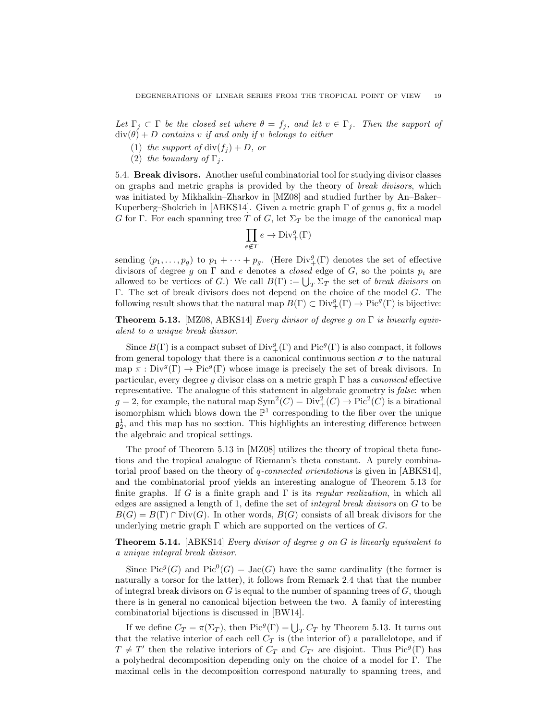Let  $\Gamma_j \subset \Gamma$  be the closed set where  $\theta = f_j$ , and let  $v \in \Gamma_j$ . Then the support of  $div(\theta) + D$  contains v if and only if v belongs to either

- (1) the support of  $div(f_i) + D$ , or
- (2) the boundary of  $\Gamma_i$ .

5.4. Break divisors. Another useful combinatorial tool for studying divisor classes on graphs and metric graphs is provided by the theory of break divisors, which was initiated by Mikhalkin–Zharkov in [MZ08] and studied further by An–Baker– Kuperberg–Shokrieh in [ABKS14]. Given a metric graph  $\Gamma$  of genus g, fix a model G for Γ. For each spanning tree T of G, let  $\Sigma_T$  be the image of the canonical map

$$
\prod_{e \notin T} e \to \text{Div}_+^g(\Gamma)
$$

sending  $(p_1, \ldots, p_g)$  to  $p_1 + \cdots + p_g$ . (Here  $Div^g_+(\Gamma)$  denotes the set of effective divisors of degree g on  $\Gamma$  and e denotes a *closed* edge of G, so the points  $p_i$  are allowed to be vertices of G.) We call  $B(\Gamma) := \bigcup_{T} \Sigma_T$  the set of *break divisors* on Γ. The set of break divisors does not depend on the choice of the model G. The following result shows that the natural map  $B(\Gamma) \subset \text{Div}^g_+(\Gamma) \to \text{Pic}^g(\Gamma)$  is bijective:

**Theorem 5.13.** [MZ08, ABKS14] *Every divisor of degree g on*  $\Gamma$  *is linearly equiv*alent to a unique break divisor.

Since  $B(\Gamma)$  is a compact subset of  $Div^g_+(\Gamma)$  and  $Pic^g(\Gamma)$  is also compact, it follows from general topology that there is a canonical continuous section  $\sigma$  to the natural map  $\pi : Div^{g}(\Gamma) \to Pic^{g}(\Gamma)$  whose image is precisely the set of break divisors. In particular, every degree g divisor class on a metric graph  $\Gamma$  has a *canonical* effective representative. The analogue of this statement in algebraic geometry is false: when  $g = 2$ , for example, the natural map  $Sym^2(C) = Div^2_+(C) \to Pic^2(C)$  is a birational isomorphism which blows down the  $\mathbb{P}^1$  corresponding to the fiber over the unique  $\mathfrak{g}_2^1$ , and this map has no section. This highlights an interesting difference between the algebraic and tropical settings.

The proof of Theorem 5.13 in [MZ08] utilizes the theory of tropical theta functions and the tropical analogue of Riemann's theta constant. A purely combinatorial proof based on the theory of q-connected orientations is given in [ABKS14], and the combinatorial proof yields an interesting analogue of Theorem 5.13 for finite graphs. If G is a finite graph and  $\Gamma$  is its *regular realization*, in which all edges are assigned a length of 1, define the set of integral break divisors on G to be  $B(G) = B(\Gamma) \cap Div(G)$ . In other words,  $B(G)$  consists of all break divisors for the underlying metric graph  $\Gamma$  which are supported on the vertices of G.

Theorem 5.14. [ABKS14] Every divisor of degree g on G is linearly equivalent to a unique integral break divisor.

Since  $Pic^g(G)$  and  $Pic^0(G) = Jac(G)$  have the same cardinality (the former is naturally a torsor for the latter), it follows from Remark 2.4 that that the number of integral break divisors on  $G$  is equal to the number of spanning trees of  $G$ , though there is in general no canonical bijection between the two. A family of interesting combinatorial bijections is discussed in [BW14].

If we define  $C_T = \pi(\Sigma_T)$ , then  $\text{Pic}^g(\Gamma) = \bigcup_T C_T$  by Theorem 5.13. It turns out that the relative interior of each cell  $C_T$  is (the interior of) a parallelotope, and if  $T \neq T'$  then the relative interiors of  $C_T$  and  $C_{T'}$  are disjoint. Thus Pic<sup>g</sup>(Γ) has a polyhedral decomposition depending only on the choice of a model for Γ. The maximal cells in the decomposition correspond naturally to spanning trees, and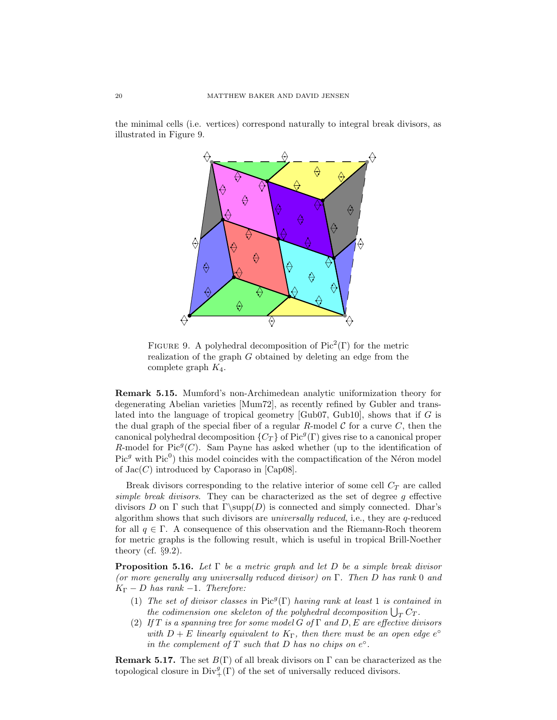the minimal cells (i.e. vertices) correspond naturally to integral break divisors, as illustrated in Figure 9.



FIGURE 9. A polyhedral decomposition of  $Pic<sup>2</sup>(\Gamma)$  for the metric realization of the graph G obtained by deleting an edge from the complete graph  $K_4$ .

Remark 5.15. Mumford's non-Archimedean analytic uniformization theory for degenerating Abelian varieties [Mum72], as recently refined by Gubler and translated into the language of tropical geometry [Gub07, Gub10], shows that if G is the dual graph of the special fiber of a regular R-model  $\mathcal C$  for a curve  $C$ , then the canonical polyhedral decomposition  $\{C_T\}$  of Pic<sup>g</sup>(Γ) gives rise to a canonical proper R-model for  $Pic^g(C)$ . Sam Payne has asked whether (up to the identification of  $Pic<sup>g</sup>$  with  $Pic<sup>0</sup>$ ) this model coincides with the compactification of the Néron model of  $Jac(C)$  introduced by Caporaso in [Cap08].

Break divisors corresponding to the relative interior of some cell  $C_T$  are called simple break divisors. They can be characterized as the set of degree g effective divisors D on  $\Gamma$  such that  $\Gamma(\text{supp}(D))$  is connected and simply connected. Dhar's algorithm shows that such divisors are universally reduced, i.e., they are q-reduced for all  $q \in \Gamma$ . A consequence of this observation and the Riemann-Roch theorem for metric graphs is the following result, which is useful in tropical Brill-Noether theory (cf.  $\S 9.2$ ).

**Proposition 5.16.** Let  $\Gamma$  be a metric graph and let D be a simple break divisor (or more generally any universally reduced divisor) on  $\Gamma$ . Then D has rank 0 and  $K_{\Gamma} - D$  has rank -1. Therefore:

- (1) The set of divisor classes in Pic<sup>9</sup>( $\Gamma$ ) having rank at least 1 is contained in the codimension one skeleton of the polyhedral decomposition  $\bigcup_T C_T$ .
- (2) If T is a spanning tree for some model G of  $\Gamma$  and D, E are effective divisors with  $D + E$  linearly equivalent to  $K_{\Gamma}$ , then there must be an open edge  $e^{\circ}$ in the complement of  $T$  such that  $D$  has no chips on  $e^{\circ}$ .

**Remark 5.17.** The set  $B(\Gamma)$  of all break divisors on  $\Gamma$  can be characterized as the topological closure in  $\text{Div}^g_+(\Gamma)$  of the set of universally reduced divisors.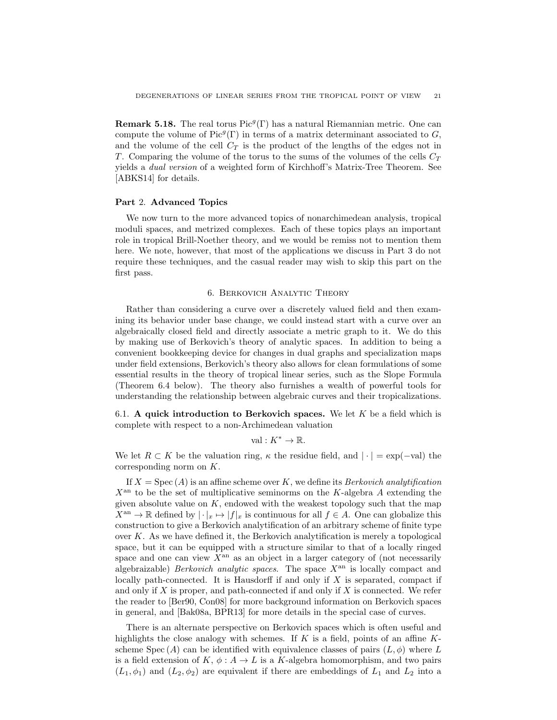**Remark 5.18.** The real torus  $Pic^g(\Gamma)$  has a natural Riemannian metric. One can compute the volume of  $Pic^g(\Gamma)$  in terms of a matrix determinant associated to G, and the volume of the cell  $C_T$  is the product of the lengths of the edges not in T. Comparing the volume of the torus to the sums of the volumes of the cells  $C_T$ yields a dual version of a weighted form of Kirchhoff's Matrix-Tree Theorem. See [ABKS14] for details.

### Part 2. Advanced Topics

We now turn to the more advanced topics of nonarchimedean analysis, tropical moduli spaces, and metrized complexes. Each of these topics plays an important role in tropical Brill-Noether theory, and we would be remiss not to mention them here. We note, however, that most of the applications we discuss in Part 3 do not require these techniques, and the casual reader may wish to skip this part on the first pass.

#### 6. Berkovich Analytic Theory

Rather than considering a curve over a discretely valued field and then examining its behavior under base change, we could instead start with a curve over an algebraically closed field and directly associate a metric graph to it. We do this by making use of Berkovich's theory of analytic spaces. In addition to being a convenient bookkeeping device for changes in dual graphs and specialization maps under field extensions, Berkovich's theory also allows for clean formulations of some essential results in the theory of tropical linear series, such as the Slope Formula (Theorem 6.4 below). The theory also furnishes a wealth of powerful tools for understanding the relationship between algebraic curves and their tropicalizations.

6.1. A quick introduction to Berkovich spaces. We let  $K$  be a field which is complete with respect to a non-Archimedean valuation

val :  $K^* \to \mathbb{R}$ .

We let  $R \subset K$  be the valuation ring,  $\kappa$  the residue field, and  $|\cdot| = \exp(-\text{val})$  the corresponding norm on K.

If  $X = \text{Spec} (A)$  is an affine scheme over K, we define its *Berkovich analytification*  $X^{\text{an}}$  to be the set of multiplicative seminorms on the K-algebra A extending the given absolute value on  $K$ , endowed with the weakest topology such that the map  $X^{\text{an}} \to \mathbb{R}$  defined by  $|\cdot|_x \mapsto |f|_x$  is continuous for all  $f \in A$ . One can globalize this construction to give a Berkovich analytification of an arbitrary scheme of finite type over  $K$ . As we have defined it, the Berkovich analytification is merely a topological space, but it can be equipped with a structure similar to that of a locally ringed space and one can view  $X<sup>an</sup>$  as an object in a larger category of (not necessarily algebraizable) *Berkovich analytic spaces*. The space  $X<sup>an</sup>$  is locally compact and locally path-connected. It is Hausdorff if and only if  $X$  is separated, compact if and only if  $X$  is proper, and path-connected if and only if  $X$  is connected. We refer the reader to [Ber90, Con08] for more background information on Berkovich spaces in general, and [Bak08a, BPR13] for more details in the special case of curves.

There is an alternate perspective on Berkovich spaces which is often useful and highlights the close analogy with schemes. If  $K$  is a field, points of an affine  $K$ scheme Spec (A) can be identified with equivalence classes of pairs  $(L, \phi)$  where L is a field extension of K,  $\phi: A \to L$  is a K-algebra homomorphism, and two pairs  $(L_1, \phi_1)$  and  $(L_2, \phi_2)$  are equivalent if there are embeddings of  $L_1$  and  $L_2$  into a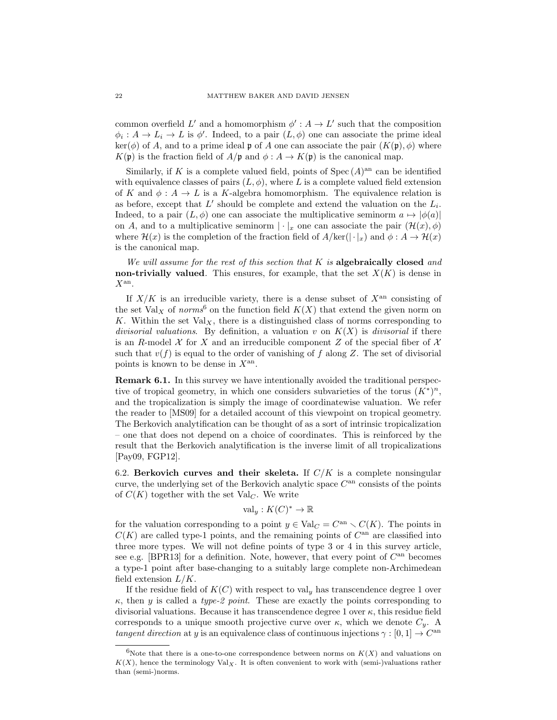common overfield L' and a homomorphism  $\phi' : A \to L'$  such that the composition  $\phi_i: A \to L_i \to L$  is  $\phi'$ . Indeed, to a pair  $(L, \phi)$  one can associate the prime ideal  $\ker(\phi)$  of A, and to a prime ideal p of A one can associate the pair  $(K(\mathfrak{p}), \phi)$  where  $K(\mathfrak{p})$  is the fraction field of  $A/\mathfrak{p}$  and  $\phi: A \to K(\mathfrak{p})$  is the canonical map.

Similarly, if K is a complete valued field, points of  $Spec (A)^{an}$  can be identified with equivalence classes of pairs  $(L, \phi)$ , where L is a complete valued field extension of K and  $\phi: A \to L$  is a K-algebra homomorphism. The equivalence relation is as before, except that  $L'$  should be complete and extend the valuation on the  $L_i$ . Indeed, to a pair  $(L, \phi)$  one can associate the multiplicative seminorm  $a \mapsto |\phi(a)|$ on A, and to a multiplicative seminorm  $|\cdot|_x$  one can associate the pair  $(\mathcal{H}(x), \phi)$ where  $\mathcal{H}(x)$  is the completion of the fraction field of  $A/\text{ker}(\cdot|\cdot|x)$  and  $\phi: A \to \mathcal{H}(x)$ is the canonical map.

We will assume for the rest of this section that  $K$  is algebraically closed and non-trivially valued. This ensures, for example, that the set  $X(K)$  is dense in  $X^{\rm an}$ .

If  $X/K$  is an irreducible variety, there is a dense subset of  $X<sup>an</sup>$  consisting of the set  $Val_X$  of norms<sup>6</sup> on the function field  $K(X)$  that extend the given norm on K. Within the set  $Val_X$ , there is a distinguished class of norms corresponding to divisorial valuations. By definition, a valuation v on  $K(X)$  is divisorial if there is an R-model X for X and an irreducible component Z of the special fiber of  $\mathcal X$ such that  $v(f)$  is equal to the order of vanishing of f along Z. The set of divisorial points is known to be dense in  $X^{\text{an}}$ .

Remark 6.1. In this survey we have intentionally avoided the traditional perspective of tropical geometry, in which one considers subvarieties of the torus  $(K^*)^n$ , and the tropicalization is simply the image of coordinatewise valuation. We refer the reader to [MS09] for a detailed account of this viewpoint on tropical geometry. The Berkovich analytification can be thought of as a sort of intrinsic tropicalization – one that does not depend on a choice of coordinates. This is reinforced by the result that the Berkovich analytification is the inverse limit of all tropicalizations [Pay09, FGP12].

6.2. Berkovich curves and their skeleta. If  $C/K$  is a complete nonsingular curve, the underlying set of the Berkovich analytic space  $C<sup>an</sup>$  consists of the points of  $C(K)$  together with the set Val<sub>C</sub>. We write

$$
\text{val}_y: K(C)^* \to \mathbb{R}
$$

for the valuation corresponding to a point  $y \in Val_C = C<sup>an</sup> \setminus C(K)$ . The points in  $C(K)$  are called type-1 points, and the remaining points of  $C<sup>an</sup>$  are classified into three more types. We will not define points of type 3 or 4 in this survey article, see e.g. [BPR13] for a definition. Note, however, that every point of  $C^{an}$  becomes a type-1 point after base-changing to a suitably large complete non-Archimedean field extension  $L/K$ .

If the residue field of  $K(C)$  with respect to val<sub>y</sub> has transcendence degree 1 over  $\kappa$ , then y is called a type-2 point. These are exactly the points corresponding to divisorial valuations. Because it has transcendence degree 1 over  $\kappa$ , this residue field corresponds to a unique smooth projective curve over  $\kappa$ , which we denote  $C_y$ . A tangent direction at y is an equivalence class of continuous injections  $\gamma : [0, 1] \to C^{\text{an}}$ 

<sup>&</sup>lt;sup>6</sup>Note that there is a one-to-one correspondence between norms on  $K(X)$  and valuations on  $K(X)$ , hence the terminology  $Val_X$ . It is often convenient to work with (semi-)valuations rather than (semi-)norms.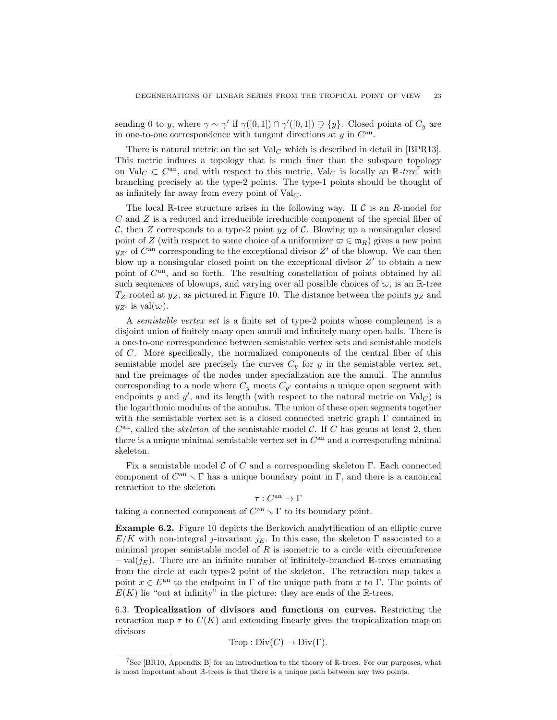sending 0 to y, where  $\gamma \sim \gamma'$  if  $\gamma([0,1]) \cap \gamma'([0,1]) \supsetneq \{y\}$ . Closed points of  $C_y$  are in one-to-one correspondence with tangent directions at  $y$  in  $C^{an}$ .

There is natural metric on the set  $Val_C$  which is described in detail in [BPR13]. This metric induces a topology that is much finer than the subspace topology on Val<sub>C</sub>  $\subset C^{an}$ , and with respect to this metric, Val<sub>C</sub> is locally an  $\mathbb{R}$ -tree<sup>7</sup> with branching precisely at the type-2 points. The type-1 points should be thought of as infinitely far away from every point of  $Val_C$ .

The local R-tree structure arises in the following way. If  $\mathcal C$  is an R-model for C and Z is a reduced and irreducible irreducible component of the special fiber of C, then Z corresponds to a type-2 point  $y_Z$  of C. Blowing up a nonsingular closed point of Z (with respect to some choice of a uniformizer  $\varpi \in \mathfrak{m}_R$ ) gives a new point  $y_{Z'}$  of  $C^{an}$  corresponding to the exceptional divisor  $Z'$  of the blowup. We can then blow up a nonsingular closed point on the exceptional divisor  $Z'$  to obtain a new point of  $C^{an}$ , and so forth. The resulting constellation of points obtained by all such sequences of blowups, and varying over all possible choices of  $\varpi$ , is an R-tree  $T_Z$  rooted at  $y_Z$ , as pictured in Figure 10. The distance between the points  $y_Z$  and  $y_{Z'}$  is val $(\varpi)$ .

A semistable vertex set is a finite set of type-2 points whose complement is a disjoint union of finitely many open annuli and infinitely many open balls. There is a one-to-one correspondence between semistable vertex sets and semistable models of C. More specifically, the normalized components of the central fiber of this semistable model are precisely the curves  $C_y$  for y in the semistable vertex set, and the preimages of the nodes under specialization are the annuli. The annulus corresponding to a node where  $C_y$  meets  $C_{y'}$  contains a unique open segment with endpoints y and y', and its length (with respect to the natural metric on  $Val_C$ ) is the logarithmic modulus of the annulus. The union of these open segments together with the semistable vertex set is a closed connected metric graph  $\Gamma$  contained in  $C^{an}$ , called the *skeleton* of the semistable model C. If C has genus at least 2, then there is a unique minimal semistable vertex set in  $C<sup>an</sup>$  and a corresponding minimal skeleton.

Fix a semistable model C of C and a corresponding skeleton  $\Gamma$ . Each connected component of  $C^{\text{an}} \setminus \Gamma$  has a unique boundary point in  $\Gamma$ , and there is a canonical retraction to the skeleton

$$
\tau:C^{\rm an}\to \Gamma
$$

taking a connected component of  $C^{an} \setminus \Gamma$  to its boundary point.

Example 6.2. Figure 10 depicts the Berkovich analytification of an elliptic curve  $E/K$  with non-integral j-invariant j<sub>E</sub>. In this case, the skeleton  $\Gamma$  associated to a minimal proper semistable model of  $R$  is isometric to a circle with circumference  $-$  val $(j_E)$ . There are an infinite number of infinitely-branched R-trees emanating from the circle at each type-2 point of the skeleton. The retraction map takes a point  $x \in E^{an}$  to the endpoint in Γ of the unique path from x to Γ. The points of  $E(K)$  lie "out at infinity" in the picture: they are ends of the R-trees.

6.3. Tropicalization of divisors and functions on curves. Restricting the retraction map  $\tau$  to  $C(K)$  and extending linearly gives the tropicalization map on divisors

$$
Trop: Div(C) \to Div(\Gamma).
$$

<sup>&</sup>lt;sup>7</sup>See [BR10, Appendix B] for an introduction to the theory of  $\mathbb{R}$ -trees. For our purposes, what is most important about R-trees is that there is a unique path between any two points.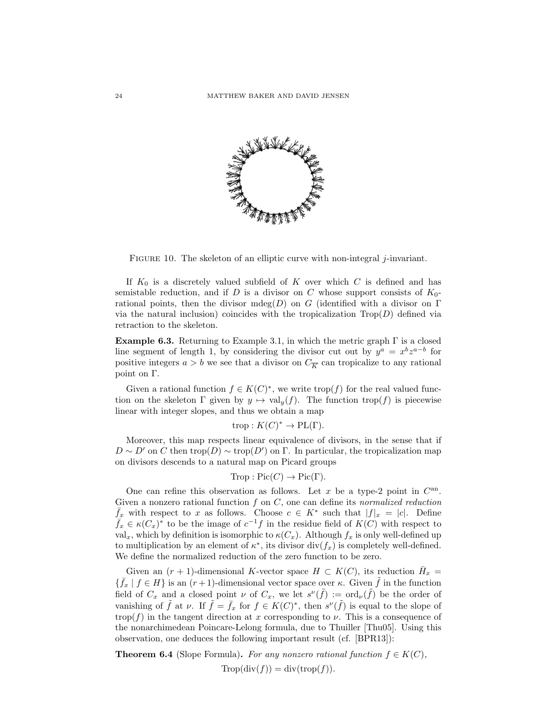

FIGURE 10. The skeleton of an elliptic curve with non-integral  $j$ -invariant.

If  $K_0$  is a discretely valued subfield of K over which C is defined and has semistable reduction, and if D is a divisor on C whose support consists of  $K_0$ rational points, then the divisor mdeg $(D)$  on G (identified with a divisor on  $\Gamma$ via the natural inclusion) coincides with the tropicalization  $\text{Top}(D)$  defined via retraction to the skeleton.

**Example 6.3.** Returning to Example 3.1, in which the metric graph  $\Gamma$  is a closed line segment of length 1, by considering the divisor cut out by  $y^a = x^b z^{a-b}$  for positive integers  $a > b$  we see that a divisor on  $C_{\overline{K}}$  can tropicalize to any rational point on Γ.

Given a rational function  $f \in K(C)^*$ , we write  $\text{trop}(f)$  for the real valued function on the skeleton  $\Gamma$  given by  $y \mapsto \text{val}_y(f)$ . The function trop(f) is piecewise linear with integer slopes, and thus we obtain a map

$$
trop: K(C)^* \to \text{PL}(\Gamma).
$$

Moreover, this map respects linear equivalence of divisors, in the sense that if  $D \sim D'$  on C then trop(D)  $\sim$  trop(D') on Γ. In particular, the tropicalization map on divisors descends to a natural map on Picard groups

$$
Trop: Pic(C) \to Pic(\Gamma).
$$

One can refine this observation as follows. Let  $x$  be a type-2 point in  $C^{an}$ . Given a nonzero rational function  $f$  on  $C$ , one can define its normalized reduction  $\bar{f}_x$  with respect to x as follows. Choose  $c \in K^*$  such that  $|f|_x = |c|$ . Define  $\overline{f}_x \in \kappa(C_x)^*$  to be the image of  $c^{-1}f$  in the residue field of  $K(C)$  with respect to val<sub>x</sub>, which by definition is isomorphic to  $\kappa(C_x)$ . Although  $f_x$  is only well-defined up to multiplication by an element of  $\kappa^*$ , its divisor div $(f_x)$  is completely well-defined. We define the normalized reduction of the zero function to be zero.

Given an  $(r + 1)$ -dimensional K-vector space  $H \subset K(C)$ , its reduction  $\overline{H}_x =$  $\{\bar{f}_x \mid f \in H\}$  is an  $(r+1)$ -dimensional vector space over κ. Given  $\tilde{f}$  in the function field of  $C_x$  and a closed point  $\nu$  of  $C_x$ , we let  $s^{\nu}(\tilde{f}) := \text{ord}_{\nu}(\tilde{f})$  be the order of vanishing of  $\tilde{f}$  at  $\nu$ . If  $\tilde{f} = \bar{f}_x$  for  $f \in K(C)^*$ , then  $s^{\nu}(\tilde{f})$  is equal to the slope of trop(f) in the tangent direction at x corresponding to  $\nu$ . This is a consequence of the nonarchimedean Poincare-Lelong formula, due to Thuiller [Thu05]. Using this observation, one deduces the following important result (cf. [BPR13]):

**Theorem 6.4** (Slope Formula). For any nonzero rational function  $f \in K(C)$ ,

$$
\text{Trop}(\text{div}(f)) = \text{div}(\text{trop}(f)).
$$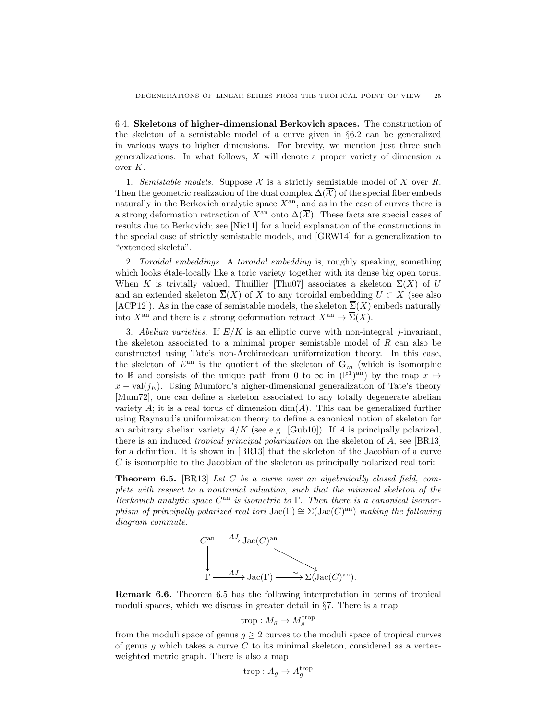6.4. Skeletons of higher-dimensional Berkovich spaces. The construction of the skeleton of a semistable model of a curve given in §6.2 can be generalized in various ways to higher dimensions. For brevity, we mention just three such generalizations. In what follows,  $X$  will denote a proper variety of dimension  $n$ over K.

1. Semistable models. Suppose X is a strictly semistable model of X over R. Then the geometric realization of the dual complex  $\Delta(\overline{\mathcal{X}})$  of the special fiber embeds naturally in the Berkovich analytic space  $X<sup>an</sup>$ , and as in the case of curves there is a strong deformation retraction of  $X^{\text{an}}$  onto  $\Delta(\overline{\mathcal{X}})$ . These facts are special cases of results due to Berkovich; see [Nic11] for a lucid explanation of the constructions in the special case of strictly semistable models, and [GRW14] for a generalization to "extended skeleta".

2. Toroidal embeddings. A toroidal embedding is, roughly speaking, something which looks etale-locally like a toric variety together with its dense big open torus. When K is trivially valued, Thuillier [Thu07] associates a skeleton  $\Sigma(X)$  of U and an extended skeleton  $\overline{\Sigma}(X)$  of X to any toroidal embedding  $U \subset X$  (see also [ACP12]). As in the case of semistable models, the skeleton  $\overline{\Sigma}(X)$  embeds naturally into  $X^{\text{an}}$  and there is a strong deformation retract  $X^{\text{an}} \to \overline{\Sigma}(X)$ .

3. Abelian varieties. If  $E/K$  is an elliptic curve with non-integral j-invariant, the skeleton associated to a minimal proper semistable model of  $R$  can also be constructed using Tate's non-Archimedean uniformization theory. In this case, the skeleton of  $E^{\text{an}}$  is the quotient of the skeleton of  $\mathbf{G}_m$  (which is isomorphic to R and consists of the unique path from 0 to  $\infty$  in  $(\mathbb{P}^1)^{an}$  by the map  $x \mapsto$  $x - \text{val}(i_E)$ . Using Mumford's higher-dimensional generalization of Tate's theory [Mum72], one can define a skeleton associated to any totally degenerate abelian variety  $A$ ; it is a real torus of dimension  $\dim(A)$ . This can be generalized further using Raynaud's uniformization theory to define a canonical notion of skeleton for an arbitrary abelian variety  $A/K$  (see e.g. [Gub10]). If A is principally polarized, there is an induced tropical principal polarization on the skeleton of A, see [BR13] for a definition. It is shown in [BR13] that the skeleton of the Jacobian of a curve C is isomorphic to the Jacobian of the skeleton as principally polarized real tori:

**Theorem 6.5.** [BR13] Let C be a curve over an algebraically closed field, complete with respect to a nontrivial valuation, such that the minimal skeleton of the Berkovich analytic space  $C^{an}$  is isometric to  $\Gamma$ . Then there is a canonical isomorphism of principally polarized real tori  $\mathrm{Jac}(\Gamma) \cong \Sigma(\mathrm{Jac}(C)^{\mathrm{an}})$  making the following diagram commute.



Remark 6.6. Theorem 6.5 has the following interpretation in terms of tropical moduli spaces, which we discuss in greater detail in §7. There is a map

$$
\operatorname{trop}: M_g \to M_g^{\operatorname{trop}}
$$

from the moduli space of genus  $g \geq 2$  curves to the moduli space of tropical curves of genus g which takes a curve  $C$  to its minimal skeleton, considered as a vertexweighted metric graph. There is also a map

$$
\operatorname{trop}: A_g \to A_g^{\operatorname{trop}}
$$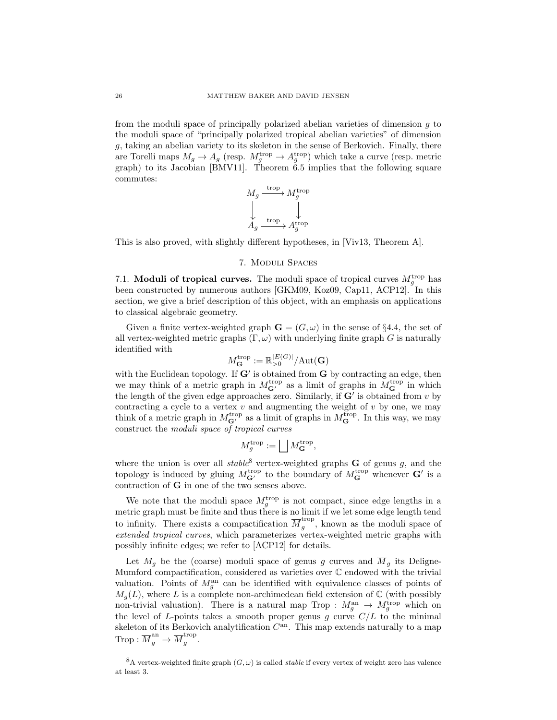from the moduli space of principally polarized abelian varieties of dimension  $g$  to the moduli space of "principally polarized tropical abelian varieties" of dimension g, taking an abelian variety to its skeleton in the sense of Berkovich. Finally, there are Torelli maps  $M_g \to A_g$  (resp.  $M_g^{\text{trop}} \to A_g^{\text{trop}}$ ) which take a curve (resp. metric graph) to its Jacobian [BMV11]. Theorem 6.5 implies that the following square commutes:

$$
\begin{array}{ccc}\nM_g \xrightarrow{\text{trop}} M_g^{\text{trop}} \\
\downarrow & \downarrow \\
A_g \xrightarrow{\text{trop}} A_g^{\text{trop}}\n\end{array}
$$

This is also proved, with slightly different hypotheses, in [Viv13, Theorem A].

#### 7. Moduli Spaces

7.1. Moduli of tropical curves. The moduli space of tropical curves  $M_g^{\text{trop}}$  has been constructed by numerous authors [GKM09, Koz09, Cap11, ACP12]. In this section, we give a brief description of this object, with an emphasis on applications to classical algebraic geometry.

Given a finite vertex-weighted graph  $\mathbf{G} = (G, \omega)$  in the sense of §4.4, the set of all vertex-weighted metric graphs  $(\Gamma, \omega)$  with underlying finite graph G is naturally identified with

$$
M_{\mathbf{G}}^{\operatorname{trop}}:=\mathbb{R}_{>0}^{|E(G)|}/\mathrm{Aut}(\mathbf{G})
$$

with the Euclidean topology. If  $G'$  is obtained from  $G$  by contracting an edge, then we may think of a metric graph in  $M_{\mathbf{G}'}^{\text{trop}}$  as a limit of graphs in  $M_{\mathbf{G}}^{\text{trop}}$  in which the length of the given edge approaches zero. Similarly, if  $G'$  is obtained from  $v$  by contracting a cycle to a vertex  $v$  and augmenting the weight of  $v$  by one, we may think of a metric graph in  $M_{\mathbf{G}'}^{\text{trop}}$  as a limit of graphs in  $M_{\mathbf{G}}^{\text{trop}}$ . In this way, we may construct the moduli space of tropical curves

$$
M_g^{\text{trop}} := \bigsqcup M_{\mathbf{G}}^{\text{trop}},
$$

where the union is over all  $stable^8$  vertex-weighted graphs **G** of genus g, and the topology is induced by gluing  $M_{\mathbf{G}'}^{\text{trop}}$  to the boundary of  $M_{\mathbf{G}}^{\text{trop}}$  whenever  $\mathbf{G}'$  is a contraction of G in one of the two senses above.

We note that the moduli space  $M_g^{\text{trop}}$  is not compact, since edge lengths in a metric graph must be finite and thus there is no limit if we let some edge length tend to infinity. There exists a compactification  $\overline{M}^{\text{trop}}_{q}$  $g^{top}$ , known as the moduli space of extended tropical curves, which parameterizes vertex-weighted metric graphs with possibly infinite edges; we refer to [ACP12] for details.

Let  $M_g$  be the (coarse) moduli space of genus g curves and  $\overline{M}_g$  its Deligne-Mumford compactification, considered as varieties over C endowed with the trivial valuation. Points of  $M_g^{\text{an}}$  can be identified with equivalence classes of points of  $M_q(L)$ , where L is a complete non-archimedean field extension of C (with possibly non-trivial valuation). There is a natural map Trop :  $M_g^{\text{an}} \to M_g^{\text{trop}}$  which on the level of L-points takes a smooth proper genus g curve  $C/L$  to the minimal skeleton of its Berkovich analytification  $C^{an}$ . This map extends naturally to a map  $\text{Trop}: \overline{M}_{g}^{\text{an}} \rightarrow \overline{M}_{g}^{\text{trop}}$  $g^{\text{top}}$ .

<sup>&</sup>lt;sup>8</sup>A vertex-weighted finite graph  $(G, \omega)$  is called *stable* if every vertex of weight zero has valence at least 3.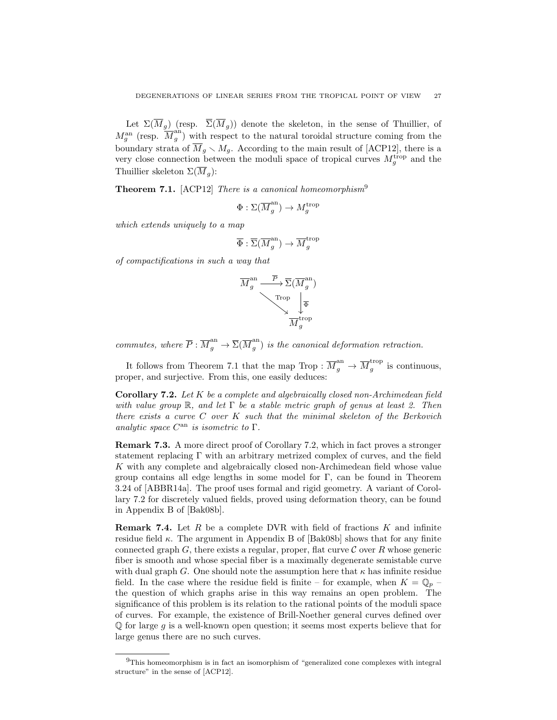Let  $\Sigma(\overline{M}_g)$  (resp.  $\overline{\Sigma}(\overline{M}_g)$ ) denote the skeleton, in the sense of Thuillier, of  $M_g^{\rm an}$  (resp.  $\overline{M}_g^{\rm an}$  $\binom{a_n}{g}$  with respect to the natural toroidal structure coming from the boundary strata of  $\overline{M}_g \setminus M_g$ . According to the main result of [ACP12], there is a very close connection between the moduli space of tropical curves  $M_g^{\text{trop}}$  and the Thuillier skeleton  $\Sigma(\overline{M}_q)$ :

**Theorem 7.1.** [ACP12] *There is a canonical homeomorphism*<sup>9</sup>

$$
\Phi : \Sigma(\overline{M}_g^{\rm an}) \to M_g^{\rm trop}
$$

which extends uniquely to a map

$$
\overline{\Phi}:\overline{\Sigma}(\overline{M}_g^{\rm an})\to \overline{M}_g^{\rm trop}
$$

of compactifications in such a way that

$$
\overline{M}_g^{\text{an}} \xrightarrow{\overline{P}} \overline{\Sigma}(\overline{M}_g^{\text{an}})
$$
\n
$$
\xrightarrow{\text{Top}} \downarrow_{\overline{\Phi}}
$$
\n
$$
\overline{M}_g^{\text{trop}}
$$

commutes, where  $\overline{P}$  :  $\overline{M}_g^{\text{an}} \to \overline{\Sigma}(\overline{M}_g^{\text{an}})$  $\binom{a_n}{g}$  is the canonical deformation retraction.

It follows from Theorem 7.1 that the map Trop :  $\overline{M}_g^{\text{an}} \to \overline{M}_g^{\text{trop}}$  $g^{top}$  is continuous, proper, and surjective. From this, one easily deduces:

**Corollary 7.2.** Let  $K$  be a complete and algebraically closed non-Archimedean field with value group  $\mathbb{R}$ , and let  $\Gamma$  be a stable metric graph of genus at least 2. Then there exists a curve C over K such that the minimal skeleton of the Berkovich analytic space  $C^{an}$  is isometric to  $\Gamma$ .

Remark 7.3. A more direct proof of Corollary 7.2, which in fact proves a stronger statement replacing Γ with an arbitrary metrized complex of curves, and the field K with any complete and algebraically closed non-Archimedean field whose value group contains all edge lengths in some model for  $\Gamma$ , can be found in Theorem 3.24 of [ABBR14a]. The proof uses formal and rigid geometry. A variant of Corollary 7.2 for discretely valued fields, proved using deformation theory, can be found in Appendix B of [Bak08b].

**Remark 7.4.** Let R be a complete DVR with field of fractions  $K$  and infinite residue field  $\kappa$ . The argument in Appendix B of [Bak08b] shows that for any finite connected graph  $G$ , there exists a regular, proper, flat curve  $\mathcal C$  over R whose generic fiber is smooth and whose special fiber is a maximally degenerate semistable curve with dual graph G. One should note the assumption here that  $\kappa$  has infinite residue field. In the case where the residue field is finite – for example, when  $K = \mathbb{Q}_p$  – the question of which graphs arise in this way remains an open problem. The significance of this problem is its relation to the rational points of the moduli space of curves. For example, the existence of Brill-Noether general curves defined over  $\mathbb Q$  for large g is a well-known open question; it seems most experts believe that for large genus there are no such curves.

<sup>9</sup>This homeomorphism is in fact an isomorphism of "generalized cone complexes with integral structure" in the sense of [ACP12].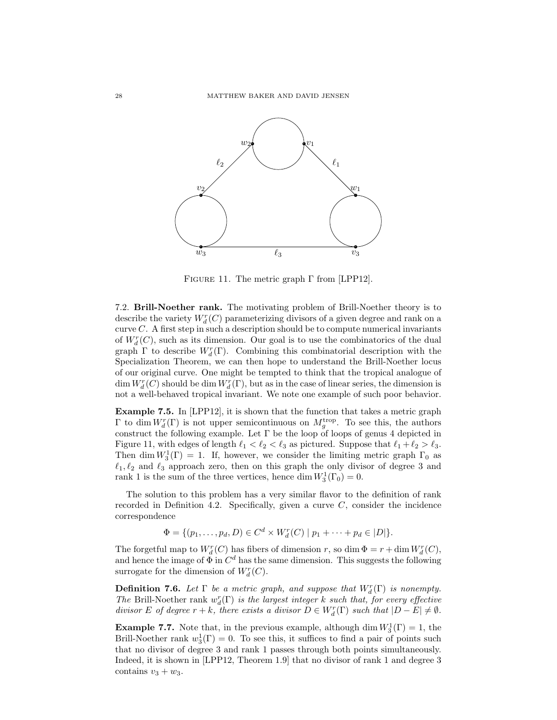

FIGURE 11. The metric graph  $\Gamma$  from [LPP12].

7.2. Brill-Noether rank. The motivating problem of Brill-Noether theory is to describe the variety  $W^r_d(C)$  parameterizing divisors of a given degree and rank on a curve  $C$ . A first step in such a description should be to compute numerical invariants of  $W_d^r(C)$ , such as its dimension. Our goal is to use the combinatorics of the dual graph  $\Gamma$  to describe  $W_d^r(\Gamma)$ . Combining this combinatorial description with the Specialization Theorem, we can then hope to understand the Brill-Noether locus of our original curve. One might be tempted to think that the tropical analogue of  $\dim W^r_d(C)$  should be  $\dim W^r_d(\Gamma)$ , but as in the case of linear series, the dimension is not a well-behaved tropical invariant. We note one example of such poor behavior.

Example 7.5. In [LPP12], it is shown that the function that takes a metric graph Γ to dim  $W_d^r(Γ)$  is not upper semicontinuous on  $M_g^{\text{trop}}$ . To see this, the authors construct the following example. Let  $\Gamma$  be the loop of loops of genus 4 depicted in Figure 11, with edges of length  $\ell_1 < \ell_2 < \ell_3$  as pictured. Suppose that  $\ell_1 + \ell_2 > \ell_3$ . Then dim  $W_3^1(\Gamma) = 1$ . If, however, we consider the limiting metric graph  $\Gamma_0$  as  $\ell_1, \ell_2$  and  $\ell_3$  approach zero, then on this graph the only divisor of degree 3 and rank 1 is the sum of the three vertices, hence dim  $W_3^1(\Gamma_0) = 0$ .

The solution to this problem has a very similar flavor to the definition of rank recorded in Definition 4.2. Specifically, given a curve  $C$ , consider the incidence correspondence

 $\Phi = \{ (p_1, \ldots, p_d, D) \in C^d \times W_d^r(C) \mid p_1 + \cdots + p_d \in |D| \}.$ 

The forgetful map to  $W_d^r(C)$  has fibers of dimension r, so dim  $\Phi = r + \dim W_d^r(C)$ , and hence the image of  $\Phi$  in  $C<sup>d</sup>$  has the same dimension. This suggests the following surrogate for the dimension of  $W_d^r(C)$ .

**Definition 7.6.** Let  $\Gamma$  be a metric graph, and suppose that  $W_d^r(\Gamma)$  is nonempty. The Brill-Noether rank  $w_d^r(\Gamma)$  is the largest integer k such that, for every effective divisor E of degree  $r + k$ , there exists a divisor  $D \in W_d^r(\Gamma)$  such that  $|D - E| \neq \emptyset$ .

**Example 7.7.** Note that, in the previous example, although dim  $W_3^1(\Gamma) = 1$ , the Brill-Noether rank  $w_3^1(\Gamma) = 0$ . To see this, it suffices to find a pair of points such that no divisor of degree 3 and rank 1 passes through both points simultaneously. Indeed, it is shown in [LPP12, Theorem 1.9] that no divisor of rank 1 and degree 3 contains  $v_3 + w_3$ .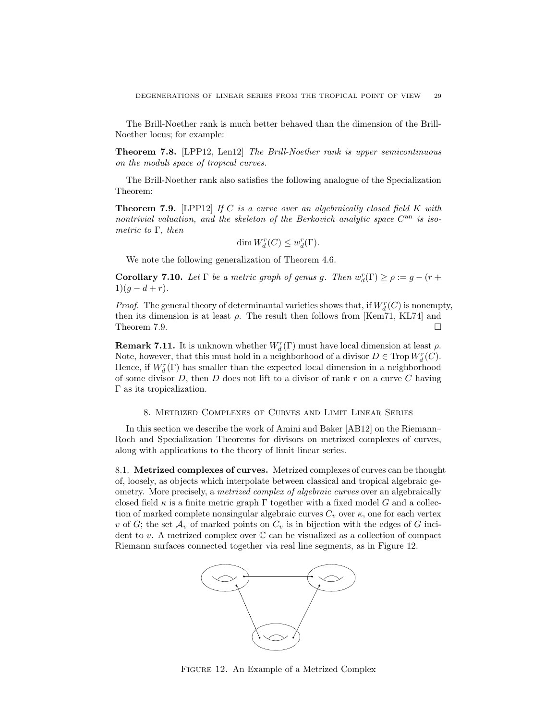The Brill-Noether rank is much better behaved than the dimension of the Brill-Noether locus; for example:

Theorem 7.8. [LPP12, Len12] The Brill-Noether rank is upper semicontinuous on the moduli space of tropical curves.

The Brill-Noether rank also satisfies the following analogue of the Specialization Theorem:

**Theorem 7.9.** [LPP12] If C is a curve over an algebraically closed field K with nontrivial valuation, and the skeleton of the Berkovich analytic space  $C^{an}$  is isometric to  $\Gamma$ , then

$$
\dim W_d^r(C) \le w_d^r(\Gamma).
$$

We note the following generalization of Theorem 4.6.

**Corollary 7.10.** Let  $\Gamma$  be a metric graph of genus g. Then  $w_d^r(\Gamma) \ge \rho := g - (r +$  $1)(g-d+r).$ 

*Proof.* The general theory of determinantal varieties shows that, if  $W_d^r(C)$  is nonempty, then its dimension is at least  $\rho$ . The result then follows from [Kem71, KL74] and Theorem 7.9.

**Remark 7.11.** It is unknown whether  $W_d^r(\Gamma)$  must have local dimension at least  $\rho$ . Note, however, that this must hold in a neighborhood of a divisor  $D \in \mathrm{Trop}\, W^r_d(C)$ . Hence, if  $W_d^r(\Gamma)$  has smaller than the expected local dimension in a neighborhood of some divisor  $D$ , then  $D$  does not lift to a divisor of rank r on a curve  $C$  having Γ as its tropicalization.

#### 8. Metrized Complexes of Curves and Limit Linear Series

In this section we describe the work of Amini and Baker [AB12] on the Riemann– Roch and Specialization Theorems for divisors on metrized complexes of curves, along with applications to the theory of limit linear series.

8.1. Metrized complexes of curves. Metrized complexes of curves can be thought of, loosely, as objects which interpolate between classical and tropical algebraic geometry. More precisely, a metrized complex of algebraic curves over an algebraically closed field  $\kappa$  is a finite metric graph  $\Gamma$  together with a fixed model G and a collection of marked complete nonsingular algebraic curves  $C_v$  over  $\kappa$ , one for each vertex v of G; the set  $\mathcal{A}_v$  of marked points on  $C_v$  is in bijection with the edges of G incident to v. A metrized complex over C can be visualized as a collection of compact Riemann surfaces connected together via real line segments, as in Figure 12.



Figure 12. An Example of a Metrized Complex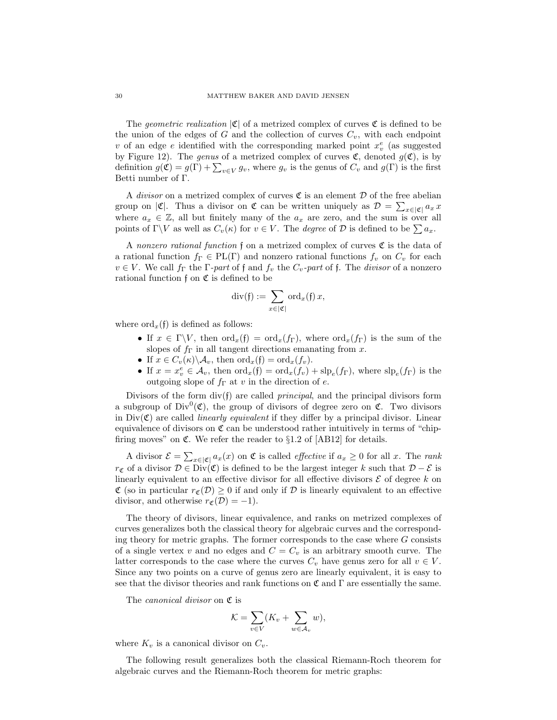The *geometric realization*  $|\mathfrak{C}|$  of a metrized complex of curves  $\mathfrak C$  is defined to be the union of the edges of G and the collection of curves  $C_v$ , with each endpoint v of an edge e identified with the corresponding marked point  $x_v^e$  (as suggested by Figure 12). The genus of a metrized complex of curves  $\mathfrak{C}$ , denoted  $g(\mathfrak{C})$ , is by definition  $g(\mathfrak{C}) = g(\Gamma) + \sum_{v \in V} g_v$ , where  $g_v$  is the genus of  $C_v$  and  $g(\Gamma)$  is the first Betti number of Γ.

A *divisor* on a metrized complex of curves  $\mathfrak C$  is an element  $\mathcal D$  of the free abelian group on  $|\mathfrak{C}|$ . Thus a divisor on  $\mathfrak{C}$  can be written uniquely as  $\mathcal{D} = \sum_{x \in |\mathfrak{C}|} a_x x$ where  $a_x \in \mathbb{Z}$ , all but finitely many of the  $a_x$  are zero, and the sum is over all points of  $\Gamma \backslash V$  as well as  $C_v(\kappa)$  for  $v \in V$ . The *degree* of  $\mathcal D$  is defined to be  $\sum a_x$ .

A nonzero rational function f on a metrized complex of curves  $\mathfrak C$  is the data of a rational function  $f_{\Gamma} \in PL(\Gamma)$  and nonzero rational functions  $f_v$  on  $C_v$  for each  $v \in V$ . We call  $f_{\Gamma}$  the  $\Gamma$ -part of f and  $f_v$  the  $C_v$ -part of f. The *divisor* of a nonzero rational function  $f$  on  $\mathfrak C$  is defined to be

$$
\operatorname{div}(\mathfrak{f}) := \sum_{x \in |\mathfrak{C}|} \operatorname{ord}_x(\mathfrak{f}) \, x,
$$

where  $\mathrm{ord}_x(\mathfrak{f})$  is defined as follows:

- If  $x \in \Gamma \backslash V$ , then  $\text{ord}_x(\mathfrak{f}) = \text{ord}_x(f_{\Gamma})$ , where  $\text{ord}_x(f_{\Gamma})$  is the sum of the slopes of  $f_{\Gamma}$  in all tangent directions emanating from x.
- If  $x \in C_v(\kappa) \backslash \mathcal{A}_v$ , then  $\text{ord}_x(\mathfrak{f}) = \text{ord}_x(f_v)$ .
- If  $x = x_v^e \in A_v$ , then  $\text{ord}_x(f) = \text{ord}_x(f_v) + \text{slp}_e(f_\Gamma)$ , where  $\text{slp}_e(f_\Gamma)$  is the outgoing slope of  $f_{\Gamma}$  at v in the direction of e.

Divisors of the form  $div(f)$  are called *principal*, and the principal divisors form a subgroup of Div<sup>0</sup>( $\mathfrak{C}$ ), the group of divisors of degree zero on  $\mathfrak{C}$ . Two divisors in  $Div(\mathfrak{C})$  are called *linearly equivalent* if they differ by a principal divisor. Linear equivalence of divisors on  $\mathfrak C$  can be understood rather intuitively in terms of "chipfiring moves" on  $\mathfrak{C}$ . We refer the reader to  $\S1.2$  of [AB12] for details.

A divisor  $\mathcal{E} = \sum_{x \in |\mathfrak{C}|} a_x(x)$  on  $\mathfrak{C}$  is called *effective* if  $a_x \geq 0$  for all x. The rank  $r_{\mathfrak{C}}$  of a divisor  $\mathcal{D} \in \text{Div}(\mathfrak{C})$  is defined to be the largest integer k such that  $\mathcal{D} - \mathcal{E}$  is linearly equivalent to an effective divisor for all effective divisors  $\mathcal E$  of degree k on  $\mathfrak{C}$  (so in particular  $r_{\mathfrak{C}}(\mathcal{D}) \geq 0$  if and only if  $\mathcal D$  is linearly equivalent to an effective divisor, and otherwise  $r_{\mathfrak{C}}(\mathcal{D}) = -1$ .

The theory of divisors, linear equivalence, and ranks on metrized complexes of curves generalizes both the classical theory for algebraic curves and the corresponding theory for metric graphs. The former corresponds to the case where  $G$  consists of a single vertex v and no edges and  $C = C_v$  is an arbitrary smooth curve. The latter corresponds to the case where the curves  $C_v$  have genus zero for all  $v \in V$ . Since any two points on a curve of genus zero are linearly equivalent, it is easy to see that the divisor theories and rank functions on  $\mathfrak{C}$  and  $\Gamma$  are essentially the same.

The *canonical divisor* on  $\mathfrak C$  is

$$
\mathcal{K} = \sum_{v \in V} (K_v + \sum_{w \in \mathcal{A}_v} w),
$$

where  $K_v$  is a canonical divisor on  $C_v$ .

The following result generalizes both the classical Riemann-Roch theorem for algebraic curves and the Riemann-Roch theorem for metric graphs: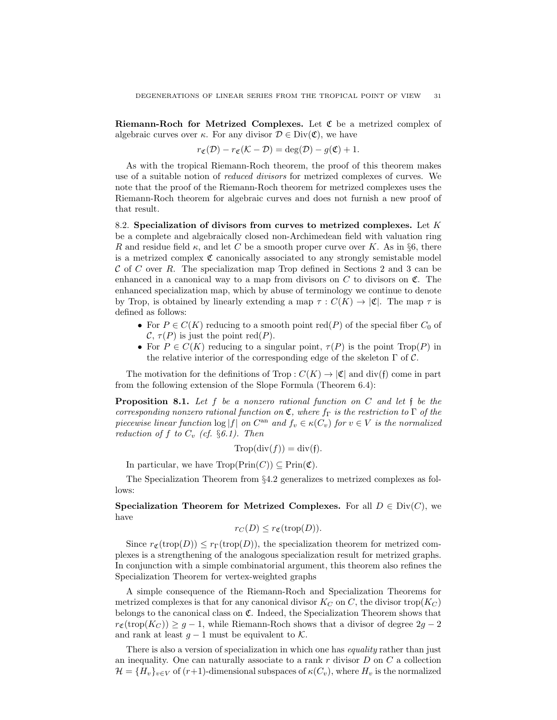Riemann-Roch for Metrized Complexes. Let C be a metrized complex of algebraic curves over  $\kappa$ . For any divisor  $\mathcal{D} \in \text{Div}(\mathfrak{C})$ , we have

$$
r_{\mathfrak{C}}(\mathcal{D}) - r_{\mathfrak{C}}(\mathcal{K} - \mathcal{D}) = \deg(\mathcal{D}) - g(\mathfrak{C}) + 1.
$$

As with the tropical Riemann-Roch theorem, the proof of this theorem makes use of a suitable notion of reduced divisors for metrized complexes of curves. We note that the proof of the Riemann-Roch theorem for metrized complexes uses the Riemann-Roch theorem for algebraic curves and does not furnish a new proof of that result.

8.2. Specialization of divisors from curves to metrized complexes. Let  $K$ be a complete and algebraically closed non-Archimedean field with valuation ring R and residue field  $\kappa$ , and let C be a smooth proper curve over K. As in §6, there is a metrized complex  $\mathfrak C$  canonically associated to any strongly semistable model  $C$  of  $C$  over  $R$ . The specialization map Trop defined in Sections 2 and 3 can be enhanced in a canonical way to a map from divisors on  $C$  to divisors on  $\mathfrak{C}$ . The enhanced specialization map, which by abuse of terminology we continue to denote by Trop, is obtained by linearly extending a map  $\tau : C(K) \to |\mathfrak{C}|$ . The map  $\tau$  is defined as follows:

- For  $P \in C(K)$  reducing to a smooth point red(P) of the special fiber  $C_0$  of  $\mathcal{C}, \tau(P)$  is just the point red(P).
- For  $P \in C(K)$  reducing to a singular point,  $\tau(P)$  is the point  $\text{Top}(P)$  in the relative interior of the corresponding edge of the skeleton  $\Gamma$  of  $\mathcal{C}$ .

The motivation for the definitions of Trop :  $C(K) \to |\mathfrak{C}|$  and div(f) come in part from the following extension of the Slope Formula (Theorem 6.4):

**Proposition 8.1.** Let f be a nonzero rational function on C and let f be the corresponding nonzero rational function on  $\mathfrak{C}$ , where  $f_{\Gamma}$  is the restriction to  $\Gamma$  of the piecewise linear function  $\log|f|$  on  $C^{\text{an}}$  and  $f_v \in \kappa(C_v)$  for  $v \in V$  is the normalized reduction of f to  $C_v$  (cf. §6.1). Then

$$
\text{Trop}(\text{div}(f)) = \text{div}(f).
$$

In particular, we have  $\text{Trop}(\text{Prin}(C)) \subseteq \text{Prin}(\mathfrak{C})$ .

The Specialization Theorem from §4.2 generalizes to metrized complexes as follows:

Specialization Theorem for Metrized Complexes. For all  $D \in Div(C)$ , we have

$$
r_C(D) \le r_{\mathfrak{C}}(\operatorname{trop}(D)).
$$

Since  $r_{\mathfrak{C}}(\text{trop}(D)) \leq r_{\Gamma}(\text{trop}(D))$ , the specialization theorem for metrized complexes is a strengthening of the analogous specialization result for metrized graphs. In conjunction with a simple combinatorial argument, this theorem also refines the Specialization Theorem for vertex-weighted graphs

A simple consequence of the Riemann-Roch and Specialization Theorems for metrized complexes is that for any canonical divisor  $K_C$  on C, the divisor trop( $K_C$ ) belongs to the canonical class on C. Indeed, the Specialization Theorem shows that  $r_{\mathfrak{C}}(\text{trop}(K_C)) \geq g - 1$ , while Riemann-Roch shows that a divisor of degree  $2g - 2$ and rank at least  $g - 1$  must be equivalent to  $K$ .

There is also a version of specialization in which one has *equality* rather than just an inequality. One can naturally associate to a rank  $r$  divisor  $D$  on  $C$  a collection  $\mathcal{H} = \{H_v\}_{v \in V}$  of  $(r+1)$ -dimensional subspaces of  $\kappa(C_v)$ , where  $H_v$  is the normalized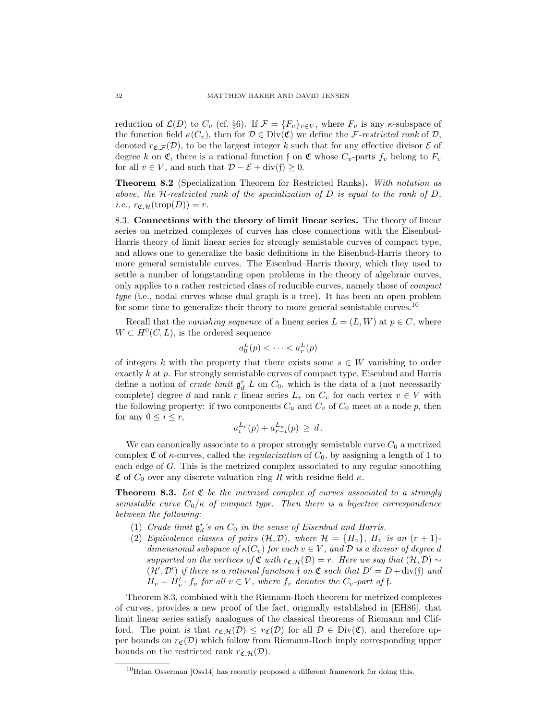reduction of  $\mathcal{L}(D)$  to  $C_v$  (cf. §6). If  $\mathcal{F} = \{F_v\}_{v \in V}$ , where  $F_v$  is any  $\kappa$ -subspace of the function field  $\kappa(C_v)$ , then for  $\mathcal{D} \in \text{Div}(\mathfrak{C})$  we define the *F*-restricted rank of  $\mathcal{D}$ , denoted  $r_{\mathfrak{C},\mathcal{F}}(\mathcal{D})$ , to be the largest integer k such that for any effective divisor  $\mathcal E$  of degree k on  $\mathfrak{C}$ , there is a rational function f on  $\mathfrak{C}$  whose  $C_v$ -parts  $f_v$  belong to  $F_v$ for all  $v \in V$ , and such that  $\mathcal{D} - \mathcal{E} + \text{div}(\mathfrak{f}) \geq 0$ .

Theorem 8.2 (Specialization Theorem for Restricted Ranks). With notation as above, the H-restricted rank of the specialization of D is equal to the rank of D, *i.e.*,  $r_{\mathfrak{C},\mathcal{H}}(\operatorname{trop}(D)) = r$ .

8.3. Connections with the theory of limit linear series. The theory of linear series on metrized complexes of curves has close connections with the Eisenbud-Harris theory of limit linear series for strongly semistable curves of compact type, and allows one to generalize the basic definitions in the Eisenbud-Harris theory to more general semistable curves. The Eisenbud–Harris theory, which they used to settle a number of longstanding open problems in the theory of algebraic curves, only applies to a rather restricted class of reducible curves, namely those of compact type (i.e., nodal curves whose dual graph is a tree). It has been an open problem for some time to generalize their theory to more general semistable curves.<sup>10</sup>

Recall that the vanishing sequence of a linear series  $L = (L, W)$  at  $p \in C$ , where  $W \subset H^0(C, L)$ , is the ordered sequence

$$
a_0^L(p) < \cdots < a_r^L(p)
$$

of integers k with the property that there exists some  $s \in W$  vanishing to order exactly k at p. For strongly semistable curves of compact type, Eisenbud and Harris define a notion of *crude limit*  $\mathfrak{g}_d^r L$  on  $C_0$ , which is the data of a (not necessarily complete) degree d and rank r linear series  $L_v$  on  $C_v$  for each vertex  $v \in V$  with the following property: if two components  $C_u$  and  $C_v$  of  $C_0$  meet at a node p, then for any  $0 \leq i \leq r$ ,

$$
a_i^{L_v}(p) + a_{r-i}^{L_u}(p) \, \geq \, d \, .
$$

We can canonically associate to a proper strongly semistable curve  $C_0$  a metrized complex  $\mathfrak C$  of  $\kappa$ -curves, called the *regularization* of  $C_0$ , by assigning a length of 1 to each edge of G. This is the metrized complex associated to any regular smoothing C of  $C_0$  over any discrete valuation ring R with residue field  $\kappa$ .

**Theorem 8.3.** Let  $\mathfrak{C}$  be the metrized complex of curves associated to a strongly semistable curve  $C_0/\kappa$  of compact type. Then there is a bijective correspondence between the following:

- (1) Crude limit  $\mathfrak{g}_d^r$ 's on  $C_0$  in the sense of Eisenbud and Harris.
- (2) Equivalence classes of pairs  $(\mathcal{H}, \mathcal{D})$ , where  $\mathcal{H} = \{H_v\}$ ,  $H_v$  is an  $(r + 1)$ dimensional subspace of  $\kappa(C_v)$  for each  $v \in V$ , and  $\mathcal D$  is a divisor of degree d supported on the vertices of  $\mathfrak{C}$  with  $r_{\mathfrak{C},H}(\mathcal{D}) = r$ . Here we say that  $(\mathcal{H}, \mathcal{D}) \sim$  $(\mathcal{H}', \mathcal{D}')$  if there is a rational function f on  $\mathfrak{C}$  such that  $D' = D + \text{div}(\mathfrak{f})$  and  $H_v = H'_v \cdot f_v$  for all  $v \in V$ , where  $f_v$  denotes the  $C_v$ -part of f.

Theorem 8.3, combined with the Riemann-Roch theorem for metrized complexes of curves, provides a new proof of the fact, originally established in [EH86], that limit linear series satisfy analogues of the classical theorems of Riemann and Clifford. The point is that  $r_{\mathfrak{C},\mathcal{H}}(\mathcal{D}) \leq r_{\mathfrak{C}}(\mathcal{D})$  for all  $\mathcal{D} \in \text{Div}(\mathfrak{C})$ , and therefore upper bounds on  $r_{\mathfrak{C}}(\mathcal{D})$  which follow from Riemann-Roch imply corresponding upper bounds on the restricted rank  $r_{\mathfrak{C},\mathcal{H}}(\mathcal{D})$ .

 $10$ Brian Osserman [Oss14] has recently proposed a different framework for doing this.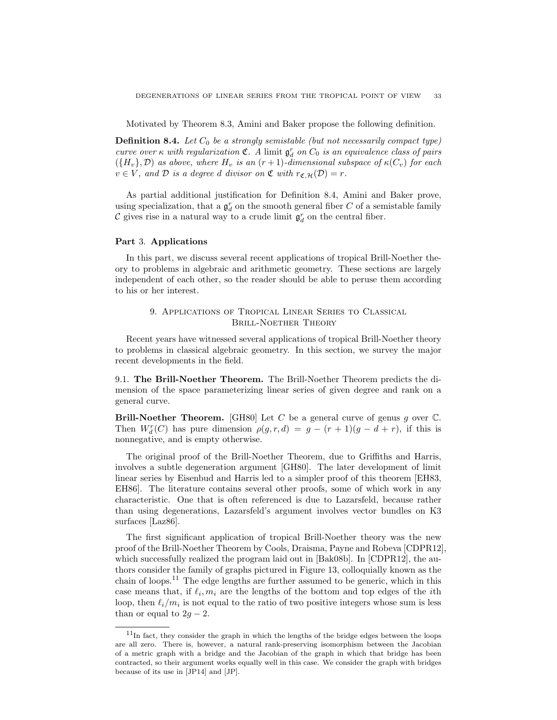Motivated by Theorem 8.3, Amini and Baker propose the following definition.

**Definition 8.4.** Let  $C_0$  be a strongly semistable (but not necessarily compact type) curve over  $\kappa$  with regularization  $\mathfrak{C}$ . A limit  $\mathfrak{g}^r_d$  on  $C_0$  is an equivalence class of pairs  $({H_v}, \mathcal{D})$  as above, where  $H_v$  is an  $(r+1)$ -dimensional subspace of  $\kappa(C_v)$  for each  $v \in V$ , and  $D$  is a degree d divisor on  $\mathfrak{C}$  with  $r_{\mathfrak{C},H}(\mathcal{D}) = r$ .

As partial additional justification for Definition 8.4, Amini and Baker prove, using specialization, that a  $\mathfrak{g}^r_d$  on the smooth general fiber  $C$  of a semistable family  $\mathcal C$  gives rise in a natural way to a crude limit  $\mathfrak{g}^r_d$  on the central fiber.

#### Part 3. Applications

In this part, we discuss several recent applications of tropical Brill-Noether theory to problems in algebraic and arithmetic geometry. These sections are largely independent of each other, so the reader should be able to peruse them according to his or her interest.

# 9. Applications of Tropical Linear Series to Classical Brill-Noether Theory

Recent years have witnessed several applications of tropical Brill-Noether theory to problems in classical algebraic geometry. In this section, we survey the major recent developments in the field.

9.1. The Brill-Noether Theorem. The Brill-Noether Theorem predicts the dimension of the space parameterizing linear series of given degree and rank on a general curve.

Brill-Noether Theorem. [GH80] Let C be a general curve of genus g over  $\mathbb{C}$ . Then  $W_d^r(C)$  has pure dimension  $\rho(g, r, d) = g - (r + 1)(g - d + r)$ , if this is nonnegative, and is empty otherwise.

The original proof of the Brill-Noether Theorem, due to Griffiths and Harris, involves a subtle degeneration argument [GH80]. The later development of limit linear series by Eisenbud and Harris led to a simpler proof of this theorem [EH83, EH86]. The literature contains several other proofs, some of which work in any characteristic. One that is often referenced is due to Lazarsfeld, because rather than using degenerations, Lazarsfeld's argument involves vector bundles on K3 surfaces [Laz86].

The first significant application of tropical Brill-Noether theory was the new proof of the Brill-Noether Theorem by Cools, Draisma, Payne and Robeva [CDPR12], which successfully realized the program laid out in [Bak08b]. In [CDPR12], the authors consider the family of graphs pictured in Figure 13, colloquially known as the chain of loops.<sup>11</sup> The edge lengths are further assumed to be generic, which in this case means that, if  $\ell_i, m_i$  are the lengths of the bottom and top edges of the *i*th loop, then  $\ell_i/m_i$  is not equal to the ratio of two positive integers whose sum is less than or equal to  $2g - 2$ .

<sup>&</sup>lt;sup>11</sup>In fact, they consider the graph in which the lengths of the bridge edges between the loops are all zero. There is, however, a natural rank-preserving isomorphism between the Jacobian of a metric graph with a bridge and the Jacobian of the graph in which that bridge has been contracted, so their argument works equally well in this case. We consider the graph with bridges because of its use in [JP14] and [JP].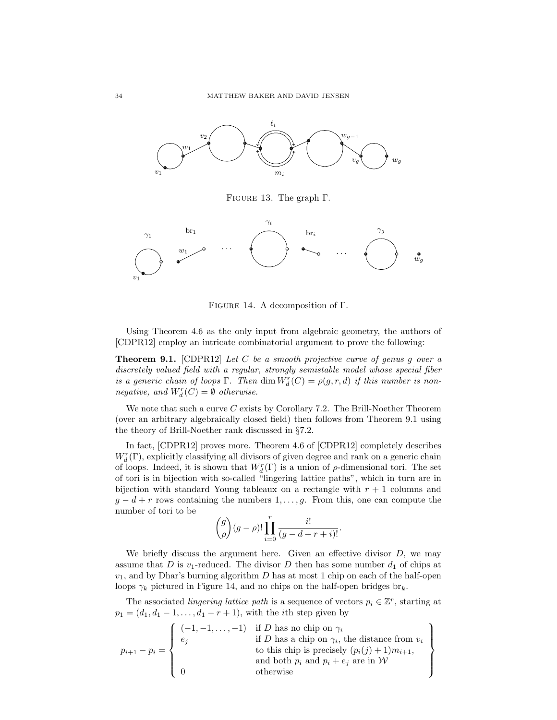

FIGURE 13. The graph  $\Gamma$ .



Figure 14. A decomposition of Γ.

Using Theorem 4.6 as the only input from algebraic geometry, the authors of [CDPR12] employ an intricate combinatorial argument to prove the following:

**Theorem 9.1.** [CDPR12] Let C be a smooth projective curve of genus g over a discretely valued field with a regular, strongly semistable model whose special fiber is a generic chain of loops  $\Gamma$ . Then  $\dim W_d^r(C) = \rho(g, r, d)$  if this number is nonnegative, and  $W_d^r(C) = \emptyset$  otherwise.

We note that such a curve  $C$  exists by Corollary 7.2. The Brill-Noether Theorem (over an arbitrary algebraically closed field) then follows from Theorem 9.1 using the theory of Brill-Noether rank discussed in §7.2.

In fact, [CDPR12] proves more. Theorem 4.6 of [CDPR12] completely describes  $W^r_d(\Gamma),$  explicitly classifying all divisors of given degree and rank on a generic chain of loops. Indeed, it is shown that  $W_d^r(\Gamma)$  is a union of  $\rho$ -dimensional tori. The set of tori is in bijection with so-called "lingering lattice paths", which in turn are in bijection with standard Young tableaux on a rectangle with  $r + 1$  columns and  $g - d + r$  rows containing the numbers  $1, \ldots, g$ . From this, one can compute the number of tori to be

$$
\binom{g}{\rho}(g-\rho)!\prod_{i=0}^r\frac{i!}{(g-d+r+i)!}.
$$

We briefly discuss the argument here. Given an effective divisor  $D$ , we may assume that D is  $v_1$ -reduced. The divisor D then has some number  $d_1$  of chips at  $v_1$ , and by Dhar's burning algorithm D has at most 1 chip on each of the half-open loops  $\gamma_k$  pictured in Figure 14, and no chips on the half-open bridges br<sub>k</sub>.

The associated *lingering lattice path* is a sequence of vectors  $p_i \in \mathbb{Z}^r$ , starting at  $p_1 = (d_1, d_1 - 1, \ldots, d_1 - r + 1)$ , with the *i*th step given by

$$
p_{i+1} - p_i = \left\{\n\begin{array}{c}\n(-1, -1, \ldots, -1) & \text{if } D \text{ has no chip on } \gamma_i \\
e_j & \text{if } D \text{ has a chip on } \gamma_i \text{, the distance from } v_i \\
\text{to this chip is precisely } (p_i(j) + 1)m_{i+1}, \\
\text{and both } p_i \text{ and } p_i + e_j \text{ are in } \mathcal{W}\n\end{array}\n\right\}
$$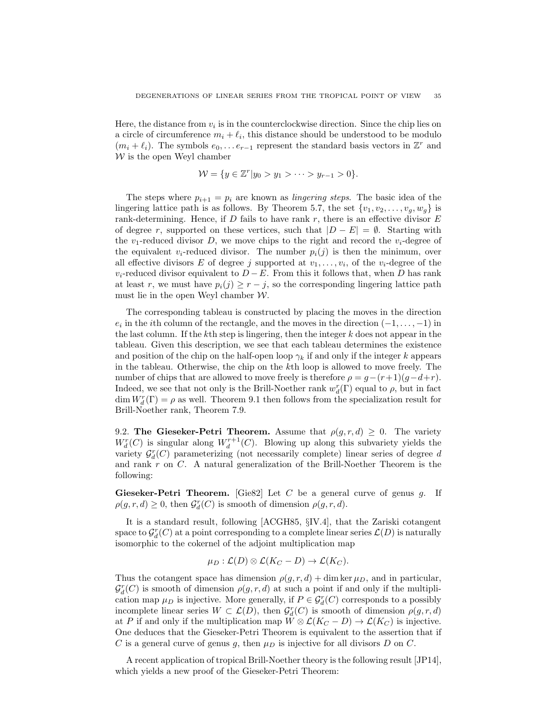Here, the distance from  $v_i$  is in the counterclockwise direction. Since the chip lies on a circle of circumference  $m_i + \ell_i$ , this distance should be understood to be modulo  $(m_i + \ell_i)$ . The symbols  $e_0, \ldots e_{r-1}$  represent the standard basis vectors in  $\mathbb{Z}^r$  and  $W$  is the open Weyl chamber

$$
\mathcal{W} = \{ y \in \mathbb{Z}^r | y_0 > y_1 > \cdots > y_{r-1} > 0 \}.
$$

The steps where  $p_{i+1} = p_i$  are known as *lingering steps*. The basic idea of the lingering lattice path is as follows. By Theorem 5.7, the set  $\{v_1, v_2, \ldots, v_g, w_g\}$  is rank-determining. Hence, if  $D$  fails to have rank  $r$ , there is an effective divisor  $E$ of degree r, supported on these vertices, such that  $|D - E| = \emptyset$ . Starting with the  $v_1$ -reduced divisor D, we move chips to the right and record the  $v_i$ -degree of the equivalent  $v_i$ -reduced divisor. The number  $p_i(j)$  is then the minimum, over all effective divisors E of degree j supported at  $v_1, \ldots, v_i$ , of the  $v_i$ -degree of the  $v_i$ -reduced divisor equivalent to  $D - E$ . From this it follows that, when D has rank at least r, we must have  $p_i(j) \geq r - j$ , so the corresponding lingering lattice path must lie in the open Weyl chamber  $W$ .

The corresponding tableau is constructed by placing the moves in the direction  $e_i$  in the *i*th column of the rectangle, and the moves in the direction  $(-1, \ldots, -1)$  in the last column. If the  $k$ <sup>th</sup> step is lingering, then the integer  $k$  does not appear in the tableau. Given this description, we see that each tableau determines the existence and position of the chip on the half-open loop  $\gamma_k$  if and only if the integer k appears in the tableau. Otherwise, the chip on the kth loop is allowed to move freely. The number of chips that are allowed to move freely is therefore  $\rho = g - (r+1)(g-d+r)$ . Indeed, we see that not only is the Brill-Noether rank  $w_d^r(\Gamma)$  equal to  $\rho$ , but in fact  $\dim W_d^r(\Gamma) = \rho$  as well. Theorem 9.1 then follows from the specialization result for Brill-Noether rank, Theorem 7.9.

9.2. The Gieseker-Petri Theorem. Assume that  $\rho(g, r, d) \geq 0$ . The variety  $W_d^r(C)$  is singular along  $W_d^{r+1}(C)$ . Blowing up along this subvariety yields the variety  $\mathcal{G}_d^r(C)$  parameterizing (not necessarily complete) linear series of degree d and rank r on C. A natural generalization of the Brill-Noether Theorem is the following:

Gieseker-Petri Theorem. [Gie82] Let C be a general curve of genus g. If  $\rho(g,r,d) \geq 0$ , then  $\mathcal{G}_d^r(C)$  is smooth of dimension  $\rho(g,r,d)$ .

It is a standard result, following [ACGH85, §IV.4], that the Zariski cotangent space to  $\mathcal{G}^r_d(C)$  at a point corresponding to a complete linear series  $\mathcal{L}(D)$  is naturally isomorphic to the cokernel of the adjoint multiplication map

$$
\mu_D : \mathcal{L}(D) \otimes \mathcal{L}(K_C - D) \to \mathcal{L}(K_C).
$$

Thus the cotangent space has dimension  $\rho(g, r, d)$  + dim ker  $\mu_D$ , and in particular,  $\mathcal{G}_d^r(C)$  is smooth of dimension  $\rho(g,r,d)$  at such a point if and only if the multiplication map  $\mu_D$  is injective. More generally, if  $P \in \mathcal{G}_d^r(C)$  corresponds to a possibly incomplete linear series  $W \subset \mathcal{L}(D)$ , then  $\mathcal{G}_d^r(C)$  is smooth of dimension  $\rho(g, r, d)$ at P if and only if the multiplication map  $W \otimes \mathcal{L}(K_C - D) \to \mathcal{L}(K_C)$  is injective. One deduces that the Gieseker-Petri Theorem is equivalent to the assertion that if C is a general curve of genus g, then  $\mu_D$  is injective for all divisors D on C.

A recent application of tropical Brill-Noether theory is the following result [JP14], which yields a new proof of the Gieseker-Petri Theorem: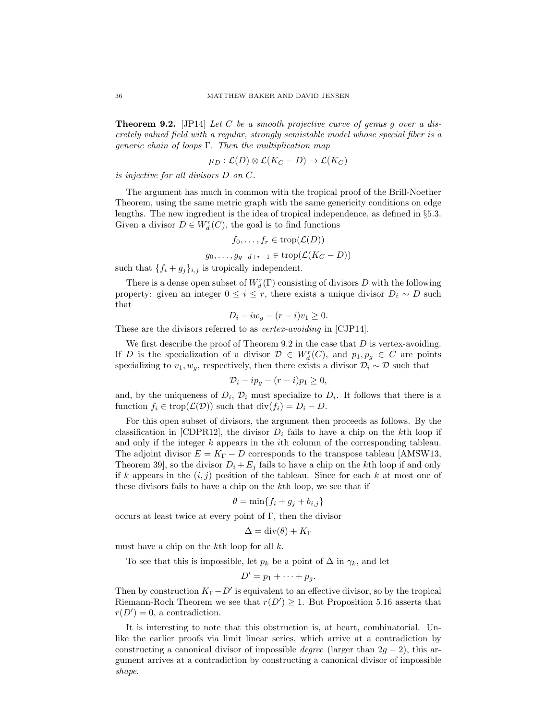**Theorem 9.2.** [JP14] Let C be a smooth projective curve of genus g over a discretely valued field with a regular, strongly semistable model whose special fiber is a generic chain of loops  $\Gamma$ . Then the multiplication map

$$
\mu_D : \mathcal{L}(D) \otimes \mathcal{L}(K_C - D) \to \mathcal{L}(K_C)
$$

is injective for all divisors D on C.

The argument has much in common with the tropical proof of the Brill-Noether Theorem, using the same metric graph with the same genericity conditions on edge lengths. The new ingredient is the idea of tropical independence, as defined in §5.3. Given a divisor  $D \in W_d^r(C)$ , the goal is to find functions

$$
f_0,\ldots,f_r\in\operatorname{trop}(\mathcal{L}(D))
$$

 $g_0, \ldots, g_{q-d+r-1} \in \text{trop}(\mathcal{L}(K_C - D))$ 

such that  $\{f_i+g_j\}_{i,j}$  is tropically independent.

There is a dense open subset of  $W^r_d(\Gamma)$  consisting of divisors  $D$  with the following property: given an integer  $0 \leq i \leq r$ , there exists a unique divisor  $D_i \sim D$  such that

$$
D_i - iw_g - (r - i)v_1 \ge 0.
$$

These are the divisors referred to as *vertex-avoiding* in [CJP14].

We first describe the proof of Theorem 9.2 in the case that  $D$  is vertex-avoiding. If D is the specialization of a divisor  $\mathcal{D} \in W_d^r(C)$ , and  $p_1, p_g \in C$  are points specializing to  $v_1, w_q$ , respectively, then there exists a divisor  $\mathcal{D}_i \sim \mathcal{D}$  such that

$$
\mathcal{D}_i - ip_g - (r - i)p_1 \ge 0,
$$

and, by the uniqueness of  $D_i$ ,  $\mathcal{D}_i$  must specialize to  $D_i$ . It follows that there is a function  $f_i \in \text{trop}(\mathcal{L}(\mathcal{D}))$  such that  $\text{div}(f_i) = D_i - D$ .

For this open subset of divisors, the argument then proceeds as follows. By the classification in [CDPR12], the divisor  $D_i$  fails to have a chip on the kth loop if and only if the integer  $k$  appears in the *i*th column of the corresponding tableau. The adjoint divisor  $E = K_{\Gamma} - D$  corresponds to the transpose tableau [AMSW13, Theorem 39, so the divisor  $D_i + E_j$  fails to have a chip on the kth loop if and only if k appears in the  $(i, j)$  position of the tableau. Since for each k at most one of these divisors fails to have a chip on the kth loop, we see that if

$$
\theta = \min\{f_i + g_j + b_{i,j}\}
$$

occurs at least twice at every point of  $\Gamma$ , then the divisor

$$
\Delta = \operatorname{div}(\theta) + K_{\Gamma}
$$

must have a chip on the kth loop for all  $k$ .

To see that this is impossible, let  $p_k$  be a point of  $\Delta$  in  $\gamma_k$ , and let

$$
D'=p_1+\cdots+p_g.
$$

Then by construction  $K_{\Gamma} - D'$  is equivalent to an effective divisor, so by the tropical Riemann-Roch Theorem we see that  $r(D') \geq 1$ . But Proposition 5.16 asserts that  $r(D') = 0$ , a contradiction.

It is interesting to note that this obstruction is, at heart, combinatorial. Unlike the earlier proofs via limit linear series, which arrive at a contradiction by constructing a canonical divisor of impossible *degree* (larger than  $2g - 2$ ), this argument arrives at a contradiction by constructing a canonical divisor of impossible shape.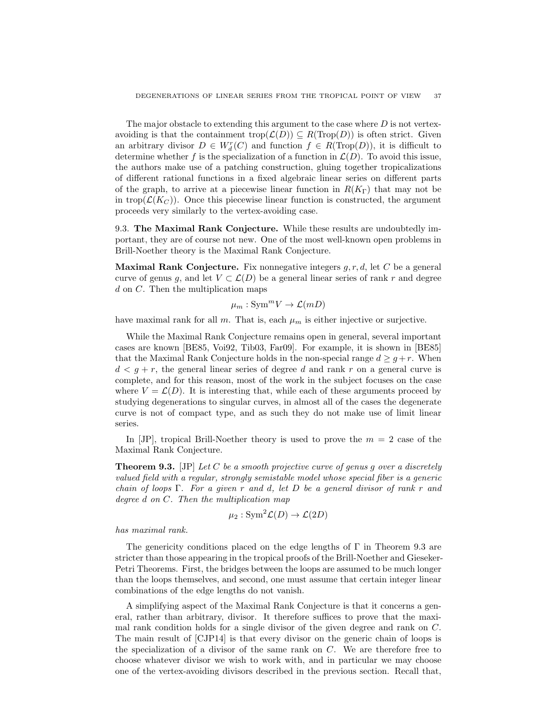The major obstacle to extending this argument to the case where  $D$  is not vertexavoiding is that the containment trop $(\mathcal{L}(D)) \subseteq R(\text{Trop}(D))$  is often strict. Given an arbitrary divisor  $D \in W_d^r(C)$  and function  $f \in R(\text{Trop}(D))$ , it is difficult to determine whether f is the specialization of a function in  $\mathcal{L}(D)$ . To avoid this issue, the authors make use of a patching construction, gluing together tropicalizations of different rational functions in a fixed algebraic linear series on different parts of the graph, to arrive at a piecewise linear function in  $R(K_{\Gamma})$  that may not be in trop( $\mathcal{L}(K_C)$ ). Once this piecewise linear function is constructed, the argument proceeds very similarly to the vertex-avoiding case.

9.3. The Maximal Rank Conjecture. While these results are undoubtedly important, they are of course not new. One of the most well-known open problems in Brill-Noether theory is the Maximal Rank Conjecture.

**Maximal Rank Conjecture.** Fix nonnegative integers  $g, r, d$ , let C be a general curve of genus q, and let  $V \subset \mathcal{L}(D)$  be a general linear series of rank r and degree  $d$  on  $C$ . Then the multiplication maps

 $\mu_m : \text{Sym}^m V \to \mathcal{L}(mD)$ 

have maximal rank for all m. That is, each  $\mu_m$  is either injective or surjective.

While the Maximal Rank Conjecture remains open in general, several important cases are known [BE85, Voi92, Tib03, Far09]. For example, it is shown in [BE85] that the Maximal Rank Conjecture holds in the non-special range  $d \geq g+r$ . When  $d < q + r$ , the general linear series of degree d and rank r on a general curve is complete, and for this reason, most of the work in the subject focuses on the case where  $V = \mathcal{L}(D)$ . It is interesting that, while each of these arguments proceed by studying degenerations to singular curves, in almost all of the cases the degenerate curve is not of compact type, and as such they do not make use of limit linear series.

In [JP], tropical Brill-Noether theory is used to prove the  $m = 2$  case of the Maximal Rank Conjecture.

**Theorem 9.3.** [JP] Let  $C$  be a smooth projective curve of genus  $g$  over a discretely valued field with a regular, strongly semistable model whose special fiber is a generic chain of loops Γ. For a given r and d, let D be a general divisor of rank r and degree d on C. Then the multiplication map

$$
\mu_2: \operatorname{Sym}^2 \mathcal{L}(D) \to \mathcal{L}(2D)
$$

has maximal rank.

The genericity conditions placed on the edge lengths of  $\Gamma$  in Theorem 9.3 are stricter than those appearing in the tropical proofs of the Brill-Noether and Gieseker-Petri Theorems. First, the bridges between the loops are assumed to be much longer than the loops themselves, and second, one must assume that certain integer linear combinations of the edge lengths do not vanish.

A simplifying aspect of the Maximal Rank Conjecture is that it concerns a general, rather than arbitrary, divisor. It therefore suffices to prove that the maximal rank condition holds for a single divisor of the given degree and rank on C. The main result of [CJP14] is that every divisor on the generic chain of loops is the specialization of a divisor of the same rank on  $C$ . We are therefore free to choose whatever divisor we wish to work with, and in particular we may choose one of the vertex-avoiding divisors described in the previous section. Recall that,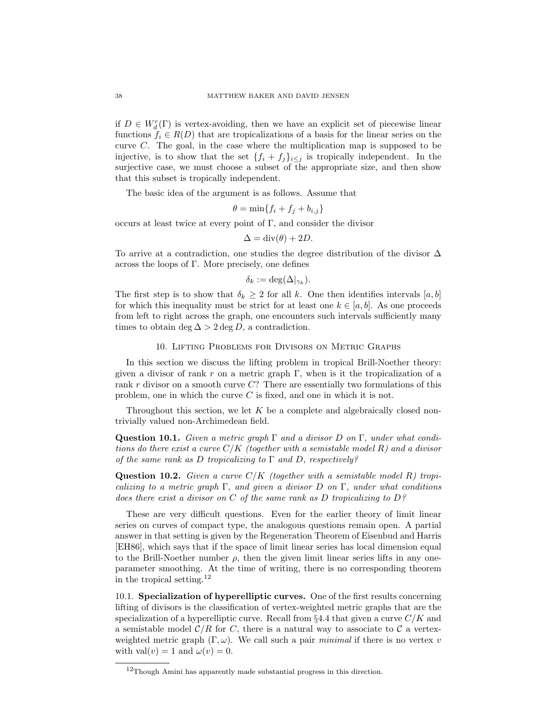if  $D \in W_d^r(\Gamma)$  is vertex-avoiding, then we have an explicit set of piecewise linear functions  $f_i \in R(D)$  that are tropicalizations of a basis for the linear series on the curve C. The goal, in the case where the multiplication map is supposed to be injective, is to show that the set  $\{f_i + f_j\}_{i \leq j}$  is tropically independent. In the surjective case, we must choose a subset of the appropriate size, and then show that this subset is tropically independent.

The basic idea of the argument is as follows. Assume that

$$
\theta = \min\{f_i + f_j + b_{i,j}\}
$$

occurs at least twice at every point of Γ, and consider the divisor

$$
\Delta = \operatorname{div}(\theta) + 2D.
$$

To arrive at a contradiction, one studies the degree distribution of the divisor ∆ across the loops of Γ. More precisely, one defines

$$
\delta_k := \deg(\Delta|_{\gamma_k}).
$$

The first step is to show that  $\delta_k \geq 2$  for all k. One then identifies intervals [a, b] for which this inequality must be strict for at least one  $k \in [a, b]$ . As one proceeds from left to right across the graph, one encounters such intervals sufficiently many times to obtain deg  $\Delta > 2$  deg D, a contradiction.

### 10. Lifting Problems for Divisors on Metric Graphs

In this section we discuss the lifting problem in tropical Brill-Noether theory: given a divisor of rank r on a metric graph  $\Gamma$ , when is it the tropicalization of a rank  $r$  divisor on a smooth curve  $C$ ? There are essentially two formulations of this problem, one in which the curve  $C$  is fixed, and one in which it is not.

Throughout this section, we let  $K$  be a complete and algebraically closed nontrivially valued non-Archimedean field.

**Question 10.1.** Given a metric graph  $\Gamma$  and a divisor D on  $\Gamma$ , under what conditions do there exist a curve  $C/K$  (together with a semistable model R) and a divisor of the same rank as D tropicalizing to  $\Gamma$  and D, respectively?

**Question 10.2.** Given a curve  $C/K$  (together with a semistable model R) tropicalizing to a metric graph  $\Gamma$ , and given a divisor D on  $\Gamma$ , under what conditions does there exist a divisor on  $C$  of the same rank as  $D$  tropicalizing to  $D$ ?

These are very difficult questions. Even for the earlier theory of limit linear series on curves of compact type, the analogous questions remain open. A partial answer in that setting is given by the Regeneration Theorem of Eisenbud and Harris [EH86], which says that if the space of limit linear series has local dimension equal to the Brill-Noether number  $\rho$ , then the given limit linear series lifts in any oneparameter smoothing. At the time of writing, there is no corresponding theorem in the tropical setting. $12$ 

10.1. Specialization of hyperelliptic curves. One of the first results concerning lifting of divisors is the classification of vertex-weighted metric graphs that are the specialization of a hyperelliptic curve. Recall from  $\S 4.4$  that given a curve  $C/K$  and a semistable model  $\mathcal{C}/R$  for C, there is a natural way to associate to C a vertexweighted metric graph  $(\Gamma, \omega)$ . We call such a pair *minimal* if there is no vertex v with val $(v) = 1$  and  $\omega(v) = 0$ .

 $12$ Though Amini has apparently made substantial progress in this direction.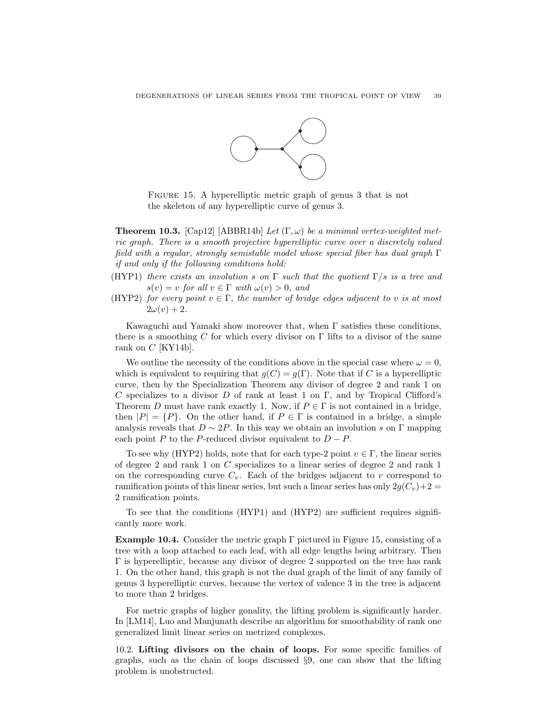![](_page_38_Figure_1.jpeg)

Figure 15. A hyperelliptic metric graph of genus 3 that is not the skeleton of any hyperelliptic curve of genus 3.

**Theorem 10.3.** [Cap12] [ABBR14b] Let  $(\Gamma, \omega)$  be a minimal vertex-weighted metric graph. There is a smooth projective hyperelliptic curve over a discretely valued field with a regular, strongly semistable model whose special fiber has dual graph  $\Gamma$ if and only if the following conditions hold:

- (HYP1) there exists an involution s on  $\Gamma$  such that the quotient  $\Gamma/s$  is a tree and  $s(v) = v$  for all  $v \in \Gamma$  with  $\omega(v) > 0$ , and
- (HYP2) for every point  $v \in \Gamma$ , the number of bridge edges adjacent to v is at most  $2\omega(v) + 2.$

Kawaguchi and Yamaki show moreover that, when  $\Gamma$  satisfies these conditions, there is a smoothing C for which every divisor on  $\Gamma$  lifts to a divisor of the same rank on  $C$  [KY14b].

We outline the necessity of the conditions above in the special case where  $\omega = 0$ , which is equivalent to requiring that  $g(C) = g(\Gamma)$ . Note that if C is a hyperelliptic curve, then by the Specialization Theorem any divisor of degree 2 and rank 1 on C specializes to a divisor D of rank at least 1 on  $\Gamma$ , and by Tropical Clifford's Theorem D must have rank exactly 1. Now, if  $P \in \Gamma$  is not contained in a bridge, then  $|P| = \{P\}$ . On the other hand, if  $P \in \Gamma$  is contained in a bridge, a simple analysis reveals that  $D \sim 2P$ . In this way we obtain an involution s on Γ mapping each point P to the P-reduced divisor equivalent to  $D - P$ .

To see why (HYP2) holds, note that for each type-2 point  $v \in \Gamma$ , the linear series of degree 2 and rank 1 on C specializes to a linear series of degree 2 and rank 1 on the corresponding curve  $C_v$ . Each of the bridges adjacent to v correspond to ramification points of this linear series, but such a linear series has only  $2q(C_v)+2$ 2 ramification points.

To see that the conditions (HYP1) and (HYP2) are sufficient requires significantly more work.

**Example 10.4.** Consider the metric graph  $\Gamma$  pictured in Figure 15, consisting of a tree with a loop attached to each leaf, with all edge lengths being arbitrary. Then Γ is hyperelliptic, because any divisor of degree 2 supported on the tree has rank 1. On the other hand, this graph is not the dual graph of the limit of any family of genus 3 hyperelliptic curves, because the vertex of valence 3 in the tree is adjacent to more than 2 bridges.

For metric graphs of higher gonality, the lifting problem is significantly harder. In [LM14], Luo and Manjunath describe an algorithm for smoothability of rank one generalized limit linear series on metrized complexes.

10.2. Lifting divisors on the chain of loops. For some specific families of graphs, such as the chain of loops discussed §9, one can show that the lifting problem is unobstructed.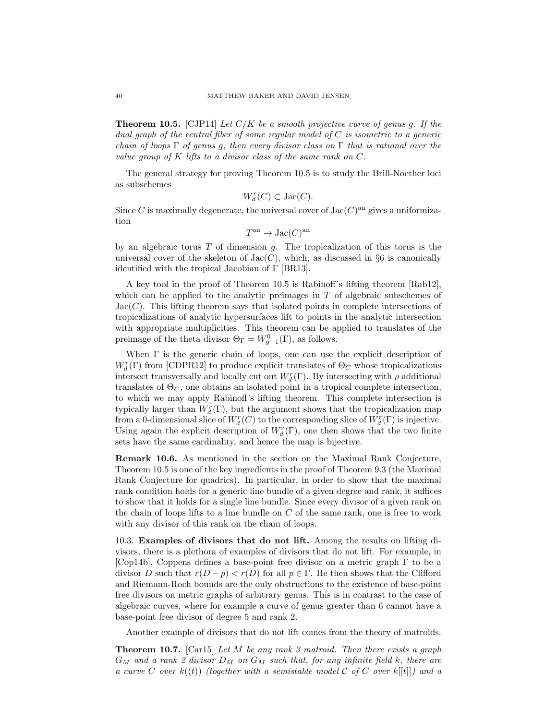**Theorem 10.5.** [CJP14] Let  $C/K$  be a smooth projective curve of genus g. If the dual graph of the central fiber of some regular model of  $C$  is isometric to a generic chain of loops  $\Gamma$  of genus g, then every divisor class on  $\Gamma$  that is rational over the value group of K lifts to a divisor class of the same rank on C.

The general strategy for proving Theorem 10.5 is to study the Brill-Noether loci as subschemes

$$
W^r_d(C)\subset \mathrm{Jac}(C).
$$

Since C is maximally degenerate, the universal cover of  $Jac(C)^{an}$  gives a uniformization

$$
T^{\rm an} \to \text{Jac}(C)^{\rm an}
$$

by an algebraic torus  $T$  of dimension  $q$ . The tropicalization of this torus is the universal cover of the skeleton of  $Jac(C)$ , which, as discussed in §6 is canonically identified with the tropical Jacobian of Γ [BR13].

A key tool in the proof of Theorem 10.5 is Rabinoff's lifting theorem [Rab12], which can be applied to the analytic preimages in  $T$  of algebraic subschemes of  $Jac(C)$ . This lifting theorem says that isolated points in complete intersections of tropicalizations of analytic hypersurfaces lift to points in the analytic intersection with appropriate multiplicities. This theorem can be applied to translates of the preimage of the theta divisor  $\Theta_{\Gamma} = W_{g-1}^0(\Gamma)$ , as follows.

When Γ is the generic chain of loops, one can use the explicit description of  $W^r_d(\Gamma)$  from [CDPR12] to produce explicit translates of  $\Theta_C$  whose tropicalizations intersect transversally and locally cut out  $W_d^r(\Gamma)$ . By intersecting with  $\rho$  additional translates of  $\Theta_C$ , one obtains an isolated point in a tropical complete intersection, to which we may apply Rabinoff's lifting theorem. This complete intersection is typically larger than  $W_d^r(\Gamma)$ , but the argument shows that the tropicalization map from a 0-dimensional slice of  $W_d^r(C)$  to the corresponding slice of  $W_d^r(\Gamma)$  is injective. Using again the explicit description of  $W_d^r(\Gamma)$ , one then shows that the two finite sets have the same cardinality, and hence the map is bijective.

Remark 10.6. As mentioned in the section on the Maximal Rank Conjecture, Theorem 10.5 is one of the key ingredients in the proof of Theorem 9.3 (the Maximal Rank Conjecture for quadrics). In particular, in order to show that the maximal rank condition holds for a generic line bundle of a given degree and rank, it suffices to show that it holds for a single line bundle. Since every divisor of a given rank on the chain of loops lifts to a line bundle on  $C$  of the same rank, one is free to work with any divisor of this rank on the chain of loops.

10.3. Examples of divisors that do not lift. Among the results on lifting divisors, there is a plethora of examples of divisors that do not lift. For example, in [Cop14b], Coppens defines a base-point free divisor on a metric graph Γ to be a divisor D such that  $r(D - p) < r(D)$  for all  $p \in \Gamma$ . He then shows that the Clifford and Riemann-Roch bounds are the only obstructions to the existence of base-point free divisors on metric graphs of arbitrary genus. This is in contrast to the case of algebraic curves, where for example a curve of genus greater than 6 cannot have a base-point free divisor of degree 5 and rank 2.

Another example of divisors that do not lift comes from the theory of matroids.

**Theorem 10.7.** [Car15] Let M be any rank 3 matroid. Then there exists a graph  $G_M$  and a rank 2 divisor  $D_M$  on  $G_M$  such that, for any infinite field k, there are a curve C over  $k((t))$  (together with a semistable model C of C over  $k[[t]]$ ) and a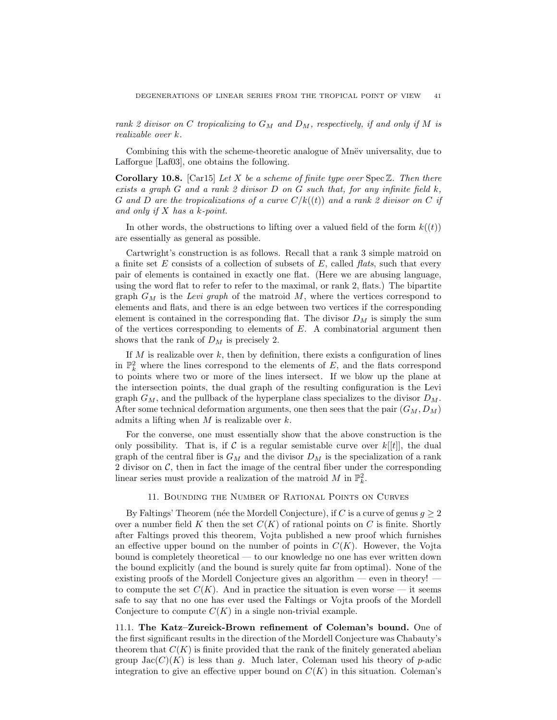rank 2 divisor on C tropicalizing to  $G_M$  and  $D_M$ , respectively, if and only if M is realizable over k.

Combining this with the scheme-theoretic analogue of Mnev universality, due to Lafforgue [Laf03], one obtains the following.

**Corollary 10.8.** [Car15] Let X be a scheme of finite type over  $Spec \mathbb{Z}$ . Then there exists a graph  $G$  and a rank 2 divisor  $D$  on  $G$  such that, for any infinite field  $k$ , G and D are the tropicalizations of a curve  $C/k((t))$  and a rank 2 divisor on C if and only if  $X$  has a  $k$ -point.

In other words, the obstructions to lifting over a valued field of the form  $k((t))$ are essentially as general as possible.

Cartwright's construction is as follows. Recall that a rank 3 simple matroid on a finite set  $E$  consists of a collection of subsets of  $E$ , called *flats*, such that every pair of elements is contained in exactly one flat. (Here we are abusing language, using the word flat to refer to refer to the maximal, or rank 2, flats.) The bipartite graph  $G_M$  is the Levi graph of the matroid M, where the vertices correspond to elements and flats, and there is an edge between two vertices if the corresponding element is contained in the corresponding flat. The divisor  $D<sub>M</sub>$  is simply the sum of the vertices corresponding to elements of  $E$ . A combinatorial argument then shows that the rank of  $D_M$  is precisely 2.

If  $M$  is realizable over  $k$ , then by definition, there exists a configuration of lines in  $\mathbb{P}_k^2$  where the lines correspond to the elements of E, and the flats correspond to points where two or more of the lines intersect. If we blow up the plane at the intersection points, the dual graph of the resulting configuration is the Levi graph  $G_M$ , and the pullback of the hyperplane class specializes to the divisor  $D_M$ . After some technical deformation arguments, one then sees that the pair  $(G_M, D_M)$ admits a lifting when  $M$  is realizable over  $k$ .

For the converse, one must essentially show that the above construction is the only possibility. That is, if C is a regular semistable curve over  $k[[t]]$ , the dual graph of the central fiber is  $G_M$  and the divisor  $D_M$  is the specialization of a rank 2 divisor on  $\mathcal{C}$ , then in fact the image of the central fiber under the corresponding linear series must provide a realization of the matroid M in  $\mathbb{P}_k^2$ .

### 11. Bounding the Number of Rational Points on Curves

By Faltings' Theorem (née the Mordell Conjecture), if C is a curve of genus  $q \geq 2$ over a number field K then the set  $C(K)$  of rational points on C is finite. Shortly after Faltings proved this theorem, Vojta published a new proof which furnishes an effective upper bound on the number of points in  $C(K)$ . However, the Vojta bound is completely theoretical — to our knowledge no one has ever written down the bound explicitly (and the bound is surely quite far from optimal). None of the existing proofs of the Mordell Conjecture gives an algorithm — even in theory! to compute the set  $C(K)$ . And in practice the situation is even worse — it seems safe to say that no one has ever used the Faltings or Vojta proofs of the Mordell Conjecture to compute  $C(K)$  in a single non-trivial example.

11.1. The Katz–Zureick-Brown refinement of Coleman's bound. One of the first significant results in the direction of the Mordell Conjecture was Chabauty's theorem that  $C(K)$  is finite provided that the rank of the finitely generated abelian group  $Jac(C)(K)$  is less than g. Much later, Coleman used his theory of p-adic integration to give an effective upper bound on  $C(K)$  in this situation. Coleman's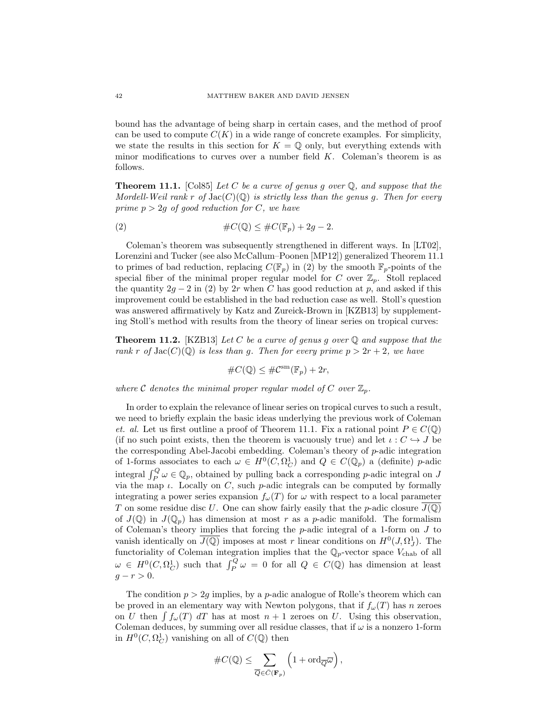bound has the advantage of being sharp in certain cases, and the method of proof can be used to compute  $C(K)$  in a wide range of concrete examples. For simplicity, we state the results in this section for  $K = \mathbb{Q}$  only, but everything extends with minor modifications to curves over a number field  $K$ . Coleman's theorem is as follows.

**Theorem 11.1.** [Col85] Let C be a curve of genus q over  $\mathbb{Q}$ , and suppose that the Mordell-Weil rank r of  $Jac(C)(\mathbb{Q})$  is strictly less than the genus q. Then for every prime  $p > 2g$  of good reduction for C, we have

(2) 
$$
\#C(\mathbb{Q}) \leq \#C(\mathbb{F}_p) + 2g - 2.
$$

Coleman's theorem was subsequently strengthened in different ways. In [LT02], Lorenzini and Tucker (see also McCallum–Poonen [MP12]) generalized Theorem 11.1 to primes of bad reduction, replacing  $C(\mathbb{F}_p)$  in (2) by the smooth  $\mathbb{F}_p$ -points of the special fiber of the minimal proper regular model for C over  $\mathbb{Z}_p$ . Stoll replaced the quantity  $2g - 2$  in (2) by 2r when C has good reduction at p, and asked if this improvement could be established in the bad reduction case as well. Stoll's question was answered affirmatively by Katz and Zureick-Brown in [KZB13] by supplementing Stoll's method with results from the theory of linear series on tropical curves:

**Theorem 11.2.** [KZB13] Let C be a curve of genus g over  $\mathbb Q$  and suppose that the rank r of  $Jac(C)(\mathbb{Q})$  is less than g. Then for every prime  $p > 2r + 2$ , we have

$$
\#C(\mathbb{Q}) \le \#C^{\mathrm{sm}}(\mathbb{F}_p) + 2r,
$$

where C denotes the minimal proper regular model of C over  $\mathbb{Z}_p$ .

In order to explain the relevance of linear series on tropical curves to such a result, we need to briefly explain the basic ideas underlying the previous work of Coleman et. al. Let us first outline a proof of Theorem 11.1. Fix a rational point  $P \in C(\mathbb{Q})$ (if no such point exists, then the theorem is vacuously true) and let  $\iota : C \hookrightarrow J$  be the corresponding Abel-Jacobi embedding. Coleman's theory of p-adic integration of 1-forms associates to each  $\omega \in H^0(C, \Omega_C^1)$  and  $Q \in C(\mathbb{Q}_p)$  a (definite) p-adic integral  $\int_P^Q \omega \in \mathbb{Q}_p$ , obtained by pulling back a corresponding *p*-adic integral on J via the map  $\iota$ . Locally on C, such p-adic integrals can be computed by formally integrating a power series expansion  $f_{\omega}(T)$  for  $\omega$  with respect to a local parameter T on some residue disc U. One can show fairly easily that the p-adic closure  $J(\mathbb{Q})$ of  $J(\mathbb{Q})$  in  $J(\mathbb{Q}_p)$  has dimension at most r as a p-adic manifold. The formalism of Coleman's theory implies that forcing the  $p$ -adic integral of a 1-form on  $J$  to vanish identically on  $\overline{J(Q)}$  imposes at most r linear conditions on  $H^0(J, \Omega_J^1)$ . The functoriality of Coleman integration implies that the  $\mathbb{Q}_p$ -vector space  $V_{\text{chab}}$  of all  $\omega \in H^0(C, \Omega^1_C)$  such that  $\int_P^Q \omega = 0$  for all  $Q \in C(\mathbb{Q})$  has dimension at least  $q - r > 0.$ 

The condition  $p > 2q$  implies, by a p-adic analogue of Rolle's theorem which can be proved in an elementary way with Newton polygons, that if  $f_{\omega}(T)$  has n zeroes on U then  $\int f_\omega(T) dT$  has at most  $n + 1$  zeroes on U. Using this observation, Coleman deduces, by summing over all residue classes, that if  $\omega$  is a nonzero 1-form in  $H^0(C, \Omega^1_C)$  vanishing on all of  $C(\mathbb{Q})$  then

$$
\#C(\mathbb{Q})\leq \sum_{\overline{\mathbb{Q}}\in \bar{C}(\mathbf{F}_p)}\left(1+\mathrm{ord}_{\overline{\mathbb{Q}}}\overline{\omega}\right),
$$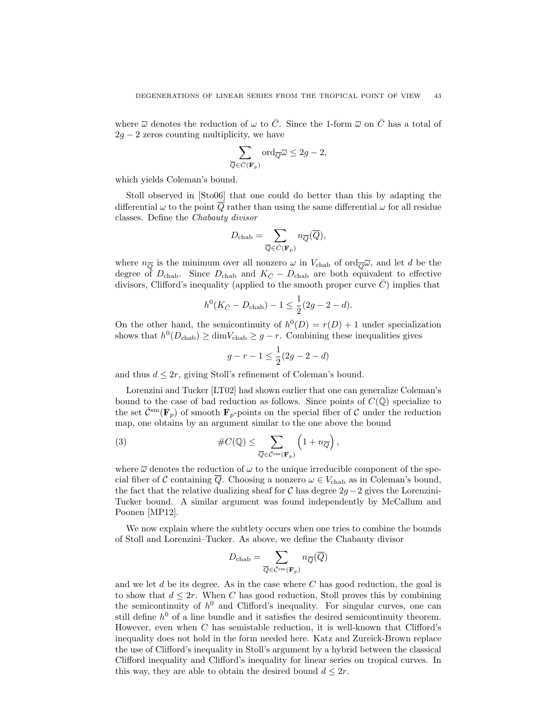where  $\overline{\omega}$  denotes the reduction of  $\omega$  to  $\overline{C}$ . Since the 1-form  $\overline{\omega}$  on  $\overline{C}$  has a total of  $2g - 2$  zeros counting multiplicity, we have

$$
\sum_{\overline{Q} \in \overline{C}(\mathbf{F}_p)} \text{ord}_{\overline{Q}} \overline{\omega} \le 2g - 2,
$$

which yields Coleman's bound.

Stoll observed in [Sto06] that one could do better than this by adapting the differential  $\omega$  to the point Q rather than using the same differential  $\omega$  for all residue classes. Define the Chabauty divisor

$$
D_{\text{chab}} = \sum_{\overline{Q} \in \overline{C}(\mathbf{F}_p)} n_{\overline{Q}}(\overline{Q}),
$$

where  $n_{\overline{Q}}$  is the minimum over all nonzero  $\omega$  in  $V_{\text{chab}}$  of ord $_{\overline{Q}}\overline{\omega}$ , and let d be the degree of  $D_{\text{chab}}$ . Since  $D_{\text{chab}}$  and  $K_{\overline{C}} - D_{\text{chab}}$  are both equivalent to effective divisors, Clifford's inequality (applied to the smooth proper curve  $\overline{C}$ ) implies that

$$
h^0(K_{\bar{C}} - D_{\text{chab}}) - 1 \le \frac{1}{2}(2g - 2 - d).
$$

On the other hand, the semicontinuity of  $h^0(D) = r(D) + 1$  under specialization shows that  $h^0(D_{\text{chab}}) \ge \dim V_{\text{chab}} \ge g - r$ . Combining these inequalities gives

$$
g - r - 1 \le \frac{1}{2}(2g - 2 - d)
$$

and thus  $d \leq 2r$ , giving Stoll's refinement of Coleman's bound.

Lorenzini and Tucker [LT02] had shown earlier that one can generalize Coleman's bound to the case of bad reduction as follows. Since points of  $C(\mathbb{Q})$  specialize to the set  $\bar{C}^{\text{sm}}(\mathbf{F}_p)$  of smooth  $\mathbf{F}_p$ -points on the special fiber of C under the reduction map, one obtains by an argument similar to the one above the bound

(3) 
$$
\#C(\mathbb{Q}) \leq \sum_{\overline{Q} \in \overline{\mathcal{C}}^{\text{sm}}(\mathbf{F}_p)} \left(1 + n_{\overline{Q}}\right),
$$

where  $\bar{\omega}$  denotes the reduction of  $\omega$  to the unique irreducible component of the special fiber of C containing  $\overline{Q}$ . Choosing a nonzero  $\omega \in V_{\text{chab}}$  as in Coleman's bound, the fact that the relative dualizing sheaf for  $\mathcal C$  has degree 2g − 2 gives the Lorenzini-Tucker bound. A similar argument was found independently by McCallum and Poonen [MP12].

We now explain where the subtlety occurs when one tries to combine the bounds of Stoll and Lorenzini–Tucker. As above, we define the Chabauty divisor

$$
D_{\text{chab}} = \sum_{\overline{Q} \in \bar{\mathcal{C}}^{\text{sm}}(\mathbf{F}_p)} n_{\overline{Q}}(\overline{Q})
$$

and we let  $d$  be its degree. As in the case where  $C$  has good reduction, the goal is to show that  $d \leq 2r$ . When C has good reduction, Stoll proves this by combining the semicontinuity of  $h^0$  and Clifford's inequality. For singular curves, one can still define  $h^0$  of a line bundle and it satisfies the desired semicontinuity theorem. However, even when C has semistable reduction, it is well-known that Clifford's inequality does not hold in the form needed here. Katz and Zureick-Brown replace the use of Clifford's inequality in Stoll's argument by a hybrid between the classical Clifford inequality and Clifford's inequality for linear series on tropical curves. In this way, they are able to obtain the desired bound  $d \leq 2r$ .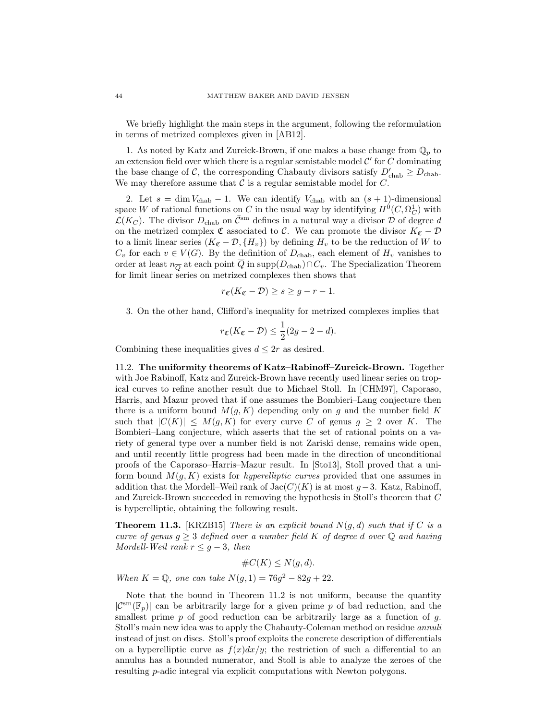We briefly highlight the main steps in the argument, following the reformulation in terms of metrized complexes given in [AB12].

1. As noted by Katz and Zureick-Brown, if one makes a base change from  $\mathbb{Q}_p$  to an extension field over which there is a regular semistable model  $\mathcal{C}'$  for C dominating the base change of C, the corresponding Chabauty divisors satisfy  $D'_{\text{chab}} \ge D_{\text{chab}}$ . We may therefore assume that  $\mathcal C$  is a regular semistable model for  $C$ .

2. Let  $s = \dim V_{\text{chab}} - 1$ . We can identify  $V_{\text{chab}}$  with an  $(s + 1)$ -dimensional space W of rational functions on C in the usual way by identifying  $H^0(C, \Omega^1_C)$  with  $\mathcal{L}(K_C)$ . The divisor  $D_{\text{chab}}$  on  $\bar{\mathcal{C}}^{\text{sm}}$  defines in a natural way a divisor  $\mathcal D$  of degree d on the metrized complex  $\mathfrak C$  associated to  $\mathcal C$ . We can promote the divisor  $K_{\mathfrak C}-\mathcal D$ to a limit linear series  $(K_{\mathfrak{C}} - \mathcal{D}, \{H_v\})$  by defining  $H_v$  to be the reduction of W to  $C_v$  for each  $v \in V(G)$ . By the definition of  $D_{\text{chab}}$ , each element of  $H_v$  vanishes to order at least  $n_{\overline{Q}}$  at each point  $\overline{Q}$  in supp $(D_{\text{chab}})\cap C_v$ . The Specialization Theorem for limit linear series on metrized complexes then shows that

$$
r_{\mathfrak{C}}(K_{\mathfrak{C}} - \mathcal{D}) \geq s \geq g - r - 1.
$$

3. On the other hand, Clifford's inequality for metrized complexes implies that

$$
r_{\mathfrak{C}}(K_{\mathfrak{C}} - \mathcal{D}) \le \frac{1}{2}(2g - 2 - d).
$$

Combining these inequalities gives  $d \leq 2r$  as desired.

11.2. The uniformity theorems of Katz–Rabinoff–Zureick-Brown. Together with Joe Rabinoff, Katz and Zureick-Brown have recently used linear series on tropical curves to refine another result due to Michael Stoll. In [CHM97], Caporaso, Harris, and Mazur proved that if one assumes the Bombieri–Lang conjecture then there is a uniform bound  $M(g, K)$  depending only on g and the number field K such that  $|C(K)| \leq M(q, K)$  for every curve C of genus  $q \geq 2$  over K. The Bombieri–Lang conjecture, which asserts that the set of rational points on a variety of general type over a number field is not Zariski dense, remains wide open, and until recently little progress had been made in the direction of unconditional proofs of the Caporaso–Harris–Mazur result. In [Sto13], Stoll proved that a uniform bound  $M(g, K)$  exists for *hyperelliptic curves* provided that one assumes in addition that the Mordell–Weil rank of  $Jac(C)(K)$  is at most  $q-3$ . Katz, Rabinoff, and Zureick-Brown succeeded in removing the hypothesis in Stoll's theorem that C is hyperelliptic, obtaining the following result.

**Theorem 11.3.** [KRZB15] There is an explicit bound  $N(q, d)$  such that if C is a curve of genus  $g \geq 3$  defined over a number field K of degree d over Q and having Mordell-Weil rank  $r \leq g-3$ , then

 $\#C(K) \leq N(g, d).$ 

When  $K = \mathbb{Q}$ , one can take  $N(g, 1) = 76g^2 - 82g + 22$ .

Note that the bound in Theorem 11.2 is not uniform, because the quantity  $|\mathcal{C}^{\text{sm}}(\mathbb{F}_p)|$  can be arbitrarily large for a given prime p of bad reduction, and the smallest prime p of good reduction can be arbitrarily large as a function of q. Stoll's main new idea was to apply the Chabauty-Coleman method on residue annuli instead of just on discs. Stoll's proof exploits the concrete description of differentials on a hyperelliptic curve as  $f(x)dx/y$ ; the restriction of such a differential to an annulus has a bounded numerator, and Stoll is able to analyze the zeroes of the resulting p-adic integral via explicit computations with Newton polygons.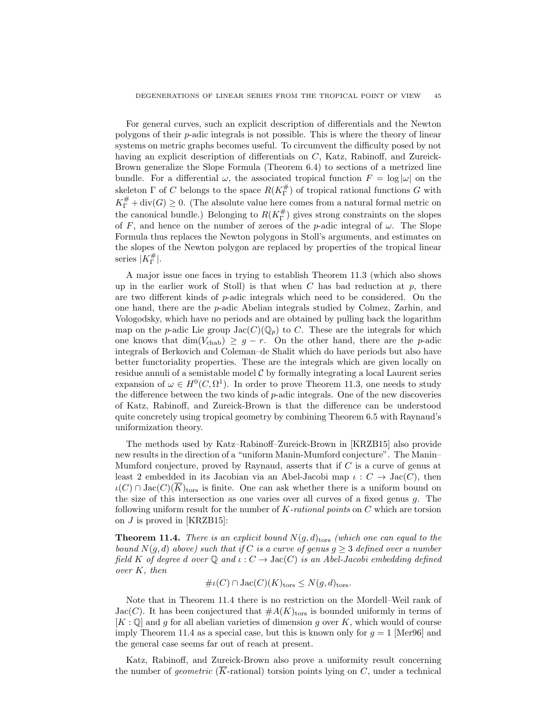For general curves, such an explicit description of differentials and the Newton polygons of their p-adic integrals is not possible. This is where the theory of linear systems on metric graphs becomes useful. To circumvent the difficulty posed by not having an explicit description of differentials on C, Katz, Rabinoff, and Zureick-Brown generalize the Slope Formula (Theorem 6.4) to sections of a metrized line bundle. For a differential  $\omega$ , the associated tropical function  $F = \log |\omega|$  on the skeleton  $\Gamma$  of C belongs to the space  $R(K_{\Gamma}^{\#})$  of tropical rational functions G with  $K_{\Gamma}^{\#}$  + div(G)  $\geq$  0. (The absolute value here comes from a natural formal metric on the canonical bundle.) Belonging to  $R(K_{\Gamma}^{\#})$  gives strong constraints on the slopes of F, and hence on the number of zeroes of the p-adic integral of  $\omega$ . The Slope Formula thus replaces the Newton polygons in Stoll's arguments, and estimates on the slopes of the Newton polygon are replaced by properties of the tropical linear series  $|K_{\Gamma}^{\#}|$ .

A major issue one faces in trying to establish Theorem 11.3 (which also shows up in the earlier work of Stoll) is that when  $C$  has bad reduction at  $p$ , there are two different kinds of p-adic integrals which need to be considered. On the one hand, there are the p-adic Abelian integrals studied by Colmez, Zarhin, and Vologodsky, which have no periods and are obtained by pulling back the logarithm map on the p-adic Lie group  $Jac(C)(\mathbb{Q}_p)$  to C. These are the integrals for which one knows that  $\dim(V_{\text{chab}}) \geq g - r$ . On the other hand, there are the p-adic integrals of Berkovich and Coleman–de Shalit which do have periods but also have better functoriality properties. These are the integrals which are given locally on residue annuli of a semistable model  $\mathcal C$  by formally integrating a local Laurent series expansion of  $\omega \in H^0(C, \Omega^1)$ . In order to prove Theorem 11.3, one needs to study the difference between the two kinds of p-adic integrals. One of the new discoveries of Katz, Rabinoff, and Zureick-Brown is that the difference can be understood quite concretely using tropical geometry by combining Theorem 6.5 with Raynaud's uniformization theory.

The methods used by Katz–Rabinoff–Zureick-Brown in [KRZB15] also provide new results in the direction of a "uniform Manin-Mumford conjecture". The Manin– Mumford conjecture, proved by Raynaud, asserts that if  $C$  is a curve of genus at least 2 embedded in its Jacobian via an Abel-Jacobi map  $\iota: C \to \text{Jac}(C)$ , then  $\iota(C) \cap \text{Jac}(C)(\overline{K})_{\text{tors}}$  is finite. One can ask whether there is a uniform bound on the size of this intersection as one varies over all curves of a fixed genus g. The following uniform result for the number of  $K$ -rational points on  $C$  which are torsion on  $J$  is proved in [KRZB15]:

**Theorem 11.4.** There is an explicit bound  $N(g, d)_{\text{tors}}$  (which one can equal to the bound  $N(q, d)$  above) such that if C is a curve of genus  $q \geq 3$  defined over a number field K of degree d over  $\mathbb Q$  and  $\iota : C \to \text{Jac}(C)$  is an Abel-Jacobi embedding defined over K, then

$$
\# \iota(C) \cap \text{Jac}(C)(K)_{\text{tors}} \leq N(g, d)_{\text{tors}}.
$$

Note that in Theorem 11.4 there is no restriction on the Mordell–Weil rank of Jac(C). It has been conjectured that  $\#A(K)_{\text{tors}}$  is bounded uniformly in terms of  $[K: \mathbb{Q}]$  and g for all abelian varieties of dimension g over K, which would of course imply Theorem 11.4 as a special case, but this is known only for  $g = 1$  [Mer96] and the general case seems far out of reach at present.

Katz, Rabinoff, and Zureick-Brown also prove a uniformity result concerning the number of *geometric* ( $\overline{K}$ -rational) torsion points lying on C, under a technical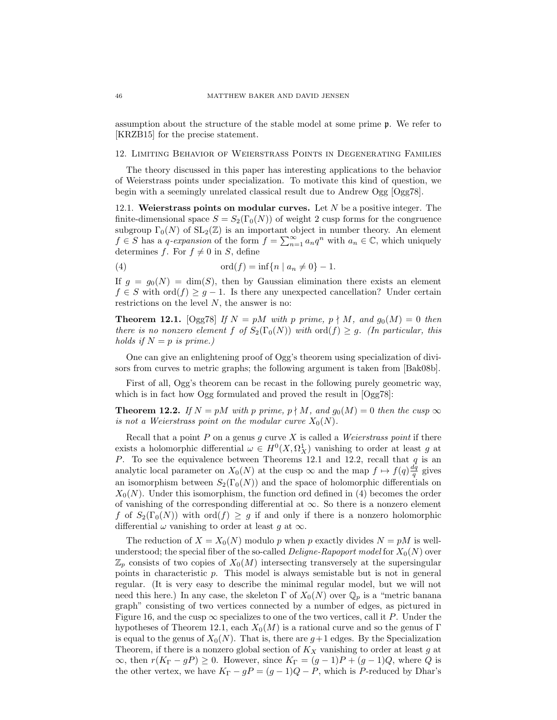assumption about the structure of the stable model at some prime p. We refer to [KRZB15] for the precise statement.

12. Limiting Behavior of Weierstrass Points in Degenerating Families

The theory discussed in this paper has interesting applications to the behavior of Weierstrass points under specialization. To motivate this kind of question, we begin with a seemingly unrelated classical result due to Andrew Ogg [Ogg78].

12.1. Weierstrass points on modular curves. Let  $N$  be a positive integer. The finite-dimensional space  $S = S_2(\Gamma_0(N))$  of weight 2 cusp forms for the congruence subgroup  $\Gamma_0(N)$  of  $SL_2(\mathbb{Z})$  is an important object in number theory. An element  $f \in S$  has a q-expansion of the form  $f = \sum_{n=1}^{\infty} a_n q^n$  with  $a_n \in \mathbb{C}$ , which uniquely determines f. For  $f \neq 0$  in S, define

(4) 
$$
\text{ord}(f) = \inf \{ n \mid a_n \neq 0 \} - 1.
$$

If  $g = g_0(N) = \dim(S)$ , then by Gaussian elimination there exists an element  $f \in S$  with  $\text{ord}(f) \geq g - 1$ . Is there any unexpected cancellation? Under certain restrictions on the level  $N$ , the answer is no:

**Theorem 12.1.** [Ogg78] If  $N = pM$  with p prime,  $p \nmid M$ , and  $g_0(M) = 0$  then there is no nonzero element f of  $S_2(\Gamma_0(N))$  with  $\text{ord}(f) \geq g$ . (In particular, this holds if  $N = p$  is prime.)

One can give an enlightening proof of Ogg's theorem using specialization of divisors from curves to metric graphs; the following argument is taken from [Bak08b].

First of all, Ogg's theorem can be recast in the following purely geometric way, which is in fact how Ogg formulated and proved the result in  $[Ogg78]$ :

**Theorem 12.2.** If  $N = pM$  with p prime,  $p \nmid M$ , and  $g_0(M) = 0$  then the cusp  $\infty$ is not a Weierstrass point on the modular curve  $X_0(N)$ .

Recall that a point  $P$  on a genus  $g$  curve  $X$  is called a *Weierstrass point* if there exists a holomorphic differential  $\omega \in H^0(X, \Omega_X^1)$  vanishing to order at least g at P. To see the equivalence between Theorems 12.1 and 12.2, recall that  $q$  is an analytic local parameter on  $X_0(N)$  at the cusp  $\infty$  and the map  $f \mapsto f(q)\frac{dq}{q}$  gives an isomorphism between  $S_2(\Gamma_0(N))$  and the space of holomorphic differentials on  $X_0(N)$ . Under this isomorphism, the function ord defined in (4) becomes the order of vanishing of the corresponding differential at  $\infty$ . So there is a nonzero element f of  $S_2(\Gamma_0(N))$  with  $\text{ord}(f) \geq g$  if and only if there is a nonzero holomorphic differential  $\omega$  vanishing to order at least g at  $\infty$ .

The reduction of  $X = X_0(N)$  modulo p when p exactly divides  $N = pM$  is wellunderstood; the special fiber of the so-called *Deligne-Rapoport model* for  $X_0(N)$  over  $\mathbb{Z}_p$  consists of two copies of  $X_0(M)$  intersecting transversely at the supersingular points in characteristic p. This model is always semistable but is not in general regular. (It is very easy to describe the minimal regular model, but we will not need this here.) In any case, the skeleton  $\Gamma$  of  $X_0(N)$  over  $\mathbb{Q}_p$  is a "metric banana graph" consisting of two vertices connected by a number of edges, as pictured in Figure 16, and the cusp  $\infty$  specializes to one of the two vertices, call it P. Under the hypotheses of Theorem 12.1, each  $X_0(M)$  is a rational curve and so the genus of Γ is equal to the genus of  $X_0(N)$ . That is, there are  $g+1$  edges. By the Specialization Theorem, if there is a nonzero global section of  $K_X$  vanishing to order at least g at  $\infty$ , then  $r(K_{\Gamma} - gP) \geq 0$ . However, since  $K_{\Gamma} = (g-1)P + (g-1)Q$ , where Q is the other vertex, we have  $K_{\Gamma} - gP = (g - 1)Q - P$ , which is P-reduced by Dhar's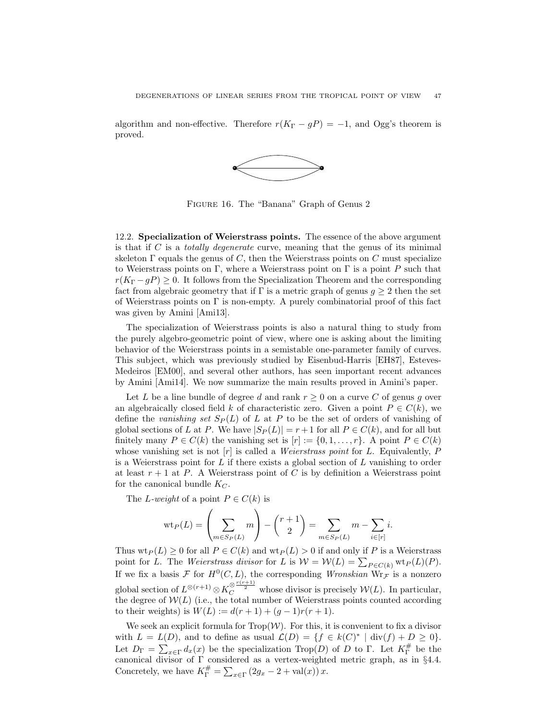algorithm and non-effective. Therefore  $r(K_{\Gamma} - gP) = -1$ , and Ogg's theorem is proved.

![](_page_46_Figure_2.jpeg)

Figure 16. The "Banana" Graph of Genus 2

12.2. Specialization of Weierstrass points. The essence of the above argument is that if  $C$  is a *totally degenerate* curve, meaning that the genus of its minimal skeleton  $\Gamma$  equals the genus of C, then the Weierstrass points on C must specialize to Weierstrass points on Γ, where a Weierstrass point on Γ is a point P such that  $r(K_{\Gamma}-gP) \geq 0$ . It follows from the Specialization Theorem and the corresponding fact from algebraic geometry that if  $\Gamma$  is a metric graph of genus  $g \geq 2$  then the set of Weierstrass points on  $\Gamma$  is non-empty. A purely combinatorial proof of this fact was given by Amini [Ami13].

The specialization of Weierstrass points is also a natural thing to study from the purely algebro-geometric point of view, where one is asking about the limiting behavior of the Weierstrass points in a semistable one-parameter family of curves. This subject, which was previously studied by Eisenbud-Harris [EH87], Esteves-Medeiros [EM00], and several other authors, has seen important recent advances by Amini [Ami14]. We now summarize the main results proved in Amini's paper.

Let L be a line bundle of degree d and rank  $r \geq 0$  on a curve C of genus g over an algebraically closed field k of characteristic zero. Given a point  $P \in C(k)$ , we define the vanishing set  $S_P(L)$  of L at P to be the set of orders of vanishing of global sections of L at P. We have  $|S_P(L)| = r + 1$  for all  $P \in C(k)$ , and for all but finitely many  $P \in C(k)$  the vanishing set is  $[r] := \{0, 1, \ldots, r\}$ . A point  $P \in C(k)$ whose vanishing set is not  $[r]$  is called a *Weierstrass point* for L. Equivalently, P is a Weierstrass point for  $L$  if there exists a global section of  $L$  vanishing to order at least  $r + 1$  at P. A Weierstrass point of C is by definition a Weierstrass point for the canonical bundle  $K_C$ .

The L-weight of a point  $P \in C(k)$  is

$$
\text{wt}_P(L) = \left(\sum_{m \in S_P(L)} m\right) - \binom{r+1}{2} = \sum_{m \in S_P(L)} m - \sum_{i \in [r]} i.
$$

Thus  $\text{wt}_P(L) \geq 0$  for all  $P \in C(k)$  and  $\text{wt}_P(L) > 0$  if and only if P is a Weierstrass point for L. The Weierstrass divisor for L is  $W = W(L) = \sum_{P \in C(k)} wt_P(L)(P)$ . If we fix a basis F for  $H^0(C, L)$ , the corresponding Wronskian  $Wr_{\mathcal{F}}$  is a nonzero global section of  $L^{\otimes (r+1)} \otimes K_C^{\otimes \frac{r(r+1)}{2}}$  whose divisor is precisely  $\mathcal{W}(L)$ . In particular, the degree of  $W(L)$  (i.e., the total number of Weierstrass points counted according to their weights) is  $W(L) := d(r + 1) + (g - 1)r(r + 1)$ .

We seek an explicit formula for  $\text{Top}(\mathcal{W})$ . For this, it is convenient to fix a divisor with  $L = L(D)$ , and to define as usual  $\mathcal{L}(D) = \{f \in k(C)^* \mid \text{div}(f) + D \geq 0\}.$ Let  $D_{\Gamma} = \sum_{x \in \Gamma} d_x(x)$  be the specialization Trop(D) of D to  $\Gamma$ . Let  $K_{\Gamma}^{\#}$  be the canonical divisor of Γ considered as a vertex-weighted metric graph, as in §4.4. Concretely, we have  $K_{\Gamma}^{\#} = \sum_{x \in \Gamma} (2g_x - 2 + \text{val}(x)) x$ .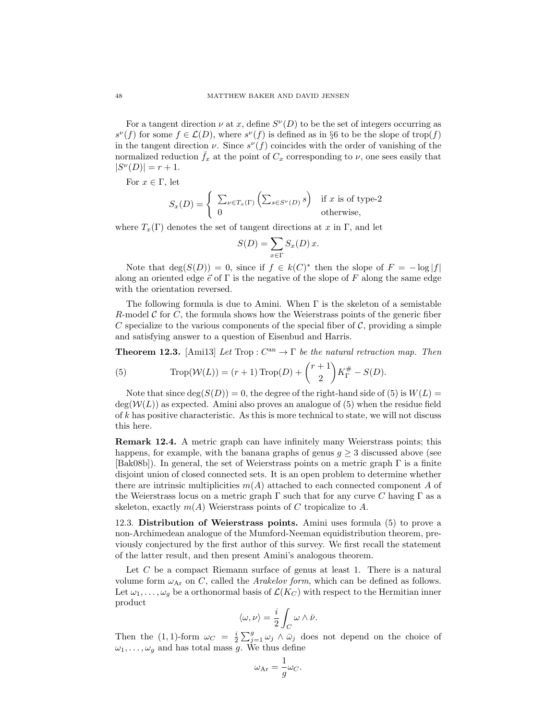For a tangent direction  $\nu$  at x, define  $S^{\nu}(D)$  to be the set of integers occurring as  $s^{\nu}(f)$  for some  $f \in \mathcal{L}(D)$ , where  $s^{\nu}(f)$  is defined as in §6 to be the slope of trop(f) in the tangent direction  $\nu$ . Since  $s^{\nu}(f)$  coincides with the order of vanishing of the normalized reduction  $\bar{f}_x$  at the point of  $C_x$  corresponding to  $\nu$ , one sees easily that  $|S^{\nu}(D)| = r + 1.$ 

For  $x \in \Gamma$ , let

$$
S_x(D) = \begin{cases} \sum_{\nu \in T_x(\Gamma)} \left( \sum_{s \in S^{\nu}(D)} s \right) & \text{if } x \text{ is of type-2} \\ 0 & \text{otherwise,} \end{cases}
$$

where  $T_x(\Gamma)$  denotes the set of tangent directions at x in  $\Gamma$ , and let

$$
S(D) = \sum_{x \in \Gamma} S_x(D) x.
$$

Note that  $deg(S(D)) = 0$ , since if  $f \in k(C)^*$  then the slope of  $F = -log|f|$ along an oriented edge  $\vec{e}$  of  $\Gamma$  is the negative of the slope of F along the same edge with the orientation reversed.

The following formula is due to Amini. When  $\Gamma$  is the skeleton of a semistable R-model C for C, the formula shows how the Weierstrass points of the generic fiber C specialize to the various components of the special fiber of  $\mathcal{C}$ , providing a simple and satisfying answer to a question of Eisenbud and Harris.

**Theorem 12.3.** [Amil3] Let Trop :  $C^{an} \to \Gamma$  be the natural retraction map. Then

(5) 
$$
\text{Trop}(\mathcal{W}(L)) = (r+1) \text{Trop}(D) + {r+1 \choose 2} K_{\Gamma}^{\#} - S(D).
$$

Note that since  $\deg(S(D)) = 0$ , the degree of the right-hand side of (5) is  $W(L) =$  $deg(\mathcal{W}(L))$  as expected. Amini also proves an analogue of (5) when the residue field of  $k$  has positive characteristic. As this is more technical to state, we will not discuss this here.

Remark 12.4. A metric graph can have infinitely many Weierstrass points; this happens, for example, with the banana graphs of genus  $q \geq 3$  discussed above (see [Bak08b]). In general, the set of Weierstrass points on a metric graph Γ is a finite disjoint union of closed connected sets. It is an open problem to determine whether there are intrinsic multiplicities  $m(A)$  attached to each connected component A of the Weierstrass locus on a metric graph  $\Gamma$  such that for any curve C having  $\Gamma$  as a skeleton, exactly  $m(A)$  Weierstrass points of C tropicalize to A.

12.3. Distribution of Weierstrass points. Amini uses formula (5) to prove a non-Archimedean analogue of the Mumford-Neeman equidistribution theorem, previously conjectured by the first author of this survey. We first recall the statement of the latter result, and then present Amini's analogous theorem.

Let  $C$  be a compact Riemann surface of genus at least 1. There is a natural volume form  $\omega_{Ar}$  on C, called the *Arakelov form*, which can be defined as follows. Let  $\omega_1, \ldots, \omega_q$  be a orthonormal basis of  $\mathcal{L}(K_C)$  with respect to the Hermitian inner product

$$
\langle \omega, \nu \rangle = \frac{i}{2} \int_C \omega \wedge \bar{\nu}.
$$

Then the (1, 1)-form  $\omega_C = \frac{i}{2} \sum_{j=1}^g \omega_j \wedge \bar{\omega}_j$  does not depend on the choice of  $\omega_1, \ldots, \omega_g$  and has total mass g. We thus define

$$
\omega_{\mathrm{Ar}} = \frac{1}{g} \omega_C.
$$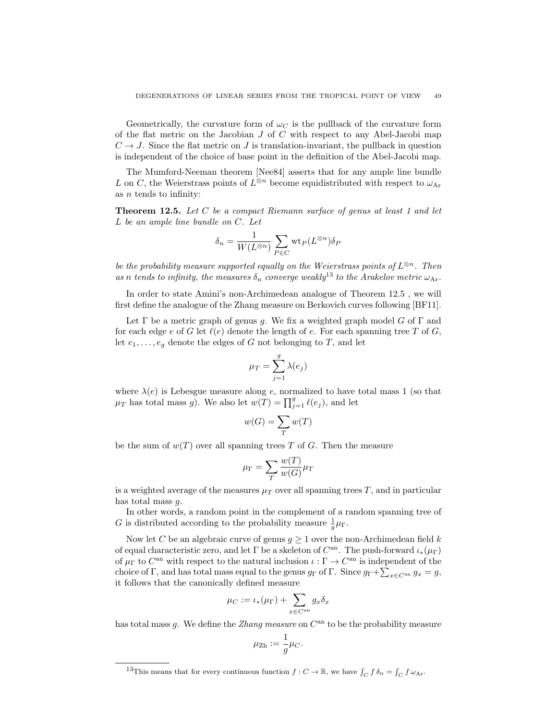Geometrically, the curvature form of  $\omega_C$  is the pullback of the curvature form of the flat metric on the Jacobian  $J$  of  $C$  with respect to any Abel-Jacobi map  $C \rightarrow J$ . Since the flat metric on J is translation-invariant, the pullback in question is independent of the choice of base point in the definition of the Abel-Jacobi map.

The Mumford-Neeman theorem [Nee84] asserts that for any ample line bundle L on C, the Weierstrass points of  $L^{\otimes n}$  become equidistributed with respect to  $\omega_{\text{Ar}}$ as  $n$  tends to infinity:

**Theorem 12.5.** Let C be a compact Riemann surface of genus at least 1 and let L be an ample line bundle on C. Let

$$
\delta_n = \frac{1}{W(L^{\otimes n})} \sum_{P \in C} \text{wt}_P(L^{\otimes n}) \delta_P
$$

be the probability measure supported equally on the Weierstrass points of  $L^{\otimes n}$ . Then as n tends to infinity, the measures  $\delta_n$  converge weakly<sup>13</sup> to the Arakelov metric  $\omega_{\text{Ar}}$ .

In order to state Amini's non-Archimedean analogue of Theorem 12.5 , we will first define the analogue of the Zhang measure on Berkovich curves following [BF11].

Let  $\Gamma$  be a metric graph of genus g. We fix a weighted graph model G of  $\Gamma$  and for each edge e of G let  $\ell(e)$  denote the length of e. For each spanning tree T of G, let  $e_1, \ldots, e_q$  denote the edges of G not belonging to T, and let

$$
\mu_T = \sum_{j=1}^g \lambda(e_j)
$$

where  $\lambda(e)$  is Lebesgue measure along e, normalized to have total mass 1 (so that  $\mu_T$  has total mass g). We also let  $w(T) = \prod_{j=1}^g \ell(e_j)$ , and let

$$
w(G) = \sum_{T} w(T)
$$

be the sum of  $w(T)$  over all spanning trees T of G. Then the measure

$$
\mu_{\Gamma} = \sum_{T} \frac{w(T)}{w(G)} \mu_{T}
$$

is a weighted average of the measures  $\mu_T$  over all spanning trees T, and in particular has total mass g.

In other words, a random point in the complement of a random spanning tree of G is distributed according to the probability measure  $\frac{1}{g}\mu_{\Gamma}$ .

Now let C be an algebraic curve of genus  $g \geq 1$  over the non-Archimedean field k of equal characteristic zero, and let  $\Gamma$  be a skeleton of  $C^{an}$ . The push-forward  $\iota_*(\mu_{\Gamma})$ of  $\mu_{\Gamma}$  to  $C^{\text{an}}$  with respect to the natural inclusion  $\iota : \Gamma \to C^{\text{an}}$  is independent of the choice of Γ, and has total mass equal to the genus  $g_{\Gamma}$  of Γ. Since  $g_{\Gamma} + \sum_{x \in C^{an}} g_x = g$ , it follows that the canonically defined measure

$$
\mu_C := \iota_*(\mu_\Gamma) + \sum_{x \in C^{\mathrm{an}}} g_x \delta_x
$$

has total mass g. We define the *Zhang measure* on  $C^{an}$  to be the probability measure

$$
\mu_{\rm Zh}:=\frac{1}{g}\mu_C.
$$

<sup>&</sup>lt;sup>13</sup>This means that for every continuous function  $f: C \to \mathbb{R}$ , we have  $\int_C f \delta_n = \int_C f \omega_{\text{Ar}}$ .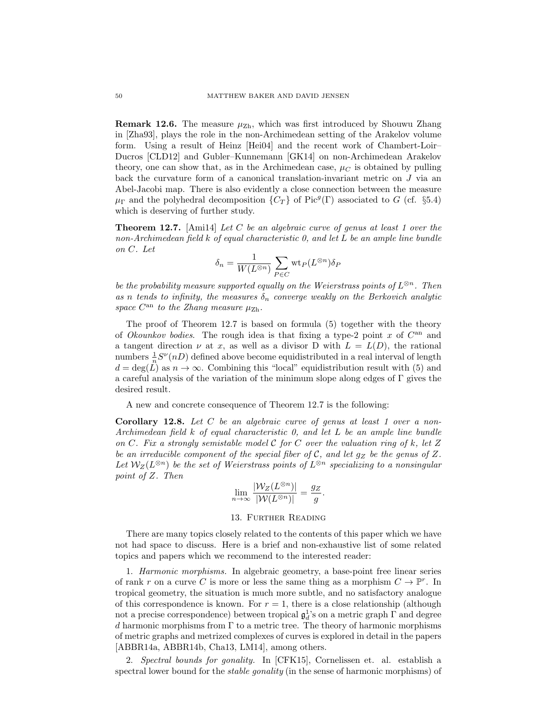**Remark 12.6.** The measure  $\mu_{\text{Zh}}$ , which was first introduced by Shouwu Zhang in [Zha93], plays the role in the non-Archimedean setting of the Arakelov volume form. Using a result of Heinz [Hei04] and the recent work of Chambert-Loir– Ducros [CLD12] and Gubler–Kunnemann [GK14] on non-Archimedean Arakelov theory, one can show that, as in the Archimedean case,  $\mu_C$  is obtained by pulling back the curvature form of a canonical translation-invariant metric on J via an Abel-Jacobi map. There is also evidently a close connection between the measure  $\mu_{\Gamma}$  and the polyhedral decomposition  $\{C_T\}$  of Pic<sup>g</sup>( $\Gamma$ ) associated to G (cf. §5.4) which is deserving of further study.

**Theorem 12.7.** [Amil4] Let C be an algebraic curve of genus at least 1 over the non-Archimedean field k of equal characteristic 0, and let L be an ample line bundle on C. Let

$$
\delta_n = \frac{1}{W(L^{\otimes n})}\sum_{P\in C} \text{wt}_P(L^{\otimes n})\delta_P
$$

be the probability measure supported equally on the Weierstrass points of  $L^{\otimes n}$ . Then as n tends to infinity, the measures  $\delta_n$  converge weakly on the Berkovich analytic space  $C^{an}$  to the Zhang measure  $\mu_{\text{Zh}}$ .

The proof of Theorem 12.7 is based on formula (5) together with the theory of Okounkov bodies. The rough idea is that fixing a type-2 point  $x$  of  $C^{an}$  and a tangent direction  $\nu$  at x, as well as a divisor D with  $L = L(D)$ , the rational numbers  $\frac{1}{n}S^{\nu}(n)$  defined above become equidistributed in a real interval of length  $d = \deg(\tilde{L})$  as  $n \to \infty$ . Combining this "local" equidistribution result with (5) and a careful analysis of the variation of the minimum slope along edges of  $\Gamma$  gives the desired result.

A new and concrete consequence of Theorem 12.7 is the following:

**Corollary 12.8.** Let  $C$  be an algebraic curve of genus at least 1 over a non-Archimedean field k of equal characteristic 0, and let L be an ample line bundle on C. Fix a strongly semistable model C for C over the valuation ring of k, let Z be an irreducible component of the special fiber of  $C$ , and let  $g_Z$  be the genus of Z. Let  $\mathcal{W}_Z(L^{\otimes n})$  be the set of Weierstrass points of  $L^{\otimes n}$  specializing to a nonsingular point of Z. Then

$$
\lim_{n \to \infty} \frac{|\mathcal{W}_Z(L^{\otimes n})|}{|\mathcal{W}(L^{\otimes n})|} = \frac{g_Z}{g}.
$$

#### 13. Further Reading

There are many topics closely related to the contents of this paper which we have not had space to discuss. Here is a brief and non-exhaustive list of some related topics and papers which we recommend to the interested reader:

1. Harmonic morphisms. In algebraic geometry, a base-point free linear series of rank r on a curve C is more or less the same thing as a morphism  $C \to \mathbb{P}^r$ . In tropical geometry, the situation is much more subtle, and no satisfactory analogue of this correspondence is known. For  $r = 1$ , there is a close relationship (although not a precise correspondence) between tropical  $\mathfrak{g}^1_d$ 's on a metric graph  $\Gamma$  and degree d harmonic morphisms from  $\Gamma$  to a metric tree. The theory of harmonic morphisms of metric graphs and metrized complexes of curves is explored in detail in the papers [ABBR14a, ABBR14b, Cha13, LM14], among others.

2. Spectral bounds for gonality. In [CFK15], Cornelissen et. al. establish a spectral lower bound for the *stable gonality* (in the sense of harmonic morphisms) of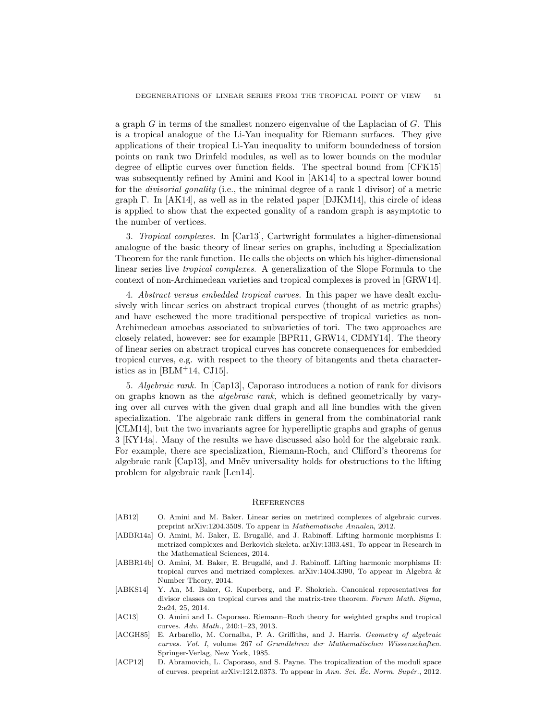a graph  $G$  in terms of the smallest nonzero eigenvalue of the Laplacian of  $G$ . This is a tropical analogue of the Li-Yau inequality for Riemann surfaces. They give applications of their tropical Li-Yau inequality to uniform boundedness of torsion points on rank two Drinfeld modules, as well as to lower bounds on the modular degree of elliptic curves over function fields. The spectral bound from [CFK15] was subsequently refined by Amini and Kool in [AK14] to a spectral lower bound for the divisorial gonality (i.e., the minimal degree of a rank 1 divisor) of a metric graph  $\Gamma$ . In [AK14], as well as in the related paper [DJKM14], this circle of ideas is applied to show that the expected gonality of a random graph is asymptotic to the number of vertices.

3. Tropical complexes. In [Car13], Cartwright formulates a higher-dimensional analogue of the basic theory of linear series on graphs, including a Specialization Theorem for the rank function. He calls the objects on which his higher-dimensional linear series live tropical complexes. A generalization of the Slope Formula to the context of non-Archimedean varieties and tropical complexes is proved in [GRW14].

4. Abstract versus embedded tropical curves. In this paper we have dealt exclusively with linear series on abstract tropical curves (thought of as metric graphs) and have eschewed the more traditional perspective of tropical varieties as non-Archimedean amoebas associated to subvarieties of tori. The two approaches are closely related, however: see for example [BPR11, GRW14, CDMY14]. The theory of linear series on abstract tropical curves has concrete consequences for embedded tropical curves, e.g. with respect to the theory of bitangents and theta characteristics as in  $[BLM+14, CJ15]$ .

5. Algebraic rank. In [Cap13], Caporaso introduces a notion of rank for divisors on graphs known as the algebraic rank, which is defined geometrically by varying over all curves with the given dual graph and all line bundles with the given specialization. The algebraic rank differs in general from the combinatorial rank [CLM14], but the two invariants agree for hyperelliptic graphs and graphs of genus 3 [KY14a]. Many of the results we have discussed also hold for the algebraic rank. For example, there are specialization, Riemann-Roch, and Clifford's theorems for algebraic rank [Cap13], and Mnev universality holds for obstructions to the lifting problem for algebraic rank [Len14].

#### **REFERENCES**

- [AB12] O. Amini and M. Baker. Linear series on metrized complexes of algebraic curves. preprint arXiv:1204.3508. To appear in Mathematische Annalen, 2012.
- [ABBR14a] O. Amini, M. Baker, E. Brugallé, and J. Rabinoff. Lifting harmonic morphisms I: metrized complexes and Berkovich skeleta. arXiv:1303.481, To appear in Research in the Mathematical Sciences, 2014.
- [ABBR14b] O. Amini, M. Baker, E. Brugallé, and J. Rabinoff. Lifting harmonic morphisms II: tropical curves and metrized complexes. arXiv:1404.3390, To appear in Algebra & Number Theory, 2014.
- [ABKS14] Y. An, M. Baker, G. Kuperberg, and F. Shokrieh. Canonical representatives for divisor classes on tropical curves and the matrix-tree theorem. Forum Math. Sigma, 2:e24, 25, 2014.
- [AC13] O. Amini and L. Caporaso. Riemann–Roch theory for weighted graphs and tropical curves. Adv. Math., 240:1–23, 2013.
- [ACGH85] E. Arbarello, M. Cornalba, P. A. Griffiths, and J. Harris. Geometry of algebraic curves. Vol. I, volume 267 of Grundlehren der Mathematischen Wissenschaften. Springer-Verlag, New York, 1985.
- [ACP12] D. Abramovich, L. Caporaso, and S. Payne. The tropicalization of the moduli space of curves. preprint arXiv:1212.0373. To appear in Ann. Sci. Ec. Norm. Supér., 2012.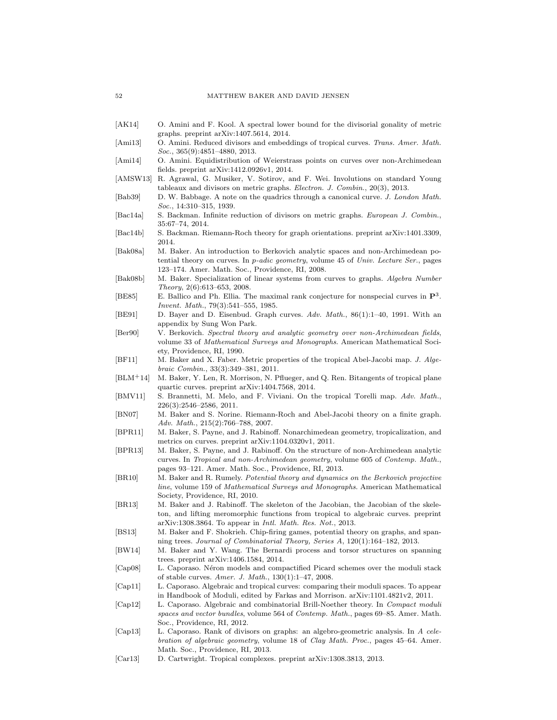- [AK14] O. Amini and F. Kool. A spectral lower bound for the divisorial gonality of metric graphs. preprint arXiv:1407.5614, 2014.
- [Ami13] O. Amini. Reduced divisors and embeddings of tropical curves. Trans. Amer. Math. Soc., 365(9):4851–4880, 2013.
- [Ami14] O. Amini. Equidistribution of Weierstrass points on curves over non-Archimedean fields. preprint arXiv:1412.0926v1, 2014.
- [AMSW13] R. Agrawal, G. Musiker, V. Sotirov, and F. Wei. Involutions on standard Young tableaux and divisors on metric graphs. Electron. J. Combin., 20(3), 2013.
- [Bab39] D. W. Babbage. A note on the quadrics through a canonical curve. J. London Math. Soc., 14:310–315, 1939.
- [Bac14a] S. Backman. Infinite reduction of divisors on metric graphs. European J. Combin., 35:67–74, 2014.
- [Bac14b] S. Backman. Riemann-Roch theory for graph orientations. preprint arXiv:1401.3309, 2014.
- [Bak08a] M. Baker. An introduction to Berkovich analytic spaces and non-Archimedean potential theory on curves. In p-adic geometry, volume 45 of Univ. Lecture Ser., pages 123–174. Amer. Math. Soc., Providence, RI, 2008.
- [Bak08b] M. Baker. Specialization of linear systems from curves to graphs. Algebra Number Theory, 2(6):613–653, 2008.
- [BE85] E. Ballico and Ph. Ellia. The maximal rank conjecture for nonspecial curves in P<sup>3</sup> . Invent. Math., 79(3):541–555, 1985.
- [BE91] D. Bayer and D. Eisenbud. Graph curves. Adv. Math., 86(1):1–40, 1991. With an appendix by Sung Won Park.
- [Ber90] V. Berkovich. Spectral theory and analytic geometry over non-Archimedean fields, volume 33 of Mathematical Surveys and Monographs. American Mathematical Society, Providence, RI, 1990.
- [BF11] M. Baker and X. Faber. Metric properties of the tropical Abel-Jacobi map. J. Algebraic Combin., 33(3):349–381, 2011.
- [BLM+14] M. Baker, Y. Len, R. Morrison, N. Pflueger, and Q. Ren. Bitangents of tropical plane quartic curves. preprint arXiv:1404.7568, 2014.
- [BMV11] S. Brannetti, M. Melo, and F. Viviani. On the tropical Torelli map. Adv. Math., 226(3):2546–2586, 2011.
- [BN07] M. Baker and S. Norine. Riemann-Roch and Abel-Jacobi theory on a finite graph. Adv. Math., 215(2):766–788, 2007.
- [BPR11] M. Baker, S. Payne, and J. Rabinoff. Nonarchimedean geometry, tropicalization, and metrics on curves. preprint arXiv:1104.0320v1, 2011.
- [BPR13] M. Baker, S. Payne, and J. Rabinoff. On the structure of non-Archimedean analytic curves. In Tropical and non-Archimedean geometry, volume 605 of Contemp. Math., pages 93–121. Amer. Math. Soc., Providence, RI, 2013.
- [BR10] M. Baker and R. Rumely. Potential theory and dynamics on the Berkovich projective line, volume 159 of Mathematical Surveys and Monographs. American Mathematical Society, Providence, RI, 2010.
- [BR13] M. Baker and J. Rabinoff. The skeleton of the Jacobian, the Jacobian of the skeleton, and lifting meromorphic functions from tropical to algebraic curves. preprint arXiv:1308.3864. To appear in Intl. Math. Res. Not., 2013.
- [BS13] M. Baker and F. Shokrieh. Chip-firing games, potential theory on graphs, and spanning trees. Journal of Combinatorial Theory, Series A, 120(1):164–182, 2013.
- [BW14] M. Baker and Y. Wang. The Bernardi process and torsor structures on spanning trees. preprint arXiv:1406.1584, 2014.
- [Cap08] L. Caporaso. Néron models and compactified Picard schemes over the moduli stack of stable curves. Amer. J. Math., 130(1):1–47, 2008.
- [Cap11] L. Caporaso. Algebraic and tropical curves: comparing their moduli spaces. To appear in Handbook of Moduli, edited by Farkas and Morrison. arXiv:1101.4821v2, 2011.
- [Cap12] L. Caporaso. Algebraic and combinatorial Brill-Noether theory. In Compact moduli spaces and vector bundles, volume 564 of Contemp. Math., pages 69–85. Amer. Math. Soc., Providence, RI, 2012.
- [Cap13] L. Caporaso. Rank of divisors on graphs: an algebro-geometric analysis. In A celebration of algebraic geometry, volume 18 of Clay Math. Proc., pages 45–64. Amer. Math. Soc., Providence, RI, 2013.
- [Car13] D. Cartwright. Tropical complexes. preprint arXiv:1308.3813, 2013.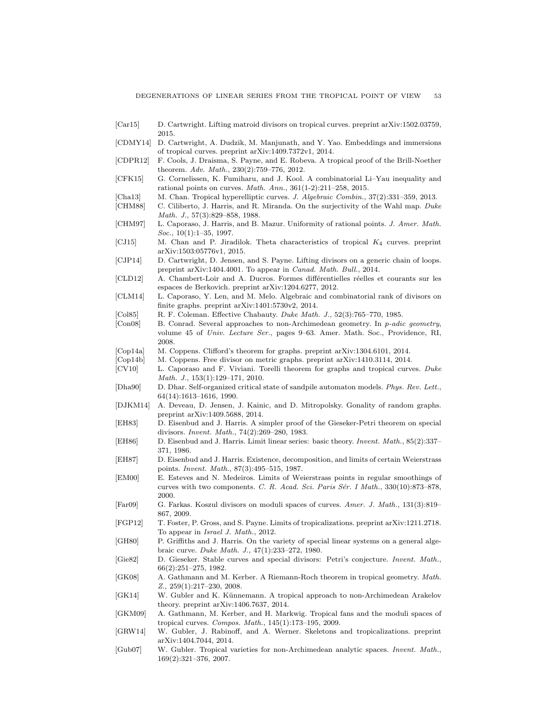- [Car15] D. Cartwright. Lifting matroid divisors on tropical curves. preprint arXiv:1502.03759, 2015.
- [CDMY14] D. Cartwright, A. Dudzik, M. Manjunath, and Y. Yao. Embeddings and immersions of tropical curves. preprint arXiv:1409.7372v1, 2014.
- [CDPR12] F. Cools, J. Draisma, S. Payne, and E. Robeva. A tropical proof of the Brill-Noether theorem. Adv. Math., 230(2):759–776, 2012.
- [CFK15] G. Cornelissen, K. Fumiharu, and J. Kool. A combinatorial Li–Yau inequality and rational points on curves. Math. Ann., 361(1-2):211–258, 2015.
- [Cha13] M. Chan. Tropical hyperelliptic curves. *J. Algebraic Combin.*, 37(2):331–359, 2013.
- [CHM88] C. Ciliberto, J. Harris, and R. Miranda. On the surjectivity of the Wahl map. Duke Math. J., 57(3):829–858, 1988.
- [CHM97] L. Caporaso, J. Harris, and B. Mazur. Uniformity of rational points. J. Amer. Math. Soc., 10(1):1-35, 1997.
- [CJ15] M. Chan and P. Jiradilok. Theta characteristics of tropical K<sup>4</sup> curves. preprint arXiv:1503:05776v1, 2015.
- [CJP14] D. Cartwright, D. Jensen, and S. Payne. Lifting divisors on a generic chain of loops. preprint arXiv:1404.4001. To appear in Canad. Math. Bull., 2014.
- [CLD12] A. Chambert-Loir and A. Ducros. Formes différentielles réelles et courants sur les espaces de Berkovich. preprint arXiv:1204.6277, 2012.
- [CLM14] L. Caporaso, Y. Len, and M. Melo. Algebraic and combinatorial rank of divisors on finite graphs. preprint arXiv:1401:5730v2, 2014.
- [Col85] R. F. Coleman. Effective Chabauty. Duke Math. J., 52(3):765–770, 1985.
- [Con08] B. Conrad. Several approaches to non-Archimedean geometry. In p-adic geometry, volume 45 of Univ. Lecture Ser., pages 9–63. Amer. Math. Soc., Providence, RI, 2008.
- [Cop14a] M. Coppens. Clifford's theorem for graphs. preprint arXiv:1304.6101, 2014.
- [Cop14b] M. Coppens. Free divisor on metric graphs. preprint arXiv:1410.3114, 2014.
- [CV10] L. Caporaso and F. Viviani. Torelli theorem for graphs and tropical curves. Duke Math. J., 153(1):129–171, 2010.
- [Dha90] D. Dhar. Self-organized critical state of sandpile automaton models. Phys. Rev. Lett., 64(14):1613–1616, 1990.
- [DJKM14] A. Deveau, D. Jensen, J. Kainic, and D. Mitropolsky. Gonality of random graphs. preprint arXiv:1409.5688, 2014.
- [EH83] D. Eisenbud and J. Harris. A simpler proof of the Gieseker-Petri theorem on special divisors. Invent. Math., 74(2):269–280, 1983.
- [EH86] D. Eisenbud and J. Harris. Limit linear series: basic theory. Invent. Math., 85(2):337– 371, 1986.
- [EH87] D. Eisenbud and J. Harris. Existence, decomposition, and limits of certain Weierstrass points. Invent. Math., 87(3):495–515, 1987.
- [EM00] E. Esteves and N. Medeiros. Limits of Weierstrass points in regular smoothings of curves with two components. C. R. Acad. Sci. Paris Sér. I Math., 330(10):873–878, 2000.
- [Far09] G. Farkas. Koszul divisors on moduli spaces of curves. Amer. J. Math., 131(3):819– 867, 2009.
- [FGP12] T. Foster, P. Gross, and S. Payne. Limits of tropicalizations. preprint arXiv:1211.2718. To appear in Israel J. Math., 2012.
- [GH80] P. Griffiths and J. Harris. On the variety of special linear systems on a general algebraic curve. Duke Math. J., 47(1):233–272, 1980.
- [Gie82] D. Gieseker. Stable curves and special divisors: Petri's conjecture. Invent. Math., 66(2):251–275, 1982.
- [GK08] A. Gathmann and M. Kerber. A Riemann-Roch theorem in tropical geometry. Math. Z., 259(1):217–230, 2008.
- [GK14] W. Gubler and K. Künnemann. A tropical approach to non-Archimedean Arakelov theory. preprint arXiv:1406.7637, 2014.
- [GKM09] A. Gathmann, M. Kerber, and H. Markwig. Tropical fans and the moduli spaces of tropical curves. Compos. Math., 145(1):173–195, 2009.
- [GRW14] W. Gubler, J. Rabinoff, and A. Werner. Skeletons and tropicalizations. preprint arXiv:1404.7044, 2014.
- [Gub07] W. Gubler. Tropical varieties for non-Archimedean analytic spaces. Invent. Math., 169(2):321–376, 2007.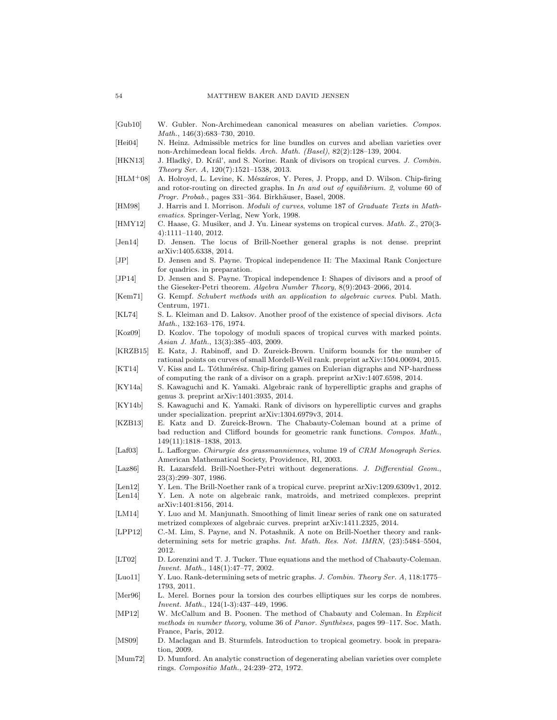- [Gub10] W. Gubler. Non-Archimedean canonical measures on abelian varieties. Compos. Math., 146(3):683–730, 2010.
- [Hei04] N. Heinz. Admissible metrics for line bundles on curves and abelian varieties over non-Archimedean local fields. Arch. Math. (Basel), 82(2):128–139, 2004.
- [HKN13] J. Hladký, D. Král', and S. Norine. Rank of divisors on tropical curves. J. Combin. Theory Ser. A, 120(7):1521–1538, 2013.
- [HLM<sup>+</sup>08] A. Holroyd, L. Levine, K. Mészáros, Y. Peres, J. Propp, and D. Wilson. Chip-firing and rotor-routing on directed graphs. In In and out of equilibrium. 2, volume 60 of Progr. Probab., pages 331–364. Birkhäuser, Basel, 2008.
- [HM98] J. Harris and I. Morrison. Moduli of curves, volume 187 of Graduate Texts in Mathematics. Springer-Verlag, New York, 1998.
- [HMY12] C. Haase, G. Musiker, and J. Yu. Linear systems on tropical curves. Math. Z., 270(3-4):1111–1140, 2012.
- [Jen14] D. Jensen. The locus of Brill-Noether general graphs is not dense. preprint arXiv:1405.6338, 2014.
- [JP] D. Jensen and S. Payne. Tropical independence II: The Maximal Rank Conjecture for quadrics. in preparation.
- [JP14] D. Jensen and S. Payne. Tropical independence I: Shapes of divisors and a proof of the Gieseker-Petri theorem. Algebra Number Theory, 8(9):2043–2066, 2014.
- [Kem71] G. Kempf. Schubert methods with an application to algebraic curves. Publ. Math. Centrum, 1971.
- [KL74] S. L. Kleiman and D. Laksov. Another proof of the existence of special divisors. Acta Math., 132:163–176, 1974.
- [Koz09] D. Kozlov. The topology of moduli spaces of tropical curves with marked points. Asian J. Math., 13(3):385–403, 2009.
- [KRZB15] E. Katz, J. Rabinoff, and D. Zureick-Brown. Uniform bounds for the number of rational points on curves of small Mordell-Weil rank. preprint arXiv:1504.00694, 2015.
- [KT14] V. Kiss and L. Tóthmérész. Chip-firing games on Eulerian digraphs and NP-hardness of computing the rank of a divisor on a graph. preprint arXiv:1407.6598, 2014.
- [KY14a] S. Kawaguchi and K. Yamaki. Algebraic rank of hyperelliptic graphs and graphs of genus 3. preprint arXiv:1401:3935, 2014.
- [KY14b] S. Kawaguchi and K. Yamaki. Rank of divisors on hyperelliptic curves and graphs under specialization. preprint arXiv:1304.6979v3, 2014.
- [KZB13] E. Katz and D. Zureick-Brown. The Chabauty-Coleman bound at a prime of bad reduction and Clifford bounds for geometric rank functions. Compos. Math., 149(11):1818–1838, 2013.
- [Laf03] L. Lafforgue. Chirurgie des grassmanniennes, volume 19 of CRM Monograph Series. American Mathematical Society, Providence, RI, 2003.
- [Laz86] R. Lazarsfeld. Brill-Noether-Petri without degenerations. J. Differential Geom., 23(3):299–307, 1986.
- [Len12] Y. Len. The Brill-Noether rank of a tropical curve. preprint arXiv:1209.6309v1, 2012.
- [Len14] Y. Len. A note on algebraic rank, matroids, and metrized complexes. preprint arXiv:1401:8156, 2014.
- [LM14] Y. Luo and M. Manjunath. Smoothing of limit linear series of rank one on saturated metrized complexes of algebraic curves. preprint arXiv:1411.2325, 2014.
- [LPP12] C.-M. Lim, S. Payne, and N. Potashnik. A note on Brill-Noether theory and rankdetermining sets for metric graphs. Int. Math. Res. Not. IMRN, (23):5484–5504, 2012.
- [LT02] D. Lorenzini and T. J. Tucker. Thue equations and the method of Chabauty-Coleman. Invent. Math., 148(1):47–77, 2002.
- [Luo11] Y. Luo. Rank-determining sets of metric graphs. J. Combin. Theory Ser. A, 118:1775– 1793, 2011.
- [Mer96] L. Merel. Bornes pour la torsion des courbes elliptiques sur les corps de nombres. Invent. Math., 124(1-3):437–449, 1996.
- [MP12] W. McCallum and B. Poonen. The method of Chabauty and Coleman. In Explicit methods in number theory, volume 36 of Panor. Synthèses, pages  $99-117$ . Soc. Math. France, Paris, 2012.
- [MS09] D. Maclagan and B. Sturmfels. Introduction to tropical geometry. book in preparation, 2009.
- [Mum72] D. Mumford. An analytic construction of degenerating abelian varieties over complete rings. Compositio Math., 24:239–272, 1972.